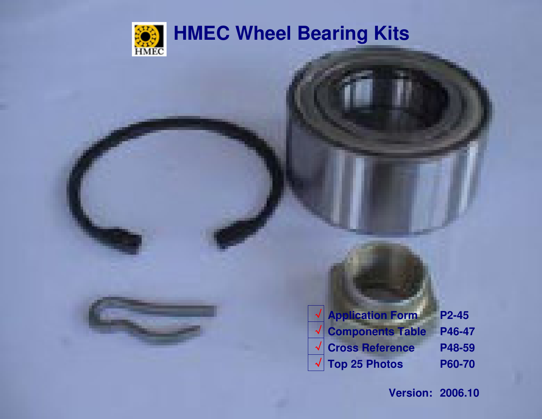

## **HMEC Wheel Bearing Kits**

| <b>V</b> Application Form             | P <sub>2</sub> -45 |
|---------------------------------------|--------------------|
| $\sqrt{\frac{1}{2}}$ Components Table | P46-47             |
| $\sqrt{\vert}$ Cross Reference        | P48-59             |
| $\sqrt{ }$ Top 25 Photos              | P60-70             |
|                                       |                    |

**Version: 2006.10**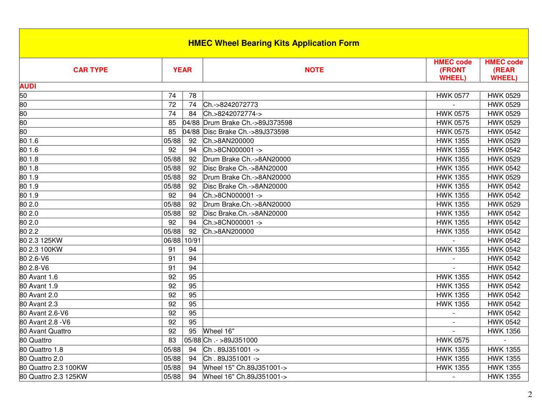| <b>HMEC Wheel Bearing Kits Application Form</b> |                 |             |                           |                                             |                                           |  |  |
|-------------------------------------------------|-----------------|-------------|---------------------------|---------------------------------------------|-------------------------------------------|--|--|
| <b>CAR TYPE</b>                                 |                 | <b>YEAR</b> | <b>NOTE</b>               | <b>HMEC code</b><br>(FRONT<br><b>WHEEL)</b> | <b>HMEC code</b><br>(REAR<br><b>WHEEL</b> |  |  |
| <b>AUDI</b>                                     |                 |             |                           |                                             |                                           |  |  |
| 50                                              | 74              | 78          |                           | <b>HWK 0577</b>                             | <b>HWK 0529</b>                           |  |  |
| 80                                              | 72              | 74          | Ch.->8242072773           |                                             | <b>HWK 0529</b>                           |  |  |
| 80                                              | 74              | 84          | Ch.>8242072774->          | <b>HWK 0575</b>                             | <b>HWK 0529</b>                           |  |  |
| 80                                              | 85              | 04/88       | Drum Brake Ch.->89J373598 | <b>HWK 0575</b>                             | <b>HWK 0529</b>                           |  |  |
| 80                                              | 85              | 04/88       | Disc Brake Ch.->89J373598 | <b>HWK 0575</b>                             | <b>HWK 0542</b>                           |  |  |
| 80 1.6                                          | 05/88           | 92          | Ch.>8AN200000             | <b>HWK 1355</b>                             | <b>HWK 0529</b>                           |  |  |
| 80 1.6                                          | 92              | 94          | Ch.>8CN000001 ->          | <b>HWK 1355</b>                             | <b>HWK 0542</b>                           |  |  |
| 80 1.8                                          | 05/88           | 92          | Drum Brake Ch.->8AN20000  | <b>HWK 1355</b>                             | <b>HWK 0529</b>                           |  |  |
| 80 1.8                                          | 05/88           | 92          | Disc Brake Ch.->8AN20000  | <b>HWK 1355</b>                             | <b>HWK 0542</b>                           |  |  |
| 80 1.9                                          | 05/88           | 92          | Drum Brake Ch.->8AN20000  | <b>HWK 1355</b>                             | <b>HWK 0529</b>                           |  |  |
| 80 1.9                                          | 05/88           | 92          | Disc Brake Ch.->8AN20000  | <b>HWK 1355</b>                             | <b>HWK 0542</b>                           |  |  |
| 801.9                                           | 92              | 94          | Ch.>8CN000001 ->          | <b>HWK 1355</b>                             | <b>HWK 0542</b>                           |  |  |
| 80 2.0                                          | 05/88           | 92          | Drum Brake.Ch.->8AN20000  | <b>HWK 1355</b>                             | <b>HWK 0529</b>                           |  |  |
| 80 2.0                                          | 05/88           | 92          | Disc Brake.Ch.->8AN20000  | <b>HWK 1355</b>                             | <b>HWK 0542</b>                           |  |  |
| 80 2.0                                          | 92              | 94          | Ch.>8CN000001 ->          | <b>HWK 1355</b>                             | <b>HWK 0542</b>                           |  |  |
| 80 2.2                                          | 05/88           | 92          | Ch.>8AN200000             | <b>HWK 1355</b>                             | <b>HWK 0542</b>                           |  |  |
| 80 2.3 125KW                                    | 06/88           | 10/91       |                           |                                             | <b>HWK 0542</b>                           |  |  |
| 80 2.3 100KW                                    | 91              | 94          |                           | <b>HWK 1355</b>                             | <b>HWK 0542</b>                           |  |  |
| 80 2.6-V6                                       | 91              | 94          |                           |                                             | <b>HWK 0542</b>                           |  |  |
| 80 2.8-V6                                       | $\overline{91}$ | 94          |                           |                                             | <b>HWK 0542</b>                           |  |  |
| 80 Avant 1.6                                    | 92              | 95          |                           | <b>HWK 1355</b>                             | <b>HWK 0542</b>                           |  |  |
| 80 Avant 1.9                                    | 92              | 95          |                           | <b>HWK 1355</b>                             | <b>HWK 0542</b>                           |  |  |
| 80 Avant 2.0                                    | 92              | 95          |                           | <b>HWK 1355</b>                             | <b>HWK 0542</b>                           |  |  |
| 80 Avant 2.3                                    | 92              | 95          |                           | <b>HWK 1355</b>                             | <b>HWK 0542</b>                           |  |  |
| 80 Avant 2.6-V6                                 | 92              | 95          |                           |                                             | <b>HWK 0542</b>                           |  |  |
| 80 Avant 2.8 - V6                               | $\overline{92}$ | 95          |                           |                                             | <b>HWK 0542</b>                           |  |  |
| 80 Avant Quattro                                | 92              | 95          | Wheel 16"                 |                                             | <b>HWK 1356</b>                           |  |  |
| 80 Quattro                                      | 83              |             | 05/88 Ch .- >89J351000    | <b>HWK 0575</b>                             |                                           |  |  |
| 80 Quattro 1.8                                  | 05/88           | 94          | Ch. 89J351001->           | <b>HWK 1355</b>                             | <b>HWK 1355</b>                           |  |  |
| 80 Quattro 2.0                                  | 05/88           | 94          | Ch. 89J351001->           | <b>HWK 1355</b>                             | <b>HWK 1355</b>                           |  |  |
| 80 Quattro 2.3 100KW                            | 05/88           | 94          | Wheel 15" Ch.89J351001->  | <b>HWK 1355</b>                             | <b>HWK 1355</b>                           |  |  |
| 80 Quattro 2.3 125KW                            | 05/88           | 94          | Wheel 16" Ch.89J351001->  |                                             | <b>HWK 1355</b>                           |  |  |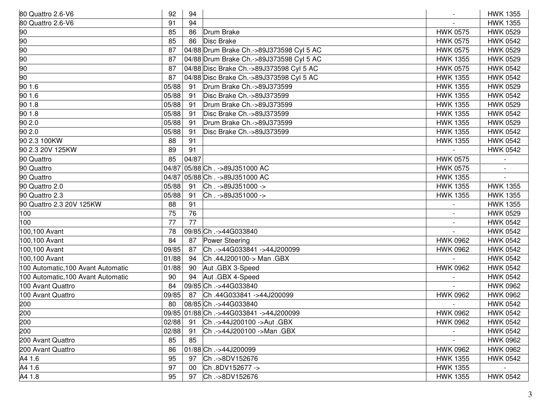| 80 Quattro 2.6-V6                  | 92    | 94    |                                             |                          | <b>HWK 1355</b> |
|------------------------------------|-------|-------|---------------------------------------------|--------------------------|-----------------|
| 80 Quattro 2.6-V6                  | 91    | 94    |                                             |                          | <b>HWK 1355</b> |
| 90                                 | 85    | 86    | Drum Brake                                  | <b>HWK 0575</b>          | <b>HWK 0529</b> |
| 90                                 | 85    | 86    | Disc Brake                                  | <b>HWK 0575</b>          | <b>HWK 0542</b> |
| 90                                 | 87    |       | 04/88 Drum Brake Ch.->89J373598 Cyl 5 AC    | <b>HWK 0575</b>          | <b>HWK 0529</b> |
| 90                                 | 87    |       | 04/88 Drum Brake Ch.->89J373598 Cyl 5 AC    | <b>HWK 1355</b>          | <b>HWK 0529</b> |
| 90                                 | 87    |       | 04/88 Disc Brake Ch.->89J373598 Cyl 5 AC    | <b>HWK 0575</b>          | <b>HWK 0542</b> |
| 90                                 | 87    |       | 04/88 Disc Brake Ch.->89J373598 Cyl 5 AC    | <b>HWK 1355</b>          | <b>HWK 0542</b> |
| 90 1.6                             | 05/88 | 91    | Drum Brake Ch.->89J373599                   | <b>HWK 1355</b>          | <b>HWK 0529</b> |
| 90 1.6                             | 05/88 | 91    | Disc Brake Ch.->89J373599                   | <b>HWK 1355</b>          | <b>HWK 0542</b> |
| 90 1.8                             | 05/88 | 91    | Drum Brake Ch.->89J373599                   | <b>HWK 1355</b>          | <b>HWK 0529</b> |
| 90 1.8                             | 05/88 | 91    | Disc Brake Ch.->89J373599                   | <b>HWK 1355</b>          | <b>HWK 0542</b> |
| 90 2.0                             | 05/88 | 91    | Drum Brake Ch.->89J373599                   | <b>HWK 1355</b>          | <b>HWK 0529</b> |
| 90 2.0                             | 05/88 | 91    | Disc Brake Ch.->89J373599                   | <b>HWK 1355</b>          | <b>HWK 0542</b> |
| 90 2.3 100KW                       | 88    | 91    |                                             | <b>HWK 1355</b>          | <b>HWK 0542</b> |
| 90 2.3 20V 125KW                   | 89    | 91    |                                             |                          | <b>HWK 0542</b> |
| 90 Quattro                         | 85    | 04/87 |                                             | <b>HWK 0575</b>          |                 |
| 90 Quattro                         | 04/87 |       | 05/88 Ch. ->89J351000 AC                    | <b>HWK 0575</b>          |                 |
| 90 Quattro                         | 04/87 |       | 05/88 Ch. ->89J351000 AC                    | <b>HWK 1355</b>          |                 |
| 90 Quattro 2.0                     | 05/88 | 91    | Ch. ->89J351000 ->                          | <b>HWK 1355</b>          | <b>HWK 1355</b> |
| 90 Quattro 2.3                     | 05/88 | 91    | Ch. ->89J351000 ->                          | <b>HWK 1355</b>          | <b>HWK 1355</b> |
| 90 Quattro 2.3 20V 125KW           | 88    | 91    |                                             |                          | <b>HWK 1355</b> |
| 100                                | 75    | 76    |                                             |                          | <b>HWK 0529</b> |
| 100                                | 77    | 77    |                                             | $\overline{\phantom{a}}$ | <b>HWK 0542</b> |
| 100,100 Avant                      | 78    |       | 09/85 Ch .- > 44G033840                     |                          | <b>HWK 0542</b> |
| 100,100 Avant                      | 84    | 87    | Power Steering                              | <b>HWK 0962</b>          | <b>HWK 0542</b> |
| 100,100 Avant                      | 09/85 | 87    | Ch.->44G033841->44J200099                   | <b>HWK 0962</b>          | <b>HWK 0542</b> |
| 100,100 Avant                      | 01/88 | 94    | Ch.44J200100-> Man.GBX                      |                          | <b>HWK 0542</b> |
| 100 Automatic, 100 Avant Automatic | 01/88 | 90    | Aut .GBX 3-Speed                            | <b>HWK 0962</b>          | <b>HWK 0542</b> |
| 100 Automatic, 100 Avant Automatic | 90    | 94    | Aut .GBX 4-Speed                            |                          | <b>HWK 0542</b> |
| 100 Avant Quattro                  | 84    |       | 09/85 Ch .- > 44G033840                     |                          | <b>HWK 0962</b> |
| 100 Avant Quattro                  | 09/85 | 87    | Ch.44G033841->44J200099                     | <b>HWK 0962</b>          | <b>HWK 0962</b> |
| 200                                | 80    |       | 08/85 Ch .- > 44G033840                     |                          | <b>HWK 0542</b> |
| 200                                |       |       | 09/85 01/88 Ch .- > 44G033841 - > 44J200099 | <b>HWK 0962</b>          | <b>HWK 0542</b> |
| 200                                | 02/88 | 91    | Ch.->44J200100->Aut.GBX                     | <b>HWK 0962</b>          | <b>HWK 0542</b> |
| 200                                | 02/88 | 91    | Ch.->44J200100 ->Man.GBX                    |                          | <b>HWK 0542</b> |
| 200 Avant Quattro                  | 85    | 85    |                                             |                          | <b>HWK 0962</b> |
| 200 Avant Quattro                  | 86    |       | 01/88 Ch .- > 44J200099                     | <b>HWK 0962</b>          | <b>HWK 0962</b> |
| A4 1.6                             | 95    | 97    | Ch.->8DV152676                              | <b>HWK 1355</b>          | <b>HWK 0542</b> |
| A4 1.6                             | 97    | 00    | Ch.8DV152677->                              | <b>HWK 1355</b>          |                 |
| A4 1.8                             | 95    | 97    | Ch.->8DV152676                              | <b>HWK 1355</b>          | <b>HWK 0542</b> |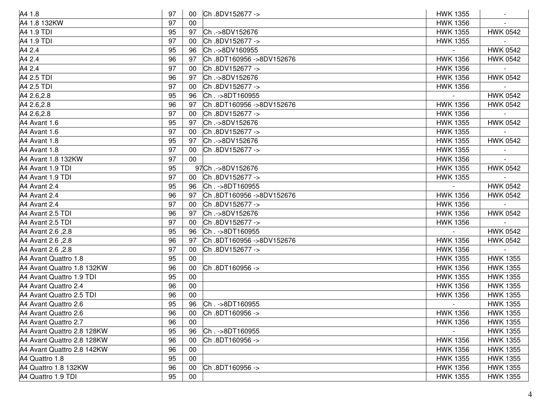| A4 1.8                     | 97 |        | 00 Ch .8DV152677 ->      | <b>HWK 1355</b> |                 |
|----------------------------|----|--------|--------------------------|-----------------|-----------------|
| A4 1.8 132KW               | 97 | 00     |                          | <b>HWK 1356</b> |                 |
| A4 1.9 TDI                 | 95 | 97     | Ch.->8DV152676           | <b>HWK 1355</b> | <b>HWK 0542</b> |
| A4 1.9 TDI                 | 97 | 00     | Ch.8DV152677->           | <b>HWK 1355</b> |                 |
| A4 2.4                     | 95 | 96     | Ch.->8DV160955           |                 | <b>HWK 0542</b> |
| A4 2.4                     | 96 | 97     | Ch.8DT160956->8DV152676  | <b>HWK 1356</b> | <b>HWK 0542</b> |
| A4 2.4                     | 97 | 00     | Ch.8DV152677->           | <b>HWK 1356</b> |                 |
| A4 2.5 TDI                 | 96 | 97     | Ch.->8DV152676           | <b>HWK 1356</b> | <b>HWK 0542</b> |
| A4 2.5 TDI                 | 97 | 00     | Ch.8DV152677->           | <b>HWK 1356</b> |                 |
| A4 2.6,2.8                 | 95 | 96     | Ch. - > 8DT160955        |                 | <b>HWK 0542</b> |
| A4 2.6,2.8                 | 96 | 97     | Ch.8DT160956->8DV152676  | <b>HWK 1356</b> | <b>HWK 0542</b> |
| A4 2.6,2.8                 | 97 | 00     | Ch.8DV152677->           | <b>HWK 1356</b> |                 |
| A4 Avant 1.6               | 95 | 97     | Ch.->8DV152676           | <b>HWK 1355</b> | <b>HWK 0542</b> |
| A4 Avant 1.6               | 97 | 00     | Ch.8DV152677->           | <b>HWK 1355</b> |                 |
| A4 Avant 1.8               | 95 | 97     | Ch.->8DV152676           | <b>HWK 1355</b> | <b>HWK 0542</b> |
| A4 Avant 1.8               | 97 | 00     | Ch.8DV152677->           | <b>HWK 1355</b> |                 |
| A4 Avant 1.8 132KW         | 97 | 00     |                          | <b>HWK 1356</b> |                 |
| A4 Avant 1.9 TDI           | 95 |        | 97Ch.->8DV152676         | <b>HWK 1355</b> | <b>HWK 0542</b> |
| A4 Avant 1.9 TDI           | 97 | 00     | Ch.8DV152677->           | <b>HWK 1355</b> |                 |
| A4 Avant 2.4               | 95 | 96     | Ch. - > 8DT160955        |                 | <b>HWK 0542</b> |
| A4 Avant 2.4               | 96 | 97     | Ch.8DT160956 ->8DV152676 | <b>HWK 1356</b> | <b>HWK 0542</b> |
| A4 Avant 2.4               | 97 | 00     | Ch.8DV152677->           | <b>HWK 1356</b> |                 |
| A4 Avant 2.5 TDI           | 96 | 97     | Ch.->8DV152676           | <b>HWK 1356</b> | <b>HWK 0542</b> |
| A4 Avant 2.5 TDI           | 97 | -00    | Ch.8DV152677->           | <b>HWK 1356</b> |                 |
| A4 Avant 2.6, 2.8          | 95 | 96     | Ch. - > 8DT160955        |                 | <b>HWK 0542</b> |
| A4 Avant 2.6, 2.8          | 96 | 97     | Ch.8DT160956->8DV152676  | <b>HWK 1356</b> | <b>HWK 0542</b> |
| A4 Avant 2.6, 2.8          | 97 | 00     | Ch.8DV152677->           | <b>HWK 1356</b> |                 |
| A4 Avant Quattro 1.8       | 95 | 00     |                          | <b>HWK 1355</b> | <b>HWK 1355</b> |
| A4 Avant Quattro 1.8 132KW | 96 | 00     | Ch.8DT160956 ->          | <b>HWK 1356</b> | <b>HWK 1355</b> |
| A4 Avant Quattro 1.9 TDI   | 95 | 00     |                          | <b>HWK 1355</b> | <b>HWK 1355</b> |
| A4 Avant Quattro 2.4       | 96 | 00     |                          | <b>HWK 1356</b> | <b>HWK 1355</b> |
| A4 Avant Quattro 2.5 TDI   | 96 | 00     |                          | <b>HWK 1356</b> | <b>HWK 1355</b> |
| A4 Avant Quattro 2.6       | 95 | 96     | Ch. - > 8DT160955        |                 | <b>HWK 1355</b> |
| A4 Avant Quattro 2.6       | 96 | 00     | Ch.8DT160956 ->          | <b>HWK 1356</b> | <b>HWK 1355</b> |
| A4 Avant Quattro 2.7       | 96 | $00\,$ |                          | <b>HWK 1356</b> | <b>HWK 1355</b> |
| A4 Avant Quattro 2.8 128KW | 95 | 96     | Ch. - > 8DT160955        |                 | <b>HWK 1355</b> |
| A4 Avant Quattro 2.8 128KW | 96 | 00     | Ch.8DT160956->           | <b>HWK 1356</b> | <b>HWK 1355</b> |
| A4 Avant Quattro 2.8 142KW | 96 | 00     |                          | <b>HWK 1356</b> | <b>HWK 1355</b> |
| A4 Quattro 1.8             | 95 | 00     |                          | <b>HWK 1355</b> | <b>HWK 1355</b> |
| A4 Quattro 1.8 132KW       | 96 | 00     | Ch.8DT160956->           | <b>HWK 1356</b> | <b>HWK 1355</b> |
| A4 Quattro 1.9 TDI         | 95 | 00     |                          | <b>HWK 1355</b> | <b>HWK 1355</b> |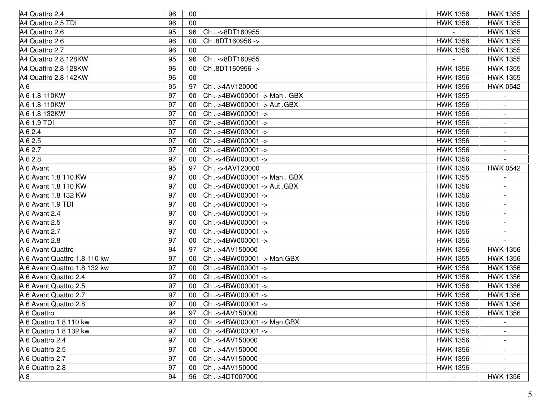| A4 Quattro 2.4               | 96 | 00  |                           | <b>HWK 1356</b> | <b>HWK 1355</b>          |
|------------------------------|----|-----|---------------------------|-----------------|--------------------------|
| A4 Quattro 2.5 TDI           | 96 | 00  |                           | <b>HWK 1356</b> | <b>HWK 1355</b>          |
| A4 Quattro 2.6               | 95 | 96  | Ch. - > 8DT160955         |                 | <b>HWK 1355</b>          |
| A4 Quattro 2.6               | 96 | 00  | Ch.8DT160956 ->           | <b>HWK 1356</b> | <b>HWK 1355</b>          |
| A4 Quattro 2.7               | 96 | 00  |                           | <b>HWK 1356</b> | <b>HWK 1355</b>          |
| A4 Quattro 2.8 128KW         | 95 | 96  | Ch. - > 8DT160955         |                 | <b>HWK 1355</b>          |
| A4 Quattro 2.8 128KW         | 96 | 00  | Ch.8DT160956 ->           | <b>HWK 1356</b> | <b>HWK 1355</b>          |
| A4 Quattro 2.8 142KW         | 96 | 00  |                           | <b>HWK 1356</b> | <b>HWK 1355</b>          |
| A 6                          | 95 | 97  | Ch.->4AV120000            | <b>HWK 1356</b> | <b>HWK 0542</b>          |
| A 6 1.8 110KW                | 97 | 00  | Ch.->4BW000001->Man.GBX   | <b>HWK 1355</b> |                          |
| A 6 1.8 110KW                | 97 | 00  | Ch.->4BW000001-> Aut.GBX  | <b>HWK 1356</b> |                          |
| A 6 1.8 132KW                | 97 | 00  | Ch.->4BW000001->          | <b>HWK 1356</b> |                          |
| A 6 1.9 TDI                  | 97 | 00  | Ch.->4BW000001->          | <b>HWK 1356</b> |                          |
| A 6 2.4                      | 97 | 00  | Ch.->4BW000001->          | <b>HWK 1356</b> | $\blacksquare$           |
| A 6 2.5                      | 97 | 00  | Ch.->4BW000001->          | <b>HWK 1356</b> | $\blacksquare$           |
| A 6 2.7                      | 97 | 00  | Ch.->4BW000001->          | <b>HWK 1356</b> |                          |
| A 6 2.8                      | 97 | 00  | Ch.->4BW000001->          | <b>HWK 1356</b> |                          |
| A 6 Avant                    | 95 | 97  | Ch. ->4AV120000           | <b>HWK 1356</b> | <b>HWK 0542</b>          |
| A 6 Avant 1.8 110 KW         | 97 | 00  | Ch.->4BW000001->Man.GBX   | <b>HWK 1355</b> |                          |
| A 6 Avant 1.8 110 KW         | 97 | 00  | Ch.->4BW000001 -> Aut.GBX | <b>HWK 1356</b> |                          |
| A 6 Avant 1.8 132 KW         | 97 | 00  | Ch.->4BW000001->          | <b>HWK 1356</b> |                          |
| A 6 Avant 1.9 TDI            | 97 | 00  | Ch.->4BW000001->          | <b>HWK 1356</b> |                          |
| A 6 Avant 2.4                | 97 | 00  | Ch.->4BW000001->          | <b>HWK 1356</b> |                          |
| A 6 Avant 2.5                | 97 | 00  | Ch.->4BW000001->          | <b>HWK 1356</b> | $\blacksquare$           |
| A 6 Avant 2.7                | 97 | 00  | Ch.->4BW000001->          | <b>HWK 1356</b> |                          |
| A 6 Avant 2.8                | 97 | 00  | Ch.->4BW000001->          | <b>HWK 1356</b> |                          |
| A 6 Avant Quattro            | 94 | 97  | Ch.->4AV150000            | <b>HWK 1356</b> | <b>HWK 1356</b>          |
| A 6 Avant Quattro 1.8 110 kw | 97 | 00  | Ch.->4BW000001-> Man.GBX  | <b>HWK 1355</b> | <b>HWK 1356</b>          |
| A 6 Avant Quattro 1.8 132 kw | 97 | -00 | Ch.->4BW000001->          | <b>HWK 1356</b> | <b>HWK 1356</b>          |
| A 6 Avant Quattro 2.4        | 97 | 00  | Ch.->4BW000001->          | <b>HWK 1356</b> | <b>HWK 1356</b>          |
| A 6 Avant Quattro 2.5        | 97 | 00  | Ch.->4BW000001->          | <b>HWK 1356</b> | <b>HWK 1356</b>          |
| A 6 Avant Quattro 2.7        | 97 | 00  | Ch.->4BW000001->          | <b>HWK 1356</b> | <b>HWK 1356</b>          |
| A 6 Avant Quattro 2.8        | 97 | 00  | Ch.->4BW000001->          | <b>HWK 1356</b> | <b>HWK 1356</b>          |
| A 6 Quattro                  | 94 | 97  | Ch .->4AV150000           | <b>HWK 1356</b> | <b>HWK 1356</b>          |
| A 6 Quattro 1.8 110 kw       | 97 | 00  | Ch.->4BW000001-> Man.GBX  | <b>HWK 1355</b> |                          |
| A 6 Quattro 1.8 132 kw       | 97 | 00  | Ch.->4BW000001->          | <b>HWK 1356</b> |                          |
| A 6 Quattro 2.4              | 97 | 00  | Ch.->4AV150000            | <b>HWK 1356</b> |                          |
| A 6 Quattro 2.5              | 97 | -00 | Ch.->4AV150000            | <b>HWK 1356</b> | $\overline{\phantom{a}}$ |
| A 6 Quattro 2.7              | 97 | 00  | Ch.->4AV150000            | <b>HWK 1356</b> |                          |
| A 6 Quattro 2.8              | 97 | 00  | Ch.->4AV150000            | <b>HWK 1356</b> |                          |
| A <sub>8</sub>               | 94 | 96  | Ch.->4DT007000            |                 | <b>HWK 1356</b>          |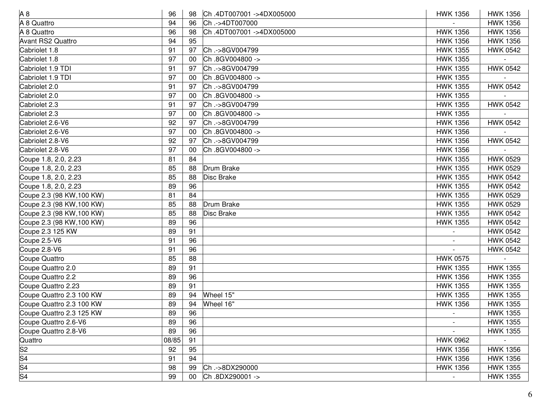| A8                        | 96    | 98 | Ch.4DT007001->4DX005000 | <b>HWK 1356</b> | <b>HWK 1356</b> |
|---------------------------|-------|----|-------------------------|-----------------|-----------------|
| A 8 Quattro               | 94    | 96 | Ch.->4DT007000          |                 | <b>HWK 1356</b> |
| A 8 Quattro               | 96    | 98 | Ch.4DT007001->4DX005000 | <b>HWK 1356</b> | <b>HWK 1356</b> |
| <b>Avant RS2 Quattro</b>  | 94    | 95 |                         | <b>HWK 1356</b> | <b>HWK 1356</b> |
| Cabriolet 1.8             | 91    | 97 | Ch.->8GV004799          | <b>HWK 1355</b> | <b>HWK 0542</b> |
| Cabriolet 1.8             | 97    | 00 | Ch.8GV004800 ->         | <b>HWK 1355</b> |                 |
| Cabriolet 1.9 TDI         | 91    | 97 | Ch.->8GV004799          | <b>HWK 1355</b> | <b>HWK 0542</b> |
| Cabriolet 1.9 TDI         | 97    | 00 | Ch.8GV004800 ->         | <b>HWK 1355</b> |                 |
| Cabriolet 2.0             | 91    | 97 | Ch.->8GV004799          | <b>HWK 1355</b> | <b>HWK 0542</b> |
| Cabriolet 2.0             | 97    | 00 | Ch.8GV004800 ->         | <b>HWK 1355</b> |                 |
| Cabriolet 2.3             | 91    | 97 | Ch.->8GV004799          | <b>HWK 1355</b> | <b>HWK 0542</b> |
| Cabriolet 2.3             | 97    | 00 | Ch.8GV004800 ->         | <b>HWK 1355</b> |                 |
| Cabriolet 2.6-V6          | 92    | 97 | Ch.->8GV004799          | <b>HWK 1356</b> | <b>HWK 0542</b> |
| Cabriolet 2.6-V6          | 97    | 00 | Ch.8GV004800 ->         | <b>HWK 1356</b> |                 |
| Cabriolet 2.8-V6          | 92    | 97 | Ch.->8GV004799          | <b>HWK 1356</b> | <b>HWK 0542</b> |
| Cabriolet 2.8-V6          | 97    | 00 | Ch.8GV004800 ->         | <b>HWK 1356</b> |                 |
| Coupe 1.8, 2.0, 2.23      | 81    | 84 |                         | <b>HWK 1355</b> | <b>HWK 0529</b> |
| Coupe 1.8, 2.0, 2.23      | 85    | 88 | Drum Brake              | <b>HWK 1355</b> | <b>HWK 0529</b> |
| Coupe 1.8, 2.0, 2.23      | 85    | 88 | Disc Brake              | <b>HWK 1355</b> | <b>HWK 0542</b> |
| Coupe 1.8, 2.0, 2.23      | 89    | 96 |                         | <b>HWK 1355</b> | <b>HWK 0542</b> |
| Coupe 2.3 (98 KW, 100 KW) | 81    | 84 |                         | <b>HWK 1355</b> | <b>HWK 0529</b> |
| Coupe 2.3 (98 KW, 100 KW) | 85    | 88 | Drum Brake              | <b>HWK 1355</b> | <b>HWK 0529</b> |
| Coupe 2.3 (98 KW, 100 KW) | 85    | 88 | Disc Brake              | <b>HWK 1355</b> | <b>HWK 0542</b> |
| Coupe 2.3 (98 KW, 100 KW) | 89    | 96 |                         | <b>HWK 1355</b> | <b>HWK 0542</b> |
| Coupe 2.3 125 KW          | 89    | 91 |                         |                 | <b>HWK 0542</b> |
| Coupe 2.5-V6              | 91    | 96 |                         |                 | <b>HWK 0542</b> |
| Coupe 2.8-V6              | 91    | 96 |                         |                 | <b>HWK 0542</b> |
| Coupe Quattro             | 85    | 88 |                         | <b>HWK 0575</b> |                 |
| Coupe Quattro 2.0         | 89    | 91 |                         | <b>HWK 1355</b> | <b>HWK 1355</b> |
| Coupe Quattro 2.2         | 89    | 96 |                         | <b>HWK 1356</b> | <b>HWK 1355</b> |
| Coupe Quattro 2.23        | 89    | 91 |                         | <b>HWK 1355</b> | <b>HWK 1355</b> |
| Coupe Quattro 2.3 100 KW  | 89    | 94 | Wheel 15"               | <b>HWK 1355</b> | <b>HWK 1355</b> |
| Coupe Quattro 2.3 100 KW  | 89    | 94 | Wheel 16"               | <b>HWK 1356</b> | <b>HWK 1355</b> |
| Coupe Quattro 2.3 125 KW  | 89    | 96 |                         |                 | <b>HWK 1355</b> |
| Coupe Quattro 2.6-V6      | 89    | 96 |                         |                 | <b>HWK 1355</b> |
| Coupe Quattro 2.8-V6      | 89    | 96 |                         |                 | <b>HWK 1355</b> |
| Quattro                   | 08/85 | 91 |                         | <b>HWK 0962</b> |                 |
| S2<br>S4<br>S4<br>S4      | 92    | 95 |                         | <b>HWK 1356</b> | <b>HWK 1356</b> |
|                           | 91    | 94 |                         | <b>HWK 1356</b> | <b>HWK 1356</b> |
|                           | 98    | 99 | Ch.->8DX290000          | <b>HWK 1356</b> | <b>HWK 1355</b> |
|                           | 99    | 00 | Ch.8DX290001->          |                 | <b>HWK 1355</b> |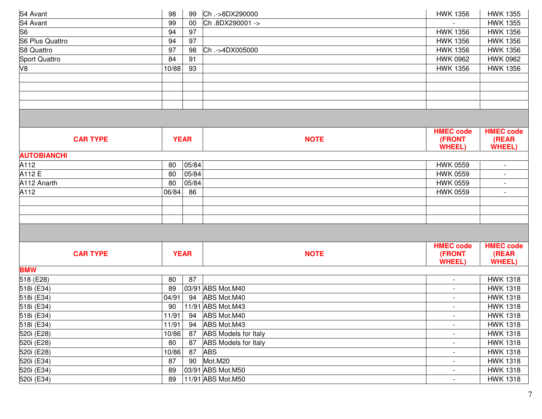| S4 Avant                 | 98    | 99          | Ch.->8DX290000                         | <b>HWK 1356</b>          | <b>HWK 1355</b>          |
|--------------------------|-------|-------------|----------------------------------------|--------------------------|--------------------------|
| S4 Avant                 | 99    | 00          | Ch.8DX290001->                         |                          | <b>HWK 1355</b>          |
| S <sub>6</sub>           | 94    | 97          |                                        | <b>HWK 1356</b>          | <b>HWK 1356</b>          |
| <b>S6 Plus Quattro</b>   | 94    | 97          |                                        | <b>HWK 1356</b>          | <b>HWK 1356</b>          |
| S8 Quattro               | 97    | 98          | Ch.->4DX005000                         | <b>HWK 1356</b>          | <b>HWK 1356</b>          |
| Sport Quattro            | 84    | 91          |                                        | <b>HWK 0962</b>          | <b>HWK 0962</b>          |
| V8                       | 10/88 | 93          |                                        | <b>HWK 1356</b>          | <b>HWK 1356</b>          |
|                          |       |             |                                        |                          |                          |
|                          |       |             |                                        |                          |                          |
|                          |       |             |                                        |                          |                          |
|                          |       |             |                                        |                          |                          |
|                          |       |             |                                        |                          |                          |
|                          |       |             |                                        | <b>HMEC code</b>         | <b>HMEC code</b>         |
| <b>CAR TYPE</b>          |       | <b>YEAR</b> | <b>NOTE</b>                            | (FRONT                   | (REAR                    |
|                          |       |             |                                        | <b>WHEEL)</b>            | <b>WHEEL</b> )           |
| <b>AUTOBIANCHI</b>       |       |             |                                        |                          |                          |
| A112                     | 80    | 05/84       |                                        | <b>HWK 0559</b>          | $\overline{\phantom{a}}$ |
| A112 E                   | 80    | 05/84       |                                        | <b>HWK 0559</b>          | $\overline{\phantom{a}}$ |
| A112 Anarth              | 80    | 05/84       |                                        | <b>HWK 0559</b>          | $\overline{\phantom{a}}$ |
| A112                     | 06/84 | 86          |                                        | <b>HWK 0559</b>          |                          |
|                          |       |             |                                        |                          |                          |
|                          |       |             |                                        |                          |                          |
|                          |       |             |                                        |                          |                          |
|                          |       |             |                                        |                          |                          |
|                          |       |             |                                        | <b>HMEC code</b>         | <b>HMEC code</b>         |
| <b>CAR TYPE</b>          |       | <b>YEAR</b> | <b>NOTE</b>                            | (FRONT                   | (REAR                    |
|                          |       |             |                                        | <b>WHEEL)</b>            | <b>WHEEL</b> )           |
| <b>BMW</b>               |       |             |                                        |                          |                          |
| 518 (E28)                | 80    | 87          |                                        | $\overline{\phantom{0}}$ | <b>HWK 1318</b>          |
| 518i (E34)               | 89    |             | 03/91 ABS Mot.M40                      | $\overline{\phantom{a}}$ | <b>HWK 1318</b>          |
| 518i (E34)               | 04/91 | 94          | ABS Mot.M40                            | $\blacksquare$           | <b>HWK 1318</b>          |
| 518i (E34)               | 90    |             | 11/91 ABS Mot.M43                      | $\sim$                   | <b>HWK 1318</b>          |
| 518i (E34)               | 11/91 |             | 94 ABS Mot.M40                         |                          | <b>HWK 1318</b>          |
| 518i (E34)               | 11/91 | 94          | ABS Mot.M43                            | $\overline{\phantom{a}}$ | <b>HWK 1318</b>          |
| 520i (E28)               | 10/86 | 87          | <b>ABS Models for Italy</b>            | $\blacksquare$           | <b>HWK 1318</b>          |
| 520i (E28)               | 80    | 87          | <b>ABS Models for Italy</b>            | $\overline{\phantom{a}}$ | <b>HWK 1318</b>          |
| 520i (E28)               | 10/86 | 87          | <b>ABS</b>                             | $\overline{\phantom{a}}$ | <b>HWK 1318</b>          |
|                          |       |             |                                        |                          |                          |
| 520i (E34)               | 87    | 90          | Mot.M20                                | $\sim$                   | <b>HWK 1318</b>          |
| 520i (E34)<br>520i (E34) | 89    |             | 03/91 ABS Mot.M50<br>11/91 ABS Mot.M50 | $\overline{\phantom{a}}$ | <b>HWK 1318</b>          |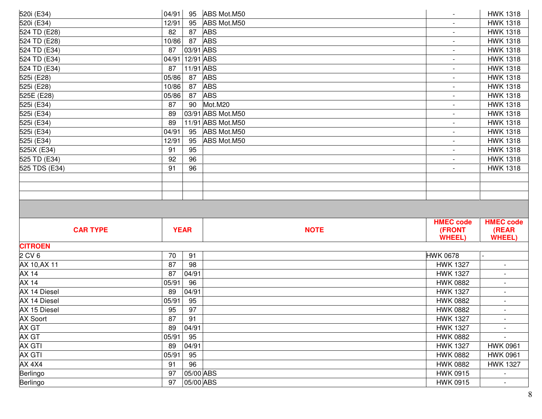| 520i (E34)           | 04/91    | 95                     | ABS Mot.M50<br>$\overline{\phantom{a}}$       | <b>HWK 1318</b>           |  |
|----------------------|----------|------------------------|-----------------------------------------------|---------------------------|--|
| 520i (E34)           | 12/91    | 95                     | ABS Mot.M50                                   | <b>HWK 1318</b>           |  |
| 524 TD (E28)         | 82       | 87                     | <b>ABS</b>                                    | <b>HWK 1318</b>           |  |
| 524 TD (E28)         | 10/86    | 87                     | <b>ABS</b><br>$\overline{\phantom{a}}$        | <b>HWK 1318</b>           |  |
| 524 TD (E34)         | 87       | 03/91 ABS              | $\blacksquare$                                | <b>HWK 1318</b>           |  |
| 524 TD (E34)         | 04/91    | 12/91 ABS              | $\overline{\phantom{a}}$                      | <b>HWK 1318</b>           |  |
| 524 TD (E34)         | 87       | 11/91 ABS              | $\overline{\phantom{a}}$                      | <b>HWK 1318</b>           |  |
| 525i (E28)           | 05/86    | 87                     | <b>ABS</b><br>$\overline{\phantom{a}}$        | <b>HWK 1318</b>           |  |
| 525i (E28)           | 10/86    | 87                     | <b>ABS</b><br>$\overline{\phantom{a}}$        | <b>HWK 1318</b>           |  |
| 525E (E28)           | 05/86    | 87                     | <b>ABS</b><br>$\overline{\phantom{a}}$        | <b>HWK 1318</b>           |  |
| 525i (E34)           | 87       | 90                     | Mot.M20<br>$\overline{\phantom{a}}$           | <b>HWK 1318</b>           |  |
| 525i (E34)           | 89       |                        | 03/91 ABS Mot.M50<br>$\overline{\phantom{a}}$ | <b>HWK 1318</b>           |  |
| 525i (E34)           | 89       |                        | 11/91 ABS Mot.M50<br>$\overline{\phantom{a}}$ | <b>HWK 1318</b>           |  |
| 525i (E34)           | 04/91    | 95                     | ABS Mot.M50<br>$\blacksquare$                 | <b>HWK 1318</b>           |  |
| 525i (E34)           | 12/91    | 95                     | ABS Mot.M50<br>$\overline{\phantom{a}}$       | <b>HWK 1318</b>           |  |
| 525iX (E34)          | 91       | 95                     | $\overline{\phantom{a}}$                      | <b>HWK 1318</b>           |  |
| 525 TD (E34)         | 92       | 96                     |                                               | <b>HWK 1318</b>           |  |
| 525 TDS (E34)        | 91       | 96                     | $\overline{\phantom{a}}$                      | <b>HWK 1318</b>           |  |
|                      |          |                        |                                               |                           |  |
|                      |          |                        |                                               |                           |  |
| <b>CAR TYPE</b>      |          | <b>YEAR</b>            | <b>HMEC code</b><br>(FRONT<br><b>NOTE</b>     | <b>HMEC code</b><br>(REAR |  |
|                      |          |                        | <b>WHEEL)</b>                                 | <b>WHEEL)</b>             |  |
| <b>CITROEN</b>       |          |                        |                                               |                           |  |
| 2 CV 6               | 70       | 91                     | <b>HWK 0678</b>                               |                           |  |
| AX 10, AX 11         | 87       | 98                     | <b>HWK 1327</b>                               |                           |  |
| AX <sub>14</sub>     | 87       | 04/91                  | <b>HWK 1327</b>                               |                           |  |
| AX <sub>14</sub>     | 05/91    | 96                     | <b>HWK 0882</b>                               |                           |  |
| AX 14 Diesel         | 89       | 04/91                  | <b>HWK 1327</b>                               | $\overline{\phantom{a}}$  |  |
| AX 14 Diesel         | 05/91    | 95                     | <b>HWK 0882</b>                               |                           |  |
| AX 15 Diesel         | 95       | 97                     | <b>HWK 0882</b>                               | $\blacksquare$            |  |
| <b>AX Soort</b>      | 87       | 91                     | <b>HWK 1327</b>                               |                           |  |
| AX GT                | 89       | 04/91                  | <b>HWK 1327</b>                               |                           |  |
| AX GT                | 05/91    | 95                     | <b>HWK 0882</b>                               |                           |  |
| AX GTI               |          |                        |                                               |                           |  |
| AX GTI               | 89       | 04/91                  | <b>HWK 1327</b>                               | <b>HWK 0961</b>           |  |
| AX 4X4               | 05/91    | 95                     | <b>HWK 0882</b>                               | <b>HWK 0961</b>           |  |
|                      | 91       | 96                     | <b>HWK 0882</b>                               | <b>HWK 1327</b>           |  |
| Berlingo<br>Berlingo | 97<br>97 | 05/00 ABS<br>05/00 ABS | <b>HWK 0915</b><br><b>HWK 0915</b>            |                           |  |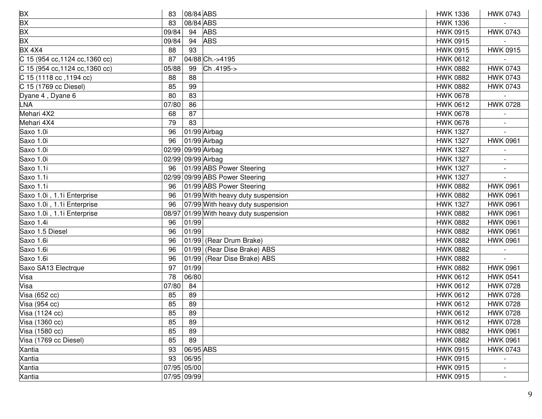| <b>BX</b>                       | 83    | 08/84 ABS          |                                  | <b>HWK 1336</b> | <b>HWK 0743</b> |
|---------------------------------|-------|--------------------|----------------------------------|-----------------|-----------------|
| <b>BX</b>                       | 83    | 08/84 ABS          |                                  | <b>HWK 1336</b> |                 |
| <b>BX</b>                       | 09/84 | 94                 | <b>ABS</b>                       | <b>HWK 0915</b> | <b>HWK 0743</b> |
| <b>BX</b>                       | 09/84 | 94                 | <b>ABS</b>                       | <b>HWK 0915</b> |                 |
| <b>BX 4X4</b>                   | 88    | 93                 |                                  | <b>HWK 0915</b> | <b>HWK 0915</b> |
| C 15 (954 cc, 1124 cc, 1360 cc) | 87    |                    | 04/88 Ch.->4195                  | <b>HWK 0612</b> |                 |
| C 15 (954 cc, 1124 cc, 1360 cc) | 05/88 | 99                 | Ch.4195->                        | <b>HWK 0882</b> | <b>HWK 0743</b> |
| C 15 (1118 cc, 1194 cc)         | 88    | 88                 |                                  | <b>HWK 0882</b> | <b>HWK 0743</b> |
| C 15 (1769 cc Diesel)           | 85    | 99                 |                                  | <b>HWK 0882</b> | <b>HWK 0743</b> |
| Dyane 4, Dyane 6                | 80    | 83                 |                                  | <b>HWK 0678</b> |                 |
| LNA                             | 07/80 | 86                 |                                  | <b>HWK 0612</b> | <b>HWK 0728</b> |
| Mehari 4X2                      | 68    | 87                 |                                  | <b>HWK 0678</b> |                 |
| Mehari 4X4                      | 79    | 83                 |                                  | <b>HWK 0678</b> |                 |
| Saxo 1.0i                       | 96    |                    | 01/99 Airbag                     | <b>HWK 1327</b> |                 |
| Saxo 1.0i                       | 96    |                    | 01/99 Airbag                     | <b>HWK 1327</b> | <b>HWK 0961</b> |
| Saxo 1.0i                       |       | 02/99 09/99 Airbag |                                  | <b>HWK 1327</b> |                 |
| Saxo 1.0i                       |       | 02/99 09/99 Airbag |                                  | <b>HWK 1327</b> |                 |
| Saxo 1.1i                       | 96    |                    | 01/99 ABS Power Steering         | <b>HWK 1327</b> |                 |
| Saxo 1.1i                       |       |                    | 02/99 09/99 ABS Power Steering   | <b>HWK 1327</b> |                 |
| Saxo 1.1i                       | 96    |                    | 01/99 ABS Power Steering         | <b>HWK 0882</b> | <b>HWK 0961</b> |
| Saxo 1.0i, 1.1i Enterprise      | 96    |                    | 01/99 With heavy duty suspension | <b>HWK 0882</b> | <b>HWK 0961</b> |
| Saxo 1.0i, 1.1i Enterprise      | 96    |                    | 07/99 With heavy duty suspension | <b>HWK 1327</b> | <b>HWK 0961</b> |
| Saxo 1.0i, 1.1i Enterprise      | 08/97 |                    | 01/99 With heavy duty suspension | <b>HWK 0882</b> | <b>HWK 0961</b> |
| Saxo 1.4i                       | 96    | 01/99              |                                  | <b>HWK 0882</b> | <b>HWK 0961</b> |
| Saxo 1.5 Diesel                 | 96    | 01/99              |                                  | <b>HWK 0882</b> | <b>HWK 0961</b> |
| Saxo 1.6i                       | 96    |                    | 01/99 (Rear Drum Brake)          | <b>HWK 0882</b> | <b>HWK 0961</b> |
| Saxo 1.6i                       | 96    |                    | 01/99 (Rear Dise Brake) ABS      | <b>HWK 0882</b> |                 |
| Saxo 1.6i                       | 96    |                    | 01/99 (Rear Dise Brake) ABS      | <b>HWK 0882</b> |                 |
| Saxo SA13 Electrque             | 97    | 01/99              |                                  | <b>HWK 0882</b> | <b>HWK 0961</b> |
| Visa                            | 78    | 06/80              |                                  | <b>HWK 0612</b> | <b>HWK 0541</b> |
| Visa                            | 07/80 | 84                 |                                  | <b>HWK 0612</b> | <b>HWK 0728</b> |
| $V$ isa (652 cc)                | 85    | 89                 |                                  | <b>HWK 0612</b> | <b>HWK 0728</b> |
| Visa (954 cc)                   | 85    | 89                 |                                  | <b>HWK 0612</b> | <b>HWK 0728</b> |
| Visa (1124 cc)                  | 85    | 89                 |                                  | <b>HWK 0612</b> | <b>HWK 0728</b> |
| Visa (1360 cc)                  | 85    | 89                 |                                  | <b>HWK 0612</b> | <b>HWK 0728</b> |
| Visa (1580 cc)                  | 85    | 89                 |                                  | <b>HWK 0882</b> | <b>HWK 0961</b> |
| Visa (1769 cc Diesel)           | 85    | 89                 |                                  | <b>HWK 0882</b> | <b>HWK 0961</b> |
| Xantia                          | 93    | 06/95 ABS          |                                  | <b>HWK 0915</b> | <b>HWK 0743</b> |
| Xantia                          | 93    | 06/95              |                                  | <b>HWK 0915</b> |                 |
| Xantia                          |       | 07/95 05/00        |                                  | <b>HWK 0915</b> |                 |
| Xantia                          |       | 07/95 09/99        |                                  | <b>HWK 0915</b> |                 |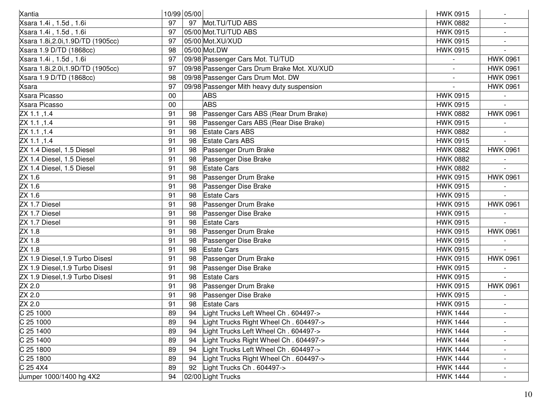| Xantia                             |    | 10/99 05/00 |                                             | <b>HWK 0915</b> |                          |
|------------------------------------|----|-------------|---------------------------------------------|-----------------|--------------------------|
| Xsara 1.4i, 1.5d, 1.6i             | 97 |             | 97 Mot.TU/TUD ABS                           | <b>HWK 0882</b> |                          |
| Xsara 1.4i, 1.5d, 1.6i             | 97 |             | 05/00 Mot.TU/TUD ABS                        | <b>HWK 0915</b> |                          |
| Xsara 1.8i, 2.0i, 1.9D/TD (1905cc) | 97 |             | 05/00 Mot.XU/XUD                            | <b>HWK 0915</b> |                          |
| Xsara 1.9 D/TD (1868cc)            | 98 |             | 05/00 Mot.DW                                | <b>HWK 0915</b> |                          |
| Xsara 1.4i, 1.5d, 1.6i             | 97 |             | 09/98 Passenger Cars Mot. TU/TUD            |                 | <b>HWK 0961</b>          |
| Xsara 1.8i, 2.0i, 1.9D/TD (1905cc) | 97 |             | 09/98 Passenger Cars Drum Brake Mot. XU/XUD |                 | <b>HWK 0961</b>          |
| Xsara 1.9 D/TD (1868cc)            | 98 |             | 09/98 Passenger Cars Drum Mot. DW           |                 | <b>HWK 0961</b>          |
| Xsara                              | 97 |             | 09/98 Passenger Mith heavy duty suspension  |                 | <b>HWK 0961</b>          |
| Xsara Picasso                      | 00 |             | <b>ABS</b>                                  | <b>HWK 0915</b> |                          |
| Xsara Picasso                      | 00 |             | <b>ABS</b>                                  | <b>HWK 0915</b> |                          |
| ZX 1.1, 1.4                        | 91 | 98          | Passenger Cars ABS (Rear Drum Brake)        | <b>HWK 0882</b> | <b>HWK 0961</b>          |
| $2X$ 1.1, 1.4                      | 91 | 98          | Passenger Cars ABS (Rear Dise Brake)        | <b>HWK 0915</b> |                          |
| ZX 1.1, 1.4                        | 91 | 98          | <b>Estate Cars ABS</b>                      | <b>HWK 0882</b> |                          |
| ZX 1.1, 1.4                        | 91 | 98          | <b>Estate Cars ABS</b>                      | <b>HWK 0915</b> |                          |
| ZX 1.4 Diesel, 1.5 Diesel          | 91 | 98          | Passenger Drum Brake                        | <b>HWK 0882</b> | <b>HWK 0961</b>          |
| ZX 1.4 Diesel, 1.5 Diesel          | 91 | 98          | Passenger Dise Brake                        | <b>HWK 0882</b> |                          |
| ZX 1.4 Diesel, 1.5 Diesel          | 91 | 98          | <b>Estate Cars</b>                          | <b>HWK 0882</b> |                          |
| ZX 1.6                             | 91 | 98          | Passenger Drum Brake                        | <b>HWK 0915</b> | <b>HWK 0961</b>          |
| ZX 1.6                             | 91 | 98          | Passenger Dise Brake                        | <b>HWK 0915</b> |                          |
| ZX 1.6                             | 91 | 98          | <b>Estate Cars</b>                          | <b>HWK 0915</b> |                          |
| ZX 1.7 Diesel                      | 91 | 98          | Passenger Drum Brake                        | <b>HWK 0915</b> | <b>HWK 0961</b>          |
| ZX 1.7 Diesel                      | 91 | 98          | Passenger Dise Brake                        | <b>HWK 0915</b> |                          |
| ZX 1.7 Diesel                      | 91 | 98          | <b>Estate Cars</b>                          | <b>HWK 0915</b> |                          |
| ZX 1.8                             | 91 | 98          | Passenger Drum Brake                        | <b>HWK 0915</b> | <b>HWK 0961</b>          |
| ZX 1.8                             | 91 | 98          | Passenger Dise Brake                        | <b>HWK 0915</b> |                          |
| ZX1.8                              | 91 | 98          | <b>Estate Cars</b>                          | <b>HWK 0915</b> |                          |
| ZX 1.9 Diesel, 1.9 Turbo Disesl    | 91 | 98          | Passenger Drum Brake                        | <b>HWK 0915</b> | <b>HWK 0961</b>          |
| ZX 1.9 Diesel, 1.9 Turbo Disesl    | 91 | 98          | Passenger Dise Brake                        | <b>HWK 0915</b> |                          |
| ZX 1.9 Diesel, 1.9 Turbo Disesl    | 91 | 98          | <b>Estate Cars</b>                          | <b>HWK 0915</b> |                          |
| ZX 2.0                             | 91 | 98          | Passenger Drum Brake                        | <b>HWK 0915</b> | <b>HWK 0961</b>          |
| ZX 2.0                             | 91 | 98          | Passenger Dise Brake                        | <b>HWK 0915</b> |                          |
| ZX 2.0                             | 91 | 98          | <b>Estate Cars</b>                          | <b>HWK 0915</b> |                          |
| C 25 1000                          | 89 | 94          | Light Trucks Left Wheel Ch. 604497->        | <b>HWK 1444</b> |                          |
| C 25 1000                          | 89 | 94          | Light Trucks Right Wheel Ch. 604497->       | <b>HWK 1444</b> |                          |
| C 25 1400                          | 89 | 94          | ight Trucks Left Wheel Ch. 604497->         | <b>HWK 1444</b> |                          |
| C 25 1400                          | 89 | 94          | ight Trucks Right Wheel Ch. 604497->        | <b>HWK 1444</b> |                          |
| C 25 1800                          | 89 | 94          | ight Trucks Left Wheel Ch. 604497->         | <b>HWK 1444</b> |                          |
| C 25 1800                          | 89 | 94          | ight Trucks Right Wheel Ch. 604497->        | <b>HWK 1444</b> | $\overline{\phantom{a}}$ |
| C 25 4 X 4                         | 89 | 92          | Light Trucks Ch. 604497->                   | <b>HWK 1444</b> | $\overline{\phantom{a}}$ |
| Jumper 1000/1400 hg 4X2            | 94 |             | 02/00 Light Trucks                          | <b>HWK 1444</b> | $\sim$                   |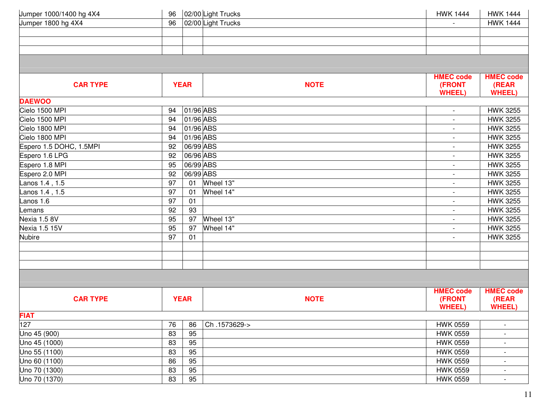| 02/00 Light Trucks<br>02/00 Light Trucks<br>Jumper 1800 hg 4X4<br>96<br><b>HWK 1444</b><br><b>HMEC code</b><br><b>HMEC code</b><br><b>NOTE</b><br>(FRONT<br>(REAR<br><b>CAR TYPE</b><br><b>YEAR</b><br><b>WHEEL)</b><br><b>WHEEL)</b><br><b>DAEWOO</b><br>01/96 ABS<br>Cielo 1500 MPI<br><b>HWK 3255</b><br>94<br>$\blacksquare$<br>01/96 ABS<br>Cielo 1500 MPI<br>94<br><b>HWK 3255</b><br>01/96 ABS<br>Cielo 1800 MPI<br>94<br><b>HWK 3255</b><br>$\blacksquare$<br>Cielo 1800 MPI<br>01/96 ABS<br>94<br><b>HWK 3255</b><br>$\overline{\phantom{a}}$<br>Espero 1.5 DOHC, 1.5MPI<br>06/99 ABS<br><b>HWK 3255</b><br>92<br>06/96 ABS<br>Espero 1.6 LPG<br>92<br><b>HWK 3255</b><br>06/99 ABS<br>Espero 1.8 MPI<br>95<br><b>HWK 3255</b><br>$\blacksquare$ |
|-----------------------------------------------------------------------------------------------------------------------------------------------------------------------------------------------------------------------------------------------------------------------------------------------------------------------------------------------------------------------------------------------------------------------------------------------------------------------------------------------------------------------------------------------------------------------------------------------------------------------------------------------------------------------------------------------------------------------------------------------------------|
|                                                                                                                                                                                                                                                                                                                                                                                                                                                                                                                                                                                                                                                                                                                                                           |
|                                                                                                                                                                                                                                                                                                                                                                                                                                                                                                                                                                                                                                                                                                                                                           |
|                                                                                                                                                                                                                                                                                                                                                                                                                                                                                                                                                                                                                                                                                                                                                           |
|                                                                                                                                                                                                                                                                                                                                                                                                                                                                                                                                                                                                                                                                                                                                                           |
|                                                                                                                                                                                                                                                                                                                                                                                                                                                                                                                                                                                                                                                                                                                                                           |
|                                                                                                                                                                                                                                                                                                                                                                                                                                                                                                                                                                                                                                                                                                                                                           |
|                                                                                                                                                                                                                                                                                                                                                                                                                                                                                                                                                                                                                                                                                                                                                           |
|                                                                                                                                                                                                                                                                                                                                                                                                                                                                                                                                                                                                                                                                                                                                                           |
|                                                                                                                                                                                                                                                                                                                                                                                                                                                                                                                                                                                                                                                                                                                                                           |
|                                                                                                                                                                                                                                                                                                                                                                                                                                                                                                                                                                                                                                                                                                                                                           |
|                                                                                                                                                                                                                                                                                                                                                                                                                                                                                                                                                                                                                                                                                                                                                           |
|                                                                                                                                                                                                                                                                                                                                                                                                                                                                                                                                                                                                                                                                                                                                                           |
|                                                                                                                                                                                                                                                                                                                                                                                                                                                                                                                                                                                                                                                                                                                                                           |
|                                                                                                                                                                                                                                                                                                                                                                                                                                                                                                                                                                                                                                                                                                                                                           |
| Espero 2.0 MPI<br>92<br>06/99 ABS<br><b>HWK 3255</b><br>$\overline{\phantom{a}}$                                                                                                                                                                                                                                                                                                                                                                                                                                                                                                                                                                                                                                                                          |
| 97<br>Lanos 1.4, 1.5<br>Wheel 13"<br><b>HWK 3255</b><br>01<br>$\overline{\phantom{a}}$                                                                                                                                                                                                                                                                                                                                                                                                                                                                                                                                                                                                                                                                    |
| 97<br>Wheel 14"<br><b>HWK 3255</b><br>Lanos 1.4, 1.5<br>01                                                                                                                                                                                                                                                                                                                                                                                                                                                                                                                                                                                                                                                                                                |
| Lanos 1.6<br>97<br><b>HWK 3255</b><br>01                                                                                                                                                                                                                                                                                                                                                                                                                                                                                                                                                                                                                                                                                                                  |
| 92<br>93<br><b>HWK 3255</b><br>Lemans<br>$\blacksquare$                                                                                                                                                                                                                                                                                                                                                                                                                                                                                                                                                                                                                                                                                                   |
| Nexia 1.5 8V<br>Wheel 13"<br>95<br>97<br><b>HWK 3255</b><br>$\overline{\phantom{a}}$                                                                                                                                                                                                                                                                                                                                                                                                                                                                                                                                                                                                                                                                      |
| <b>Nexia 1.5 15V</b><br>95<br>97<br>Wheel 14"<br><b>HWK 3255</b>                                                                                                                                                                                                                                                                                                                                                                                                                                                                                                                                                                                                                                                                                          |
| <b>Nubire</b><br>97<br><b>HWK 3255</b><br>01<br>$\overline{\phantom{a}}$                                                                                                                                                                                                                                                                                                                                                                                                                                                                                                                                                                                                                                                                                  |
|                                                                                                                                                                                                                                                                                                                                                                                                                                                                                                                                                                                                                                                                                                                                                           |
|                                                                                                                                                                                                                                                                                                                                                                                                                                                                                                                                                                                                                                                                                                                                                           |
|                                                                                                                                                                                                                                                                                                                                                                                                                                                                                                                                                                                                                                                                                                                                                           |
|                                                                                                                                                                                                                                                                                                                                                                                                                                                                                                                                                                                                                                                                                                                                                           |
| <b>HMEC code</b><br><b>HMEC code</b><br><b>CAR TYPE</b><br><b>YEAR</b><br><b>NOTE</b><br>(FRONT<br>(REAR<br><b>WHEEL)</b><br><b>WHEEL)</b>                                                                                                                                                                                                                                                                                                                                                                                                                                                                                                                                                                                                                |
| <b>FIAT</b>                                                                                                                                                                                                                                                                                                                                                                                                                                                                                                                                                                                                                                                                                                                                               |
| 127<br>76<br>Ch.1573629-><br><b>HWK 0559</b><br>86                                                                                                                                                                                                                                                                                                                                                                                                                                                                                                                                                                                                                                                                                                        |
| 95<br>83<br>Uno 45 (900)<br><b>HWK 0559</b><br>$\overline{\phantom{a}}$                                                                                                                                                                                                                                                                                                                                                                                                                                                                                                                                                                                                                                                                                   |
| 83<br>95<br>Uno 45 (1000)<br><b>HWK 0559</b>                                                                                                                                                                                                                                                                                                                                                                                                                                                                                                                                                                                                                                                                                                              |
| 95<br>83<br>Uno 55 (1100)<br><b>HWK 0559</b>                                                                                                                                                                                                                                                                                                                                                                                                                                                                                                                                                                                                                                                                                                              |
| 86<br>95<br>Uno 60 (1100)<br><b>HWK 0559</b>                                                                                                                                                                                                                                                                                                                                                                                                                                                                                                                                                                                                                                                                                                              |
| 95<br>Uno 70 (1300)<br>83<br><b>HWK 0559</b>                                                                                                                                                                                                                                                                                                                                                                                                                                                                                                                                                                                                                                                                                                              |
| 83<br>95<br>Uno 70 (1370)<br><b>HWK 0559</b><br>$\overline{\phantom{a}}$                                                                                                                                                                                                                                                                                                                                                                                                                                                                                                                                                                                                                                                                                  |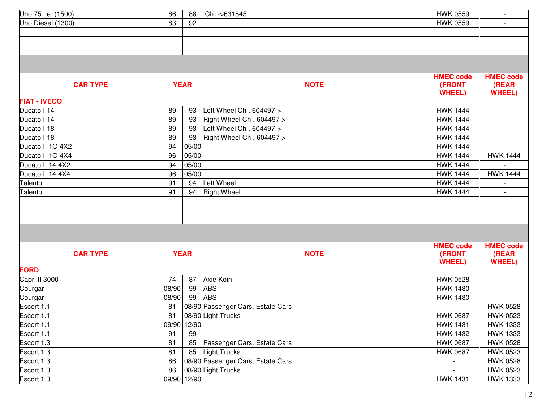| Uno 75 i.e. (1500)  | 86    | 88          | Ch.->631845                       | <b>HWK 0559</b>  |                          |
|---------------------|-------|-------------|-----------------------------------|------------------|--------------------------|
| Uno Diesel (1300)   | 83    | 92          |                                   | <b>HWK 0559</b>  |                          |
|                     |       |             |                                   |                  |                          |
|                     |       |             |                                   |                  |                          |
|                     |       |             |                                   |                  |                          |
|                     |       |             |                                   |                  |                          |
|                     |       |             |                                   | <b>HMEC code</b> | <b>HMEC code</b>         |
| <b>CAR TYPE</b>     |       | <b>YEAR</b> | <b>NOTE</b>                       | (FRONT           | (REAR                    |
|                     |       |             |                                   | <b>WHEEL)</b>    | <b>WHEEL)</b>            |
| <b>FIAT - IVECO</b> |       |             |                                   |                  |                          |
| Ducato I 14         | 89    | 93          | Left Wheel Ch. 604497->           | <b>HWK 1444</b>  | $\overline{\phantom{a}}$ |
| Ducato I 14         | 89    | 93          | Right Wheel Ch. 604497->          | <b>HWK 1444</b>  |                          |
| Ducato I 18         | 89    | 93          | Left Wheel Ch. 604497->           | <b>HWK 1444</b>  |                          |
| Ducato I 18         | 89    | 93          | Right Wheel Ch. 604497->          | <b>HWK 1444</b>  |                          |
| Ducato II 1O 4X2    | 94    | 05/00       |                                   | <b>HWK 1444</b>  |                          |
| Ducato II 10 4X4    | 96    | 05/00       |                                   | <b>HWK 1444</b>  | <b>HWK 1444</b>          |
| Ducato II 14 4X2    | 94    | 05/00       |                                   | <b>HWK 1444</b>  |                          |
| Ducato II 14 4X4    | 96    | 05/00       |                                   | <b>HWK 1444</b>  | <b>HWK 1444</b>          |
| Talento             | 91    | 94          | Left Wheel                        | <b>HWK 1444</b>  |                          |
| Talento             | 91    | 94          | <b>Right Wheel</b>                | <b>HWK 1444</b>  |                          |
|                     |       |             |                                   |                  |                          |
|                     |       |             |                                   |                  |                          |
|                     |       |             |                                   |                  |                          |
|                     |       |             |                                   |                  |                          |
|                     |       |             |                                   |                  |                          |
|                     |       |             |                                   | <b>HMEC code</b> | <b>HMEC code</b>         |
| <b>CAR TYPE</b>     |       | <b>YEAR</b> | <b>NOTE</b>                       | (FRONT           | (REAR                    |
| <b>FORD</b>         |       |             |                                   | <b>WHEEL)</b>    | <b>WHEEL</b>             |
| Capri II 3000       | 74    | 87          | Axie Koin                         | <b>HWK 0528</b>  | $\overline{\phantom{a}}$ |
| Courgar             | 08/90 | 99          | <b>ABS</b>                        | <b>HWK 1480</b>  | $\overline{\phantom{a}}$ |
| Courgar             | 08/90 | 99          | <b>ABS</b>                        | <b>HWK 1480</b>  |                          |
| Escort 1.1          | 81    |             | 08/90 Passenger Cars, Estate Cars |                  | <b>HWK 0528</b>          |
| Escort 1.1          | 81    |             | 08/90 Light Trucks                | <b>HWK 0687</b>  | <b>HWK 0523</b>          |
| Escort 1.1          | 09/90 | 12/90       |                                   | <b>HWK 1431</b>  | <b>HWK 1333</b>          |
| Escort 1.1          | 91    | 99          |                                   | <b>HWK 1432</b>  | <b>HWK 1333</b>          |
| Escort 1.3          | 81    | 85          | Passenger Cars, Estate Cars       | <b>HWK 0687</b>  | <b>HWK 0528</b>          |
| Escort 1.3          | 81    | 85          | Light Trucks                      | <b>HWK 0687</b>  | <b>HWK 0523</b>          |
| Escort 1.3          | 86    |             | 08/90 Passenger Cars, Estate Cars |                  | <b>HWK 0528</b>          |
| Escort 1.3          | 86    |             | 08/90 Light Trucks                | $\sim$           | <b>HWK 0523</b>          |
| Escort 1.3          | 09/90 | 12/90       |                                   | <b>HWK 1431</b>  | <b>HWK 1333</b>          |
|                     |       |             |                                   |                  |                          |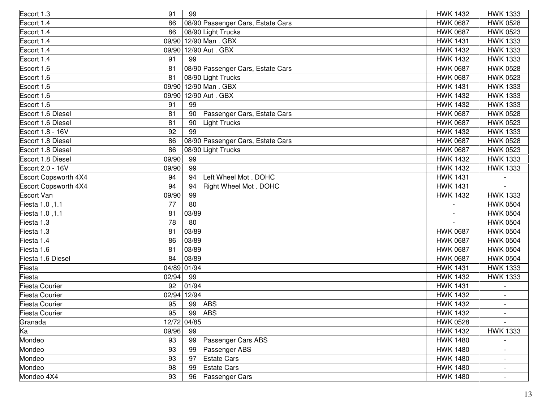| Escort 1.3            | 91          | 99    |                                   |  | <b>HWK 1432</b> | <b>HWK 1333</b> |
|-----------------------|-------------|-------|-----------------------------------|--|-----------------|-----------------|
| Escort 1.4            | 86          |       | 08/90 Passenger Cars, Estate Cars |  | <b>HWK 0687</b> | <b>HWK 0528</b> |
| Escort 1.4            | 86          |       | 08/90 Light Trucks                |  | <b>HWK 0687</b> | <b>HWK 0523</b> |
| Escort 1.4            | 09/90       |       | 12/90 Man . GBX                   |  | <b>HWK 1431</b> | <b>HWK 1333</b> |
| Escort 1.4            | 09/90       |       | 12/90 Aut. GBX                    |  | <b>HWK 1432</b> | <b>HWK 1333</b> |
| Escort 1.4            | 91          | 99    |                                   |  | <b>HWK 1432</b> | <b>HWK 1333</b> |
| Escort 1.6            | 81          |       | 08/90 Passenger Cars, Estate Cars |  | <b>HWK 0687</b> | <b>HWK 0528</b> |
| Escort 1.6            | 81          |       | 08/90 Light Trucks                |  | <b>HWK 0687</b> | <b>HWK 0523</b> |
| Escort 1.6            | 09/90       |       | 12/90 Man . GBX                   |  | <b>HWK 1431</b> | <b>HWK 1333</b> |
| Escort 1.6            | 09/90       |       | 12/90 Aut. GBX                    |  | <b>HWK 1432</b> | <b>HWK 1333</b> |
| Escort 1.6            | 91          | 99    |                                   |  | <b>HWK 1432</b> | <b>HWK 1333</b> |
| Escort 1.6 Diesel     | 81          | 90    | Passenger Cars, Estate Cars       |  | <b>HWK 0687</b> | <b>HWK 0528</b> |
| Escort 1.6 Diesel     | 81          | 90    | Light Trucks                      |  | <b>HWK 0687</b> | <b>HWK 0523</b> |
| Escort 1.8 - 16V      | 92          | 99    |                                   |  | <b>HWK 1432</b> | <b>HWK 1333</b> |
| Escort 1.8 Diesel     | 86          |       | 08/90 Passenger Cars, Estate Cars |  | <b>HWK 0687</b> | <b>HWK 0528</b> |
| Escort 1.8 Diesel     | 86          |       | 08/90 Light Trucks                |  | <b>HWK 0687</b> | <b>HWK 0523</b> |
| Escort 1.8 Diesel     | 09/90       | 99    |                                   |  | <b>HWK 1432</b> | <b>HWK 1333</b> |
| Escort 2.0 - 16V      | 09/90       | 99    |                                   |  | <b>HWK 1432</b> | <b>HWK 1333</b> |
| Escort Copsworth 4X4  | 94          | 94    | Left Wheel Mot. DOHC              |  | <b>HWK 1431</b> |                 |
| Escort Copsworth 4X4  | 94          | 94    | Right Wheel Mot. DOHC             |  | <b>HWK 1431</b> |                 |
| <b>Escort Van</b>     | 09/90       | 99    |                                   |  | <b>HWK 1432</b> | <b>HWK 1333</b> |
| Fiesta 1.0, 1.1       | 77          | 80    |                                   |  |                 | <b>HWK 0504</b> |
| Fiesta 1.0, 1.1       | 81          | 03/89 |                                   |  |                 | <b>HWK 0504</b> |
| Fiesta 1.3            | 78          | 80    |                                   |  |                 | <b>HWK 0504</b> |
| Fiesta 1.3            | 81          | 03/89 |                                   |  | <b>HWK 0687</b> | <b>HWK 0504</b> |
| Fiesta 1.4            | 86          | 03/89 |                                   |  | <b>HWK 0687</b> | <b>HWK 0504</b> |
| Fiesta 1.6            | 81          | 03/89 |                                   |  | <b>HWK 0687</b> | <b>HWK 0504</b> |
| Fiesta 1.6 Diesel     | 84          | 03/89 |                                   |  | <b>HWK 0687</b> | <b>HWK 0504</b> |
| Fiesta                | 04/89 01/94 |       |                                   |  | <b>HWK 1431</b> | <b>HWK 1333</b> |
| Fiesta                | 02/94       | 99    |                                   |  | <b>HWK 1432</b> | <b>HWK 1333</b> |
| <b>Fiesta Courier</b> | 92          | 01/94 |                                   |  | <b>HWK 1431</b> |                 |
| <b>Fiesta Courier</b> | 02/94       | 12/94 |                                   |  | <b>HWK 1432</b> |                 |
| <b>Fiesta Courier</b> | 95          | 99    | <b>ABS</b>                        |  | <b>HWK 1432</b> |                 |
| <b>Fiesta Courier</b> | 95          | 99    | <b>ABS</b>                        |  | <b>HWK 1432</b> |                 |
| Granada               | 12/72 04/85 |       |                                   |  | <b>HWK 0528</b> |                 |
| Ka                    | 09/96       | 99    |                                   |  | <b>HWK 1432</b> | <b>HWK 1333</b> |
| Mondeo                | 93          | 99    | Passenger Cars ABS                |  | <b>HWK 1480</b> |                 |
| Mondeo                | 93          | 99    | Passenger ABS                     |  | <b>HWK 1480</b> |                 |
| Mondeo                | 93          | 97    | <b>Estate Cars</b>                |  | <b>HWK 1480</b> |                 |
| Mondeo                | 98          | 99    | <b>Estate Cars</b>                |  | <b>HWK 1480</b> |                 |
| Mondeo 4X4            | 93          | 96    | Passenger Cars                    |  | <b>HWK 1480</b> |                 |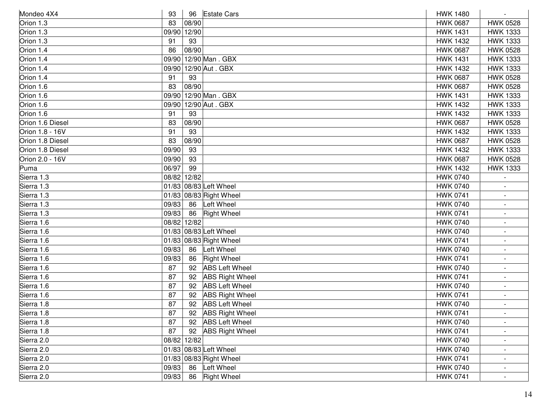| Mondeo 4X4       | 93    |             | 96 Estate Cars          | <b>HWK 1480</b> |                          |
|------------------|-------|-------------|-------------------------|-----------------|--------------------------|
| Orion 1.3        | 83    | 08/90       |                         | <b>HWK 0687</b> | <b>HWK 0528</b>          |
| Orion 1.3        | 09/90 | 12/90       |                         | <b>HWK 1431</b> | <b>HWK 1333</b>          |
| Orion 1.3        | 91    | 93          |                         | <b>HWK 1432</b> | <b>HWK 1333</b>          |
| Orion 1.4        | 86    | 08/90       |                         | <b>HWK 0687</b> | <b>HWK 0528</b>          |
| Orion 1.4        | 09/90 |             | 12/90 Man. GBX          | <b>HWK 1431</b> | <b>HWK 1333</b>          |
| Orion 1.4        |       |             | 09/90 12/90 Aut. GBX    | <b>HWK 1432</b> | <b>HWK 1333</b>          |
| Orion 1.4        | 91    | 93          |                         | <b>HWK 0687</b> | <b>HWK 0528</b>          |
| Orion 1.6        | 83    | 08/90       |                         | <b>HWK 0687</b> | <b>HWK 0528</b>          |
| Orion 1.6        | 09/90 |             | 12/90 Man . GBX         | <b>HWK 1431</b> | <b>HWK 1333</b>          |
| Orion 1.6        | 09/90 |             | 12/90 Aut. GBX          | <b>HWK 1432</b> | <b>HWK 1333</b>          |
| Orion 1.6        | 91    | 93          |                         | <b>HWK 1432</b> | <b>HWK 1333</b>          |
| Orion 1.6 Diesel | 83    | 08/90       |                         | <b>HWK 0687</b> | <b>HWK 0528</b>          |
| Orion 1.8 - 16V  | 91    | 93          |                         | <b>HWK 1432</b> | <b>HWK 1333</b>          |
| Orion 1.8 Diesel | 83    | 08/90       |                         | <b>HWK 0687</b> | <b>HWK 0528</b>          |
| Orion 1.8 Diesel | 09/90 | 93          |                         | <b>HWK 1432</b> | <b>HWK 1333</b>          |
| Orion 2.0 - 16V  | 09/90 | 93          |                         | <b>HWK 0687</b> | <b>HWK 0528</b>          |
| Puma             | 06/97 | 99          |                         | <b>HWK 1432</b> | <b>HWK 1333</b>          |
| Sierra 1.3       |       | 08/82 12/82 |                         | <b>HWK 0740</b> |                          |
| Sierra 1.3       |       |             | 01/83 08/83 Left Wheel  | <b>HWK 0740</b> |                          |
| Sierra 1.3       |       |             | 01/83 08/83 Right Wheel | <b>HWK 0741</b> |                          |
| Sierra 1.3       | 09/83 | 86          | Left Wheel              | <b>HWK 0740</b> |                          |
| Sierra 1.3       | 09/83 | 86          | <b>Right Wheel</b>      | <b>HWK 0741</b> |                          |
| Sierra 1.6       |       | 08/82 12/82 |                         | <b>HWK 0740</b> | $\blacksquare$           |
| Sierra 1.6       |       |             | 01/83 08/83 Left Wheel  | <b>HWK 0740</b> |                          |
| Sierra 1.6       |       |             | 01/83 08/83 Right Wheel | <b>HWK 0741</b> |                          |
| Sierra 1.6       | 09/83 | 86          | Left Wheel              | <b>HWK 0740</b> |                          |
| Sierra 1.6       | 09/83 | 86          | <b>Right Wheel</b>      | <b>HWK 0741</b> |                          |
| Sierra 1.6       | 87    | 92          | <b>ABS Left Wheel</b>   | <b>HWK 0740</b> |                          |
| Sierra 1.6       | 87    | 92          | <b>ABS Right Wheel</b>  | <b>HWK 0741</b> |                          |
| Sierra 1.6       | 87    | 92          | <b>ABS Left Wheel</b>   | <b>HWK 0740</b> |                          |
| Sierra 1.6       | 87    | 92          | <b>ABS Right Wheel</b>  | <b>HWK 0741</b> |                          |
| Sierra 1.8       | 87    | 92          | <b>ABS Left Wheel</b>   | <b>HWK 0740</b> |                          |
| Sierra 1.8       | 87    | 92          | <b>ABS Right Wheel</b>  | <b>HWK 0741</b> |                          |
| Sierra 1.8       | 87    |             | 92 ABS Left Wheel       | <b>HWK 0740</b> |                          |
| Sierra 1.8       | 87    | 92          | <b>ABS Right Wheel</b>  | <b>HWK 0741</b> |                          |
| Sierra 2.0       |       | 08/82 12/82 |                         | <b>HWK 0740</b> |                          |
| Sierra 2.0       |       |             | 01/83 08/83 Left Wheel  | <b>HWK 0740</b> |                          |
| Sierra 2.0       |       |             | 01/83 08/83 Right Wheel | <b>HWK 0741</b> | $\overline{\phantom{a}}$ |
| Sierra 2.0       | 09/83 | 86          | Left Wheel              | <b>HWK 0740</b> |                          |
| Sierra 2.0       | 09/83 | 86          | <b>Right Wheel</b>      | <b>HWK 0741</b> |                          |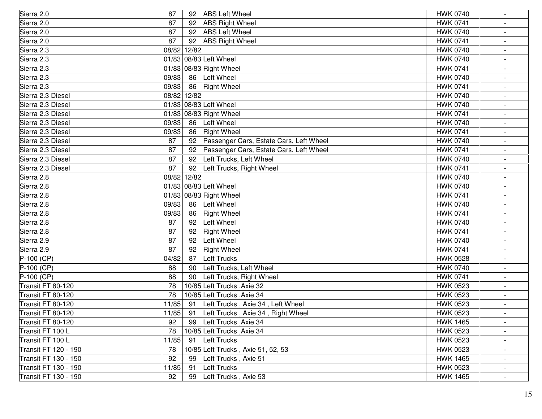| Sierra 2.0           | 87          | 92 | <b>ABS Left Wheel</b>                   | <b>HWK 0740</b> |                          |
|----------------------|-------------|----|-----------------------------------------|-----------------|--------------------------|
| Sierra 2.0           | 87          | 92 | <b>ABS Right Wheel</b>                  | <b>HWK 0741</b> |                          |
| Sierra 2.0           | 87          | 92 | <b>ABS Left Wheel</b>                   | <b>HWK 0740</b> |                          |
| Sierra 2.0           | 87          | 92 | <b>ABS Right Wheel</b>                  | <b>HWK 0741</b> |                          |
| Sierra 2.3           | 08/82 12/82 |    |                                         | <b>HWK 0740</b> | $\blacksquare$           |
| Sierra 2.3           |             |    | 01/83 08/83 Left Wheel                  | <b>HWK 0740</b> | $\overline{\phantom{a}}$ |
| Sierra 2.3           |             |    | 01/83 08/83 Right Wheel                 | <b>HWK 0741</b> |                          |
| Sierra 2.3           | 09/83       | 86 | Left Wheel                              | <b>HWK 0740</b> |                          |
| Sierra 2.3           | 09/83       | 86 | <b>Right Wheel</b>                      | <b>HWK 0741</b> |                          |
| Sierra 2.3 Diesel    | 08/82 12/82 |    |                                         | <b>HWK 0740</b> | $\overline{\phantom{a}}$ |
| Sierra 2.3 Diesel    |             |    | 01/83 08/83 Left Wheel                  | <b>HWK 0740</b> |                          |
| Sierra 2.3 Diesel    |             |    | 01/83 08/83 Right Wheel                 | <b>HWK 0741</b> |                          |
| Sierra 2.3 Diesel    | 09/83       | 86 | Left Wheel                              | <b>HWK 0740</b> |                          |
| Sierra 2.3 Diesel    | 09/83       | 86 | <b>Right Wheel</b>                      | <b>HWK 0741</b> |                          |
| Sierra 2.3 Diesel    | 87          | 92 | Passenger Cars, Estate Cars, Left Wheel | <b>HWK 0740</b> | $\overline{\phantom{a}}$ |
| Sierra 2.3 Diesel    | 87          | 92 | Passenger Cars, Estate Cars, Left Wheel | <b>HWK 0741</b> | $\overline{\phantom{a}}$ |
| Sierra 2.3 Diesel    | 87          | 92 | Left Trucks, Left Wheel                 | <b>HWK 0740</b> |                          |
| Sierra 2.3 Diesel    | 87          | 92 | Left Trucks, Right Wheel                | <b>HWK 0741</b> |                          |
| Sierra 2.8           | 08/82 12/82 |    |                                         | <b>HWK 0740</b> |                          |
| Sierra 2.8           |             |    | 01/83 08/83 Left Wheel                  | <b>HWK 0740</b> |                          |
| Sierra 2.8           |             |    | 01/83 08/83 Right Wheel                 | <b>HWK 0741</b> |                          |
| Sierra 2.8           | 09/83       | 86 | Left Wheel                              | <b>HWK 0740</b> |                          |
| Sierra 2.8           | 09/83       | 86 | <b>Right Wheel</b>                      | <b>HWK 0741</b> |                          |
| Sierra 2.8           | 87          | 92 | Left Wheel                              | <b>HWK 0740</b> | $\overline{\phantom{a}}$ |
| Sierra 2.8           | 87          | 92 | <b>Right Wheel</b>                      | <b>HWK 0741</b> | $\overline{\phantom{a}}$ |
| Sierra 2.9           | 87          | 92 | Left Wheel                              | <b>HWK 0740</b> |                          |
| Sierra 2.9           | 87          | 92 | <b>Right Wheel</b>                      | <b>HWK 0741</b> |                          |
| $P-100$ (CP)         | 04/82       | 87 | Left Trucks                             | <b>HWK 0528</b> |                          |
| $P-100$ (CP)         | 88          | 90 | Left Trucks, Left Wheel                 | <b>HWK 0740</b> |                          |
| $P-100$ (CP)         | 88          | 90 | Left Trucks, Right Wheel                | <b>HWK 0741</b> |                          |
| Transit FT 80-120    | 78          |    | 10/85 Left Trucks, Axie 32              | <b>HWK 0523</b> |                          |
| Transit FT 80-120    | 78          |    | 10/85 Left Trucks, Axie 34              | <b>HWK 0523</b> |                          |
| Transit FT 80-120    | 11/85       | 91 | Left Trucks, Axie 34, Left Wheel        | <b>HWK 0523</b> |                          |
| Transit FT 80-120    | 11/85       | 91 | Left Trucks, Axie 34, Right Wheel       | <b>HWK 0523</b> |                          |
| Transit FT 80-120    | 92          | 99 | Left Trucks, Axie 34                    | <b>HWK 1465</b> |                          |
| Transit FT 100 L     | 78          |    | 10/85 Left Trucks, Axie 34              | <b>HWK 0523</b> |                          |
| Transit FT 100 L     | 11/85       | 91 | Left Trucks                             | <b>HWK 0523</b> |                          |
| Transit FT 120 - 190 | 78          |    | 10/85 Left Trucks, Axie 51, 52, 53      | <b>HWK 0523</b> |                          |
| Transit FT 130 - 150 | 92          | 99 | Left Trucks , Axie 51                   | <b>HWK 1465</b> | $\overline{\phantom{a}}$ |
| Transit FT 130 - 190 | 11/85       | 91 | <b>Left Trucks</b>                      | <b>HWK 0523</b> |                          |
| Transit FT 130 - 190 | 92          | 99 | Left Trucks, Axie 53                    | <b>HWK 1465</b> | $\blacksquare$           |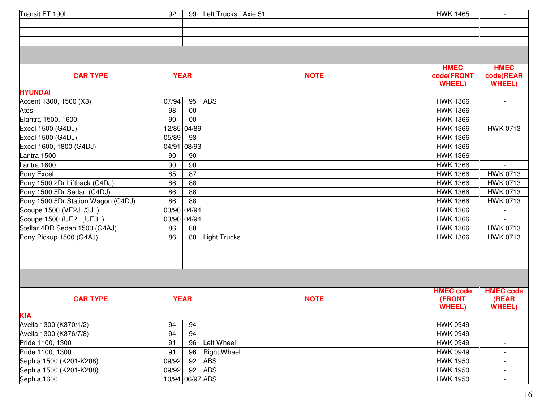| Transit FT 190L                    | 92    | 99              | Left Trucks, Axie 51 | <b>HWK 1465</b>             |                             |
|------------------------------------|-------|-----------------|----------------------|-----------------------------|-----------------------------|
|                                    |       |                 |                      |                             |                             |
|                                    |       |                 |                      |                             |                             |
|                                    |       |                 |                      |                             |                             |
|                                    |       |                 |                      |                             |                             |
|                                    |       |                 |                      | <b>HMEC</b>                 | <b>HMEC</b>                 |
| <b>CAR TYPE</b>                    |       | <b>YEAR</b>     | <b>NOTE</b>          | code(FRONT<br><b>WHEEL)</b> | code(REAR<br><b>WHEEL</b> ) |
| <b>HYUNDAI</b>                     |       |                 |                      |                             |                             |
| Accent 1300, 1500 (X3)             | 07/94 | 95              | <b>ABS</b>           | <b>HWK 1366</b>             |                             |
| Atos                               | 98    | 00              |                      | <b>HWK 1366</b>             |                             |
| Elantra 1500, 1600                 | 90    | 00              |                      | <b>HWK 1366</b>             |                             |
| Excel 1500 (G4DJ)                  |       | 12/85 04/89     |                      | <b>HWK 1366</b>             | <b>HWK 0713</b>             |
| Excel 1500 (G4DJ)                  | 05/89 | 93              |                      | <b>HWK 1366</b>             |                             |
| Excel 1600, 1800 (G4DJ)            | 04/91 | 08/93           |                      | <b>HWK 1366</b>             |                             |
| Lantra 1500                        | 90    | 90              |                      | <b>HWK 1366</b>             |                             |
| Lantra 1600                        | 90    | 90              |                      | <b>HWK 1366</b>             |                             |
| Pony Excel                         | 85    | 87              |                      | <b>HWK 1366</b>             | <b>HWK 0713</b>             |
| Pony 1500 2Dr Liftback (C4DJ)      | 86    | 88              |                      | <b>HWK 1366</b>             | <b>HWK 0713</b>             |
| Pony 1500 5Dr Sedan (C4DJ)         | 86    | 88              |                      | <b>HWK 1366</b>             | <b>HWK 0713</b>             |
| Pony 1500 5Dr Station Wagon (C4DJ) | 86    | 88              |                      | <b>HWK 1366</b>             | <b>HWK 0713</b>             |
| Scoupe 1500 (VE2J/3J)              |       | 03/90 04/94     |                      | <b>HWK 1366</b>             |                             |
| Scoupe 1500 (UE2, UE3)             | 03/90 | 04/94           |                      | <b>HWK 1366</b>             |                             |
| Stellar 4DR Sedan 1500 (G4AJ)      | 86    | 88              |                      | <b>HWK 1366</b>             | <b>HWK 0713</b>             |
| Pony Pickup 1500 (G4AJ)            | 86    | 88              | Light Trucks         | <b>HWK 1366</b>             | <b>HWK 0713</b>             |
|                                    |       |                 |                      |                             |                             |
|                                    |       |                 |                      |                             |                             |
|                                    |       |                 |                      |                             |                             |
|                                    |       |                 |                      |                             |                             |
|                                    |       |                 |                      | <b>HMEC code</b>            | <b>HMEC code</b>            |
| <b>CAR TYPE</b>                    |       | <b>YEAR</b>     | <b>NOTE</b>          | (FRONT                      | (REAR                       |
|                                    |       |                 |                      | <b>WHEEL)</b>               | <b>WHEEL)</b>               |
| <b>KIA</b>                         |       |                 |                      |                             |                             |
| Avella 1300 (K370/1/2)             | 94    | 94              |                      | <b>HWK 0949</b>             | $\overline{\phantom{a}}$    |
| Avella 1300 (K376/7/8)             | 94    | 94              |                      | <b>HWK 0949</b>             |                             |
| Pride 1100, 1300                   | 91    | 96              | Left Wheel           | <b>HWK 0949</b>             |                             |
| Pride 1100, 1300                   | 91    | 96              | <b>Right Wheel</b>   | <b>HWK 0949</b>             |                             |
| Sephia 1500 (K201-K208)            | 09/92 | 92              | <b>ABS</b>           | <b>HWK 1950</b>             |                             |
| Sephia 1500 (K201-K208)            | 09/92 | 92              | <b>ABS</b>           | <b>HWK 1950</b>             | $\overline{\phantom{a}}$    |
| Sephia 1600                        |       | 10/94 06/97 ABS |                      | <b>HWK 1950</b>             |                             |
|                                    |       |                 |                      |                             |                             |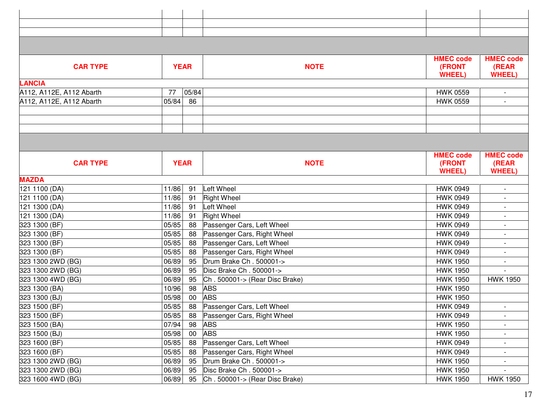|                          |       |             |                                | <b>HMEC code</b> | <b>HMEC code</b>         |
|--------------------------|-------|-------------|--------------------------------|------------------|--------------------------|
| <b>CAR TYPE</b>          |       | <b>YEAR</b> | <b>NOTE</b>                    | (FRONT           | (REAR                    |
| <b>LANCIA</b>            |       |             |                                | <b>WHEEL)</b>    | <b>WHEEL</b>             |
| A112, A112E, A112 Abarth | 77    | 05/84       |                                | <b>HWK 0559</b>  | $\overline{a}$           |
| A112, A112E, A112 Abarth | 05/84 | 86          |                                | <b>HWK 0559</b>  | $\overline{\phantom{a}}$ |
|                          |       |             |                                |                  |                          |
|                          |       |             |                                |                  |                          |
|                          |       |             |                                |                  |                          |
|                          |       |             |                                |                  |                          |
|                          |       |             |                                | <b>HMEC code</b> | <b>HMEC code</b>         |
| <b>CAR TYPE</b>          |       | <b>YEAR</b> | <b>NOTE</b>                    | (FRONT           | (REAR                    |
|                          |       |             |                                | <b>WHEEL</b>     | <b>WHEEL</b>             |
| <b>MAZDA</b>             |       |             |                                |                  |                          |
| 121 1100 (DA)            | 11/86 | 91          | Left Wheel                     | <b>HWK 0949</b>  | $\overline{\phantom{a}}$ |
| 121 1100 (DA)            | 11/86 | 91          | <b>Right Wheel</b>             | <b>HWK 0949</b>  |                          |
| 121 1300 (DA)            | 11/86 | 91          | Left Wheel                     | <b>HWK 0949</b>  |                          |
| 121 1300 (DA)            | 11/86 | 91          | <b>Right Wheel</b>             | <b>HWK 0949</b>  |                          |
| 323 1300 (BF)            | 05/85 | 88          | Passenger Cars, Left Wheel     | <b>HWK 0949</b>  |                          |
| 323 1300 (BF)            | 05/85 | 88          | Passenger Cars, Right Wheel    | <b>HWK 0949</b>  |                          |
| 323 1300 (BF)            | 05/85 | 88          | Passenger Cars, Left Wheel     | <b>HWK 0949</b>  |                          |
| 323 1300 (BF)            | 05/85 | 88          | Passenger Cars, Right Wheel    | <b>HWK 0949</b>  |                          |
| 323 1300 2WD (BG)        | 06/89 | 95          | Drum Brake Ch. 500001->        | <b>HWK 1950</b>  |                          |
| 323 1300 2WD (BG)        | 06/89 | 95          | Disc Brake Ch. 500001->        | <b>HWK 1950</b>  |                          |
| 323 1300 4WD (BG)        | 06/89 | 95          | Ch. 500001-> (Rear Disc Brake) | <b>HWK 1950</b>  | <b>HWK 1950</b>          |
| 323 1300 (BA)            | 10/96 | 98          | <b>ABS</b>                     | <b>HWK 1950</b>  |                          |
| 323 1300 (BJ)            | 05/98 | 00          | <b>ABS</b>                     | <b>HWK 1950</b>  |                          |
| 323 1500 (BF)            | 05/85 | 88          | Passenger Cars, Left Wheel     | <b>HWK 0949</b>  |                          |
| 323 1500 (BF)            | 05/85 | -88         | Passenger Cars, Right Wheel    | <b>HWK 0949</b>  | $\overline{\phantom{a}}$ |
| 323 1500 (BA)            | 07/94 | 98          | <b>ABS</b>                     | <b>HWK 1950</b>  |                          |
| 323 1500 (BJ)            | 05/98 | 00          | <b>ABS</b>                     | <b>HWK 1950</b>  |                          |
| 323 1600 (BF)            | 05/85 | 88          | Passenger Cars, Left Wheel     | <b>HWK 0949</b>  |                          |
| 323 1600 (BF)            | 05/85 | 88          | Passenger Cars, Right Wheel    | <b>HWK 0949</b>  | $\blacksquare$           |
| 323 1300 2WD (BG)        | 06/89 | 95          | Drum Brake Ch. 500001->        | <b>HWK 1950</b>  |                          |
| 323 1300 2WD (BG)        | 06/89 | 95          | Disc Brake Ch. 500001->        | <b>HWK 1950</b>  |                          |
| 323 1600 4WD (BG)        | 06/89 | 95          | Ch. 500001-> (Rear Disc Brake) | <b>HWK 1950</b>  | <b>HWK 1950</b>          |
|                          |       |             |                                |                  |                          |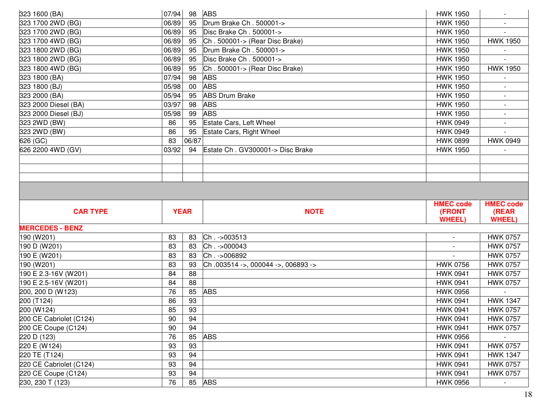| 323 1600 (BA)              | 07/94       | 98 ABS |                                    | <b>HWK 1950</b>  |                                    |
|----------------------------|-------------|--------|------------------------------------|------------------|------------------------------------|
| 323 1700 2WD (BG)          | 06/89       | 95     | Drum Brake Ch. 500001->            | <b>HWK 1950</b>  |                                    |
| 323 1700 2WD (BG)          | 06/89       | 95     | Disc Brake Ch. 500001->            | <b>HWK 1950</b>  |                                    |
| 323 1700 4WD (BG)          | 06/89       | 95     | Ch. 500001-> (Rear Disc Brake)     | <b>HWK 1950</b>  | <b>HWK 1950</b>                    |
| 323 1800 2WD (BG)          | 06/89       | 95     | Drum Brake Ch. 500001->            | <b>HWK 1950</b>  |                                    |
| 323 1800 2WD (BG)          | 06/89       | 95     | Disc Brake Ch. 500001->            | <b>HWK 1950</b>  |                                    |
| 323 1800 4WD (BG)          | 06/89       | 95     | Ch. 500001-> (Rear Disc Brake)     | <b>HWK 1950</b>  | <b>HWK 1950</b>                    |
| 323 1800 (BA)              | 07/94       | 98     | <b>ABS</b>                         | <b>HWK 1950</b>  |                                    |
| 323 1800 (BJ)              | 05/98       | 00     | <b>ABS</b>                         | <b>HWK 1950</b>  |                                    |
| 323 2000 (BA)              | 05/94       | 95     | <b>ABS Drum Brake</b>              | <b>HWK 1950</b>  | $\overline{\phantom{a}}$           |
| 323 2000 Diesel (BA)       | 03/97       | 98     | <b>ABS</b>                         | <b>HWK 1950</b>  |                                    |
| 323 2000 Diesel (BJ)       | 05/98       | 99     | <b>ABS</b>                         | <b>HWK 1950</b>  |                                    |
| 323 2WD (BW)               | 86          | 95     | Estate Cars, Left Wheel            | <b>HWK 0949</b>  |                                    |
| 323 2WD (BW)               | 86          | 95     | <b>Estate Cars, Right Wheel</b>    | <b>HWK 0949</b>  |                                    |
| 626 (GC)                   | 83          | 06/87  |                                    | <b>HWK 0899</b>  | <b>HWK 0949</b>                    |
| 626 2200 4WD (GV)          | 03/92       | 94     | Estate Ch. GV300001-> Disc Brake   | <b>HWK 1950</b>  |                                    |
|                            |             |        |                                    |                  |                                    |
|                            |             |        |                                    |                  |                                    |
|                            |             |        |                                    |                  |                                    |
|                            |             |        |                                    |                  |                                    |
|                            |             |        |                                    |                  |                                    |
|                            |             |        |                                    |                  |                                    |
|                            |             |        |                                    | <b>HMEC code</b> | <b>HMEC code</b>                   |
| <b>CAR TYPE</b>            | <b>YEAR</b> |        | <b>NOTE</b>                        | (FRONT           | (REAR                              |
| <b>MERCEDES - BENZ</b>     |             |        |                                    | <b>WHEEL)</b>    | <b>WHEEL</b> )                     |
|                            | 83          | 83     |                                    |                  |                                    |
| 190 (W201)<br>190 D (W201) | 83          | 83     | Ch. - > 003513<br>Ch. - > 000043   |                  | <b>HWK 0757</b><br><b>HWK 0757</b> |
| 190 E (W201)               | 83          | 83     | Ch. - > 006892                     |                  | <b>HWK 0757</b>                    |
| 190 (W201)                 | 83          | 93     | Ch.003514 ->, 000044 ->, 006893 -> | <b>HWK 0756</b>  | <b>HWK 0757</b>                    |
| 190 E 2.3-16V (W201)       | 84          | 88     |                                    | <b>HWK 0941</b>  | <b>HWK 0757</b>                    |
| 190 E 2.5-16V (W201)       | 84          | 88     |                                    | <b>HWK 0941</b>  | <b>HWK 0757</b>                    |
| 200, 200 D (W123)          | 76          | 85     | <b>ABS</b>                         | <b>HWK 0956</b>  |                                    |
| 200 (T124)                 | 86          | 93     |                                    | <b>HWK 0941</b>  | <b>HWK 1347</b>                    |
| 200 (W124)                 | 85          | 93     |                                    | <b>HWK 0941</b>  | <b>HWK 0757</b>                    |
| 200 CE Cabriolet (C124)    | 90          | 94     |                                    | <b>HWK 0941</b>  | <b>HWK 0757</b>                    |
| 200 CE Coupe (C124)        | 90          | 94     |                                    | <b>HWK 0941</b>  | <b>HWK 0757</b>                    |
| 220 D (123)                | 76          | 85     | <b>ABS</b>                         | <b>HWK 0956</b>  |                                    |
| 220 E (W124)               | 93          | 93     |                                    | <b>HWK 0941</b>  | <b>HWK 0757</b>                    |
| 220 TE (T124)              | 93          | 94     |                                    | <b>HWK 0941</b>  | <b>HWK 1347</b>                    |
| 220 CE Cabriolet (C124)    | 93          | 94     |                                    | <b>HWK 0941</b>  | <b>HWK 0757</b>                    |
| 220 CE Coupe (C124)        | 93          | 94     | <b>ABS</b>                         | <b>HWK 0941</b>  | <b>HWK 0757</b>                    |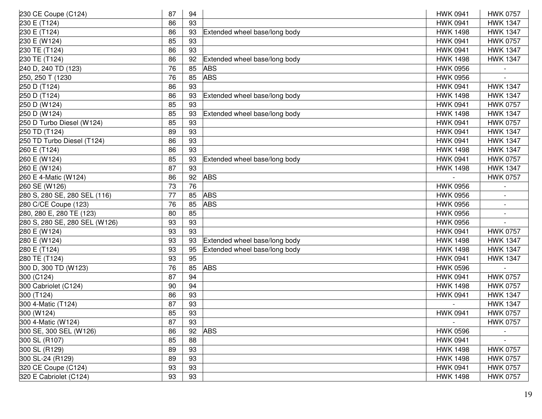| 230 CE Coupe (C124)           | 87 | 94 |                               | <b>HWK 0941</b> | <b>HWK 0757</b> |
|-------------------------------|----|----|-------------------------------|-----------------|-----------------|
| 230 E (T124)                  | 86 | 93 |                               | <b>HWK 0941</b> | <b>HWK 1347</b> |
| 230 E (T124)                  | 86 | 93 | Extended wheel base/long body | <b>HWK 1498</b> | <b>HWK 1347</b> |
| 230 E (W124)                  | 85 | 93 |                               | <b>HWK 0941</b> | <b>HWK 0757</b> |
| 230 TE (T124)                 | 86 | 93 |                               | <b>HWK 0941</b> | <b>HWK 1347</b> |
| 230 TE (T124)                 | 86 | 92 | Extended wheel base/long body | <b>HWK 1498</b> | <b>HWK 1347</b> |
| 240 D, 240 TD (123)           | 76 | 85 | <b>ABS</b>                    | <b>HWK 0956</b> |                 |
| 250, 250 T (1230              | 76 | 85 | <b>ABS</b>                    | <b>HWK 0956</b> |                 |
| 250 D (T124)                  | 86 | 93 |                               | <b>HWK 0941</b> | <b>HWK 1347</b> |
| 250 D (T124)                  | 86 | 93 | Extended wheel base/long body | <b>HWK 1498</b> | <b>HWK 1347</b> |
| 250 D (W124)                  | 85 | 93 |                               | <b>HWK 0941</b> | <b>HWK 0757</b> |
| 250 D (W124)                  | 85 | 93 | Extended wheel base/long body | <b>HWK 1498</b> | <b>HWK 1347</b> |
| 250 D Turbo Diesel (W124)     | 85 | 93 |                               | <b>HWK 0941</b> | <b>HWK 0757</b> |
| 250 TD (T124)                 | 89 | 93 |                               | <b>HWK 0941</b> | <b>HWK 1347</b> |
| 250 TD Turbo Diesel (T124)    | 86 | 93 |                               | <b>HWK 0941</b> | <b>HWK 1347</b> |
| 260 E (T124)                  | 86 | 93 |                               | <b>HWK 1498</b> | <b>HWK 1347</b> |
| 260 E (W124)                  | 85 | 93 | Extended wheel base/long body | <b>HWK 0941</b> | <b>HWK 0757</b> |
| 260 E (W124)                  | 87 | 93 |                               | <b>HWK 1498</b> | <b>HWK 1347</b> |
| 260 E 4-Matic (W124)          | 86 | 92 | <b>ABS</b>                    |                 | <b>HWK 0757</b> |
| 260 SE (W126)                 | 73 | 76 |                               | <b>HWK 0956</b> |                 |
| 280 S, 280 SE, 280 SEL (116)  | 77 | 85 | <b>ABS</b>                    | <b>HWK 0956</b> |                 |
| 280 C/CE Coupe (123)          | 76 | 85 | <b>ABS</b>                    | <b>HWK 0956</b> |                 |
| 280, 280 E, 280 TE (123)      | 80 | 85 |                               | <b>HWK 0956</b> |                 |
| 280 S, 280 SE, 280 SEL (W126) | 93 | 93 |                               | <b>HWK 0956</b> |                 |
| 280 E (W124)                  | 93 | 93 |                               | <b>HWK 0941</b> | <b>HWK 0757</b> |
| 280 E (W124)                  | 93 | 93 | Extended wheel base/long body | <b>HWK 1498</b> | <b>HWK 1347</b> |
| 280 E (T124)                  | 93 | 95 | Extended wheel base/long body | <b>HWK 1498</b> | <b>HWK 1347</b> |
| 280 TE (T124)                 | 93 | 95 |                               | <b>HWK 0941</b> | <b>HWK 1347</b> |
| 300 D, 300 TD (W123)          | 76 | 85 | <b>ABS</b>                    | <b>HWK 0596</b> |                 |
| 300 (C124)                    | 87 | 94 |                               | <b>HWK 0941</b> | <b>HWK 0757</b> |
| 300 Cabriolet (C124)          | 90 | 94 |                               | <b>HWK 1498</b> | <b>HWK 0757</b> |
| $300($ T124)                  | 86 | 93 |                               | <b>HWK 0941</b> | <b>HWK 1347</b> |
| 300 4-Matic (T124)            | 87 | 93 |                               |                 | <b>HWK 1347</b> |
| 300 (W124)                    | 85 | 93 |                               | <b>HWK 0941</b> | <b>HWK 0757</b> |
| 300 4-Matic (W124)            | 87 | 93 |                               |                 | <b>HWK 0757</b> |
| 300 SE, 300 SEL (W126)        | 86 | 92 | <b>ABS</b>                    | <b>HWK 0596</b> |                 |
| 300 SL (R107)                 | 85 | 88 |                               | <b>HWK 0941</b> |                 |
| 300 SL (R129)                 | 89 | 93 |                               | <b>HWK 1498</b> | <b>HWK 0757</b> |
| 300 SL-24 (R129)              | 89 | 93 |                               | <b>HWK 1498</b> | <b>HWK 0757</b> |
| 320 CE Coupe (C124)           | 93 | 93 |                               | <b>HWK 0941</b> | <b>HWK 0757</b> |
| 320 E Cabriolet (C124)        | 93 | 93 |                               | <b>HWK 1498</b> | <b>HWK 0757</b> |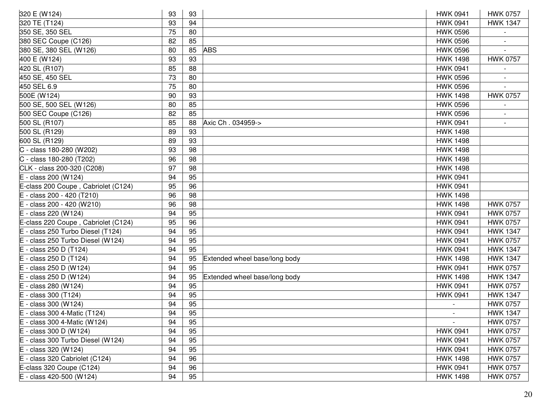| 320 E (W124)                            | 93 | 93 |                               | <b>HWK 0941</b> | <b>HWK 0757</b> |
|-----------------------------------------|----|----|-------------------------------|-----------------|-----------------|
| 320 TE (T124)                           | 93 | 94 |                               | <b>HWK 0941</b> | <b>HWK 1347</b> |
| 350 SE, 350 SEL                         | 75 | 80 |                               | <b>HWK 0596</b> |                 |
| 380 SEC Coupe (C126)                    | 82 | 85 |                               | <b>HWK 0596</b> |                 |
| 380 SE, 380 SEL (W126)                  | 80 | 85 | <b>ABS</b>                    | <b>HWK 0596</b> |                 |
| 400 E (W124)                            | 93 | 93 |                               | <b>HWK 1498</b> | <b>HWK 0757</b> |
| 420 SL (R107)                           | 85 | 88 |                               | <b>HWK 0941</b> |                 |
| 450 SE, 450 SEL                         | 73 | 80 |                               | <b>HWK 0596</b> |                 |
| 450 SEL 6.9                             | 75 | 80 |                               | <b>HWK 0596</b> |                 |
| $\overline{500E}$ (W124)                | 90 | 93 |                               | <b>HWK 1498</b> | <b>HWK 0757</b> |
| 500 SE, 500 SEL (W126)                  | 80 | 85 |                               | <b>HWK 0596</b> |                 |
| 500 SEC Coupe (C126)                    | 82 | 85 |                               | <b>HWK 0596</b> |                 |
| 500 SL (R107)                           | 85 | 88 | Axic Ch. 034959->             | <b>HWK 0941</b> |                 |
| 500 SL (R129)                           | 89 | 93 |                               | <b>HWK 1498</b> |                 |
| 600 SL (R129)                           | 89 | 93 |                               | <b>HWK 1498</b> |                 |
| C - class 180-280 (W202)                | 93 | 98 |                               | <b>HWK 1498</b> |                 |
| C - class 180-280 (T202)                | 96 | 98 |                               | <b>HWK 1498</b> |                 |
| CLK - class 200-320 (C208)              | 97 | 98 |                               | <b>HWK 1498</b> |                 |
| $E - class 200 (W124)$                  | 94 | 95 |                               | <b>HWK 0941</b> |                 |
| E-class 200 Coupe, Cabriolet (C124)     | 95 | 96 |                               | <b>HWK 0941</b> |                 |
| E - class 200 - 420 (T210)              | 96 | 98 |                               | <b>HWK 1498</b> |                 |
| - class 200 - 420 ( $\overline{W210}$ ) | 96 | 98 |                               | <b>HWK 1498</b> | <b>HWK 0757</b> |
| - class 220 (W124)                      | 94 | 95 |                               | <b>HWK 0941</b> | <b>HWK 0757</b> |
| E-class 220 Coupe, Cabriolet (C124)     | 95 | 96 |                               | <b>HWK 0941</b> | <b>HWK 0757</b> |
| - class 250 Turbo Diesel (T124)         | 94 | 95 |                               | <b>HWK 0941</b> | <b>HWK 1347</b> |
| - class 250 Turbo Diesel (W124)         | 94 | 95 |                               | <b>HWK 0941</b> | <b>HWK 0757</b> |
| - class 250 D (T124)                    | 94 | 95 |                               | <b>HWK 0941</b> | <b>HWK 1347</b> |
| - class 250 D (T124)                    | 94 | 95 | Extended wheel base/long body | <b>HWK 1498</b> | <b>HWK 1347</b> |
| - class 250 D (W124)                    | 94 | 95 |                               | <b>HWK 0941</b> | <b>HWK 0757</b> |
| - class 250 D (W124)                    | 94 | 95 | Extended wheel base/long body | <b>HWK 1498</b> | <b>HWK 1347</b> |
| - class 280 (W124)                      | 94 | 95 |                               | <b>HWK 0941</b> | <b>HWK 0757</b> |
| - class 300 (T124)                      | 94 | 95 |                               | <b>HWK 0941</b> | <b>HWK 1347</b> |
| - class 300 (W124)<br>E                 | 94 | 95 |                               |                 | <b>HWK 0757</b> |
| $E - class 300 4$ -Matic (T124)         | 94 | 95 |                               |                 | <b>HWK 1347</b> |
| E - class 300 4-Matic (W124)            | 94 | 95 |                               | $\sim$          | <b>HWK 0757</b> |
| E - class 300 D (W124)                  | 94 | 95 |                               | <b>HWK 0941</b> | <b>HWK 0757</b> |
| - class 300 Turbo Diesel (W124)         | 94 | 95 |                               | <b>HWK 0941</b> | <b>HWK 0757</b> |
| E - class 320 (W124)                    | 94 | 95 |                               | <b>HWK 0941</b> | <b>HWK 0757</b> |
| - class 320 Cabriolet (C124)            | 94 | 96 |                               | <b>HWK 1498</b> | <b>HWK 0757</b> |
| E-class 320 Coupe (C124)                | 94 | 96 |                               | <b>HWK 0941</b> | <b>HWK 0757</b> |
| E - class 420-500 (W124)                | 94 | 95 |                               | <b>HWK 1498</b> | <b>HWK 0757</b> |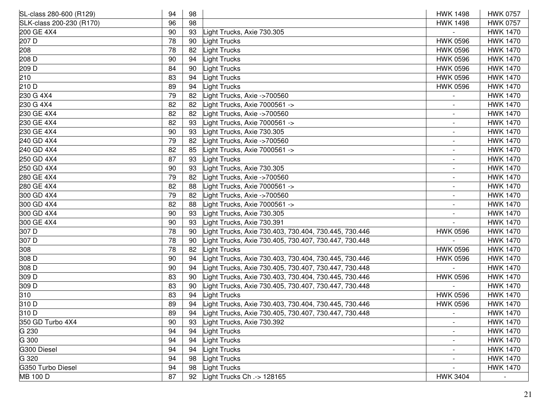| SL-class 280-600 (R129)  | 94 | 98 |                                                       | <b>HWK 1498</b>          | <b>HWK 0757</b> |
|--------------------------|----|----|-------------------------------------------------------|--------------------------|-----------------|
| SLK-class 200-230 (R170) | 96 | 98 |                                                       | <b>HWK 1498</b>          | <b>HWK 0757</b> |
| 200 GE 4X4               | 90 | 93 | ight Trucks, Axie 730.305                             |                          | <b>HWK 1470</b> |
| 207 D                    | 78 | 90 | ight Trucks                                           | <b>HWK 0596</b>          | <b>HWK 1470</b> |
| 208                      | 78 | 82 | ight Trucks                                           | <b>HWK 0596</b>          | <b>HWK 1470</b> |
| 208 D                    | 90 | 94 | ight Trucks                                           | <b>HWK 0596</b>          | <b>HWK 1470</b> |
| 209 D                    | 84 | 90 | ight Trucks                                           | <b>HWK 0596</b>          | <b>HWK 1470</b> |
| 210                      | 83 | 94 | ight Trucks                                           | <b>HWK 0596</b>          | <b>HWK 1470</b> |
| 210 D                    | 89 | 94 | ight Trucks                                           | <b>HWK 0596</b>          | <b>HWK 1470</b> |
| 230 G 4X4                | 79 | 82 | ight Trucks, Axie ->700560                            |                          | <b>HWK 1470</b> |
| 230 G 4X4                | 82 | 82 | -ight Trucks, Axie 7000561 ->                         |                          | <b>HWK 1470</b> |
| 230 GE 4X4               | 82 | 82 | ight Trucks, Axie ->700560                            |                          | <b>HWK 1470</b> |
| 230 GE 4X4               | 82 | 93 | -ight Trucks, Axie 7000561 ->                         |                          | <b>HWK 1470</b> |
| 230 GE 4X4               | 90 | 93 | ight Trucks, Axie 730.305                             | $\overline{\phantom{a}}$ | <b>HWK 1470</b> |
| 240 GD 4X4               | 79 | 82 | ight Trucks, Axie ->700560                            | $\overline{\phantom{a}}$ | <b>HWK 1470</b> |
| 240 GD 4X4               | 82 | 85 | -ight Trucks, Axie 7000561 ->                         |                          | <b>HWK 1470</b> |
| 250 GD 4X4               | 87 | 93 | ight Trucks                                           |                          | <b>HWK 1470</b> |
| 250 GD 4X4               | 90 | 93 | ight Trucks, Axie 730.305                             |                          | <b>HWK 1470</b> |
| 280 GE 4X4               | 79 | 82 | ight Trucks, Axie ->700560                            |                          | <b>HWK 1470</b> |
| 280 GE 4X4               | 82 | 88 | ight Trucks, Axie 7000561 ->                          |                          | <b>HWK 1470</b> |
| 300 GD 4X4               | 79 | 82 | ight Trucks, Axie ->700560                            |                          | <b>HWK 1470</b> |
| 300 GD 4X4               | 82 | 88 | ight Trucks, Axie 7000561 ->                          |                          | <b>HWK 1470</b> |
| 300 GD 4X4               | 90 | 93 | ight Trucks, Axie 730.305                             |                          | <b>HWK 1470</b> |
| 300 GE 4X4               | 90 | 93 | ight Trucks, Axie 730.391                             |                          | <b>HWK 1470</b> |
| 307 D                    | 78 | 90 | ight Trucks, Axie 730.403, 730.404, 730.445, 730.446  | <b>HWK 0596</b>          | <b>HWK 1470</b> |
| 307 D                    | 78 | 90 | ight Trucks, Axie 730.405, 730.407, 730.447, 730.448  |                          | <b>HWK 1470</b> |
| 308                      | 78 | 82 | ight Trucks                                           | <b>HWK 0596</b>          | <b>HWK 1470</b> |
| 308 D                    | 90 | 94 | ight Trucks, Axie 730.403, 730.404, 730.445, 730.446  | <b>HWK 0596</b>          | <b>HWK 1470</b> |
| 308 D                    | 90 | 94 | ight Trucks, Axie 730.405, 730.407, 730.447, 730.448  |                          | <b>HWK 1470</b> |
| 309 D                    | 83 | 90 | ight Trucks, Axie 730.403, 730.404, 730.445, 730.446  | <b>HWK 0596</b>          | <b>HWK 1470</b> |
| 309 D                    | 83 | 90 | ight Trucks, Axie 730.405, 730.407, 730.447, 730.448  |                          | <b>HWK 1470</b> |
| 310                      | 83 | 94 | ight Trucks                                           | <b>HWK 0596</b>          | <b>HWK 1470</b> |
| 310 D                    | 89 | 94 | Light Trucks, Axie 730.403, 730.404, 730.445, 730.446 | <b>HWK 0596</b>          | <b>HWK 1470</b> |
| 310 D                    | 89 | 94 | Light Trucks, Axie 730.405, 730.407, 730.447, 730.448 |                          | <b>HWK 1470</b> |
| 350 GD Turbo 4X4         | 90 | 93 | Light Trucks, Axie 730.392                            |                          | <b>HWK 1470</b> |
| G 230                    | 94 | 94 | ight Trucks                                           |                          | <b>HWK 1470</b> |
| G 300                    | 94 | 94 | ight Trucks                                           |                          | <b>HWK 1470</b> |
| G300 Diesel              | 94 | 94 | ight Trucks                                           | $\overline{\phantom{a}}$ | <b>HWK 1470</b> |
| G 320                    | 94 | 98 | ight Trucks                                           | $\overline{\phantom{a}}$ | <b>HWK 1470</b> |
| G350 Turbo Diesel        | 94 | 98 | ight Trucks                                           |                          | <b>HWK 1470</b> |
| <b>MB 100 D</b>          | 87 | 92 | ight Trucks Ch .-> 128165                             | <b>HWK 3404</b>          |                 |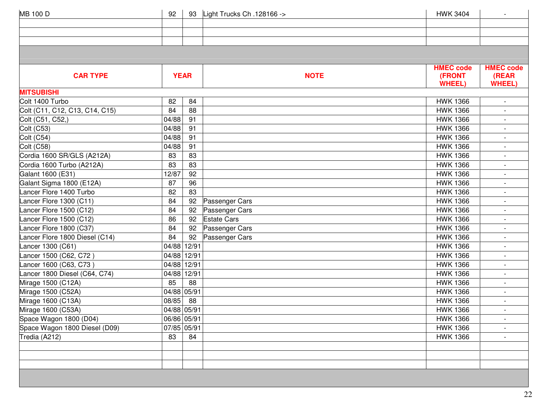| <b>MB 100 D</b>                | 92          |       | 93 Light Trucks Ch .128166 -> | <b>HWK 3404</b>         | $\overline{\phantom{a}}$ |
|--------------------------------|-------------|-------|-------------------------------|-------------------------|--------------------------|
|                                |             |       |                               |                         |                          |
|                                |             |       |                               |                         |                          |
|                                |             |       |                               |                         |                          |
|                                |             |       |                               |                         |                          |
|                                |             |       |                               |                         |                          |
|                                |             |       |                               | <b>HMEC code</b>        | <b>HMEC code</b>         |
| <b>CAR TYPE</b>                | <b>YEAR</b> |       | <b>NOTE</b>                   | (FRONT<br><b>WHEEL)</b> | (REAR<br><b>WHEEL)</b>   |
| <b>MITSUBISHI</b>              |             |       |                               |                         |                          |
| Colt 1400 Turbo                | 82          | 84    |                               | <b>HWK 1366</b>         |                          |
| Colt (C11, C12, C13, C14, C15) | 84          | 88    |                               | <b>HWK 1366</b>         |                          |
| Colt (C51, C52,)               | 04/88       | 91    |                               | <b>HWK 1366</b>         |                          |
| Colt (C53)                     | 04/88       | 91    |                               | <b>HWK 1366</b>         | $\overline{\phantom{a}}$ |
| Colt (C54)                     | 04/88       | 91    |                               | <b>HWK 1366</b>         |                          |
| <b>Colt (C58)</b>              | 04/88       | 91    |                               | <b>HWK 1366</b>         |                          |
| Cordia 1600 SR/GLS (A212A)     | 83          | 83    |                               | <b>HWK 1366</b>         |                          |
| Cordia 1600 Turbo (A212A)      | 83          | 83    |                               | <b>HWK 1366</b>         |                          |
| Galant 1600 (E31)              | 12/87       | 92    |                               | <b>HWK 1366</b>         | $\overline{\phantom{a}}$ |
| Galant Sigma 1800 (E12A)       | 87          | 96    |                               | <b>HWK 1366</b>         | $\overline{\phantom{a}}$ |
| Lancer Flore 1400 Turbo        | 82          | 83    |                               | <b>HWK 1366</b>         |                          |
| Lancer Flore 1300 (C11)        | 84          | 92    | Passenger Cars                | <b>HWK 1366</b>         |                          |
| Lancer Flore 1500 (C12)        | 84          | 92    | Passenger Cars                | <b>HWK 1366</b>         |                          |
| Lancer Flore 1500 (C12)        | 86          | 92    | <b>Estate Cars</b>            | <b>HWK 1366</b>         | $\overline{\phantom{a}}$ |
| Lancer Flore 1800 (C37)        | 84          | 92    | Passenger Cars                | <b>HWK 1366</b>         |                          |
| Lancer Flore 1800 Diesel (C14) | 84          | 92    | Passenger Cars                | <b>HWK 1366</b>         |                          |
| Lancer 1300 (C61)              | 04/88       | 12/91 |                               | <b>HWK 1366</b>         |                          |
| Lancer 1500 (C62, C72)         | 04/88 12/91 |       |                               | <b>HWK 1366</b>         |                          |
| Lancer 1600 (C63, C73)         | 04/88       | 12/91 |                               | <b>HWK 1366</b>         | $\overline{\phantom{a}}$ |
| Lancer 1800 Diesel (C64, C74)  | 04/88       | 12/91 |                               | <b>HWK 1366</b>         |                          |
| Mirage 1500 (C12A)             | 85          | 88    |                               | <b>HWK 1366</b>         | $\overline{\phantom{a}}$ |
| Mirage 1500 (C52A)             | 04/88       | 05/91 |                               | <b>HWK 1366</b>         | $\overline{\phantom{a}}$ |
| Mirage 1600 (C13A)             | 08/85       | 88    |                               | <b>HWK 1366</b>         |                          |
| Mirage 1600 (C53A)             | 04/88 05/91 |       |                               | <b>HWK 1366</b>         | $\overline{\phantom{a}}$ |
| Space Wagon 1800 (D04)         | 06/86 05/91 |       |                               | <b>HWK 1366</b>         |                          |
| Space Wagon 1800 Diesel (D09)  | 07/85 05/91 |       |                               | <b>HWK 1366</b>         |                          |
| Tredia (A212)                  | 83          | 84    |                               | <b>HWK 1366</b>         |                          |
|                                |             |       |                               |                         |                          |
|                                |             |       |                               |                         |                          |
|                                |             |       |                               |                         |                          |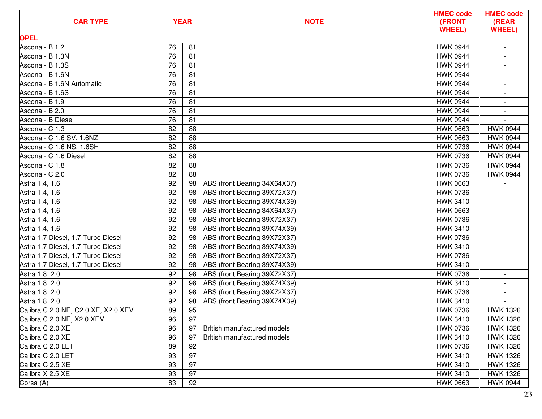| <b>CAR TYPE</b>                     |    | <b>YEAR</b> | <b>NOTE</b>                        | <b>HMEC code</b><br>(FRONT<br><b>WHEEL)</b> | <b>HMEC code</b><br>(REAR<br><b>WHEEL)</b> |
|-------------------------------------|----|-------------|------------------------------------|---------------------------------------------|--------------------------------------------|
| <b>OPEL</b>                         |    |             |                                    |                                             |                                            |
| Ascona - B 1.2                      | 76 | 81          |                                    | <b>HWK 0944</b>                             | $\overline{\phantom{a}}$                   |
| Ascona - B 1.3N                     | 76 | 81          |                                    | <b>HWK 0944</b>                             |                                            |
| Ascona - B 1.3S                     | 76 | 81          |                                    | <b>HWK 0944</b>                             |                                            |
| Ascona - B 1.6N                     | 76 | 81          |                                    | <b>HWK 0944</b>                             |                                            |
| Ascona - B 1.6N Automatic           | 76 | 81          |                                    | <b>HWK 0944</b>                             |                                            |
| Ascona - B 1.6S                     | 76 | 81          |                                    | <b>HWK 0944</b>                             | $\overline{\phantom{a}}$                   |
| Ascona - B 1.9                      | 76 | 81          |                                    | <b>HWK 0944</b>                             | $\blacksquare$                             |
| Ascona - B 2.0                      | 76 | 81          |                                    | <b>HWK 0944</b>                             |                                            |
| Ascona - B Diesel                   | 76 | 81          |                                    | <b>HWK 0944</b>                             |                                            |
| Ascona - C 1.3                      | 82 | 88          |                                    | <b>HWK 0663</b>                             | <b>HWK 0944</b>                            |
| Ascona - C 1.6 SV, 1.6NZ            | 82 | 88          |                                    | <b>HWK 0663</b>                             | <b>HWK 0944</b>                            |
| Ascona - C 1.6 NS, 1.6SH            | 82 | 88          |                                    | <b>HWK 0736</b>                             | <b>HWK 0944</b>                            |
| Ascona - C 1.6 Diesel               | 82 | 88          |                                    | <b>HWK 0736</b>                             | <b>HWK 0944</b>                            |
| Ascona - C 1.8                      | 82 | 88          |                                    | <b>HWK 0736</b>                             | <b>HWK 0944</b>                            |
| Ascona - C 2.0                      | 82 | 88          |                                    | <b>HWK 0736</b>                             | <b>HWK 0944</b>                            |
| Astra 1.4, 1.6                      | 92 | 98          | ABS (front Bearing 34X64X37)       | <b>HWK 0663</b>                             |                                            |
| Astra 1.4, 1.6                      | 92 | 98          | ABS (front Bearing 39X72X37)       | <b>HWK 0736</b>                             | $\overline{a}$                             |
| Astra 1.4, 1.6                      | 92 | 98          | ABS (front Bearing 39X74X39)       | <b>HWK 3410</b>                             | $\overline{\phantom{a}}$                   |
| Astra 1.4, 1.6                      | 92 | 98          | ABS (front Bearing 34X64X37)       | <b>HWK 0663</b>                             |                                            |
| Astra 1.4, 1.6                      | 92 | 98          | ABS (front Bearing 39X72X37)       | <b>HWK 0736</b>                             | $\blacksquare$                             |
| Astra 1.4, 1.6                      | 92 | 98          | ABS (front Bearing 39X74X39)       | <b>HWK 3410</b>                             |                                            |
| Astra 1.7 Diesel, 1.7 Turbo Diesel  | 92 | 98          | ABS (front Bearing 39X72X37)       | <b>HWK 0736</b>                             |                                            |
| Astra 1.7 Diesel, 1.7 Turbo Diesel  | 92 | 98          | ABS (front Bearing 39X74X39)       | <b>HWK 3410</b>                             |                                            |
| Astra 1.7 Diesel, 1.7 Turbo Diesel  | 92 | 98          | ABS (front Bearing 39X72X37)       | <b>HWK 0736</b>                             |                                            |
| Astra 1.7 Diesel, 1.7 Turbo Diesel  | 92 | 98          | ABS (front Bearing 39X74X39)       | <b>HWK 3410</b>                             | $\blacksquare$                             |
| Astra 1.8, 2.0                      | 92 | 98          | ABS (front Bearing 39X72X37)       | <b>HWK 0736</b>                             | $\blacksquare$                             |
| Astra 1.8, 2.0                      | 92 | 98          | ABS (front Bearing 39X74X39)       | <b>HWK 3410</b>                             |                                            |
| Astra 1.8, 2.0                      | 92 | 98          | ABS (front Bearing 39X72X37)       | <b>HWK 0736</b>                             |                                            |
| Astra 1.8, 2.0                      | 92 | 98          | ABS (front Bearing 39X74X39)       | <b>HWK 3410</b>                             |                                            |
| Calibra C 2.0 NE, C2.0 XE, X2.0 XEV | 89 | 95          |                                    | <b>HWK 0736</b>                             | <b>HWK 1326</b>                            |
| Calibra C 2.0 NE, X2.0 XEV          | 96 | 97          |                                    | <b>HWK 3410</b>                             | <b>HWK 1326</b>                            |
| Calibra C 2.0 XE                    | 96 | 97          | <b>British manufactured models</b> | <b>HWK 0736</b>                             | <b>HWK 1326</b>                            |
| Calibra C 2.0 XE                    | 96 | 97          | <b>British manufactured models</b> | <b>HWK 3410</b>                             | <b>HWK 1326</b>                            |
| Calibra C 2.0 LET                   | 89 | 92          |                                    | <b>HWK 0736</b>                             | <b>HWK 1326</b>                            |
| Calibra C 2.0 LET                   | 93 | 97          |                                    | <b>HWK 3410</b>                             | <b>HWK 1326</b>                            |
| Calibra C 2.5 XE                    | 93 | 97          |                                    | <b>HWK 3410</b>                             | <b>HWK 1326</b>                            |
| Calibra X 2.5 XE                    | 93 | 97          |                                    | <b>HWK 3410</b>                             | <b>HWK 1326</b>                            |
| Corsa (A)                           | 83 | 92          |                                    | <b>HWK 0663</b>                             | <b>HWK 0944</b>                            |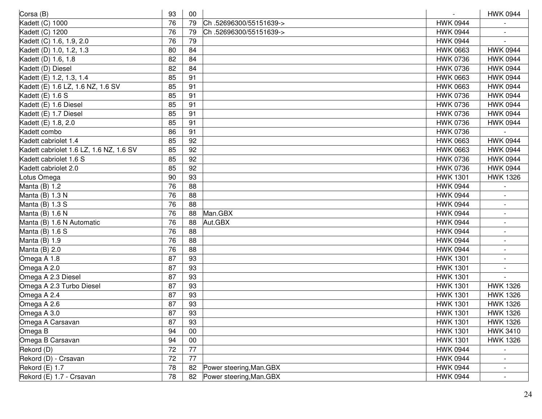| Corsa (B)                               | 93 | 00              |                          | $\sim$          | <b>HWK 0944</b> |
|-----------------------------------------|----|-----------------|--------------------------|-----------------|-----------------|
| Kadett (C) 1000                         | 76 | 79              | Ch.52696300/55151639->   | <b>HWK 0944</b> |                 |
| Kadett (C) 1200                         | 76 | 79              | Ch.52696300/55151639->   | <b>HWK 0944</b> |                 |
| Kadett (C) 1.6, 1.9, 2.0                | 76 | 79              |                          | <b>HWK 0944</b> |                 |
| Kadett (D) 1.0, 1.2, 1.3                | 80 | 84              |                          | <b>HWK 0663</b> | <b>HWK 0944</b> |
| Kadett (D) 1.6, 1.8                     | 82 | 84              |                          | <b>HWK 0736</b> | <b>HWK 0944</b> |
| Kadett (D) Diesel                       | 82 | 84              |                          | <b>HWK 0736</b> | <b>HWK 0944</b> |
| Kadett (E) 1.2, 1.3, 1.4                | 85 | 91              |                          | <b>HWK 0663</b> | <b>HWK 0944</b> |
| Kadett (E) 1.6 LZ, 1.6 NZ, 1.6 SV       | 85 | 91              |                          | <b>HWK 0663</b> | <b>HWK 0944</b> |
| Kadett (E) 1.6 S                        | 85 | 91              |                          | <b>HWK 0736</b> | <b>HWK 0944</b> |
| Kadett (E) 1.6 Diesel                   | 85 | 91              |                          | <b>HWK 0736</b> | <b>HWK 0944</b> |
| Kadett (E) 1.7 Diesel                   | 85 | 91              |                          | <b>HWK 0736</b> | <b>HWK 0944</b> |
| Kadett (E) 1.8, 2.0                     | 85 | 91              |                          | <b>HWK 0736</b> | <b>HWK 0944</b> |
| Kadett combo                            | 86 | 91              |                          | <b>HWK 0736</b> |                 |
| Kadett cabriolet 1.4                    | 85 | 92              |                          | <b>HWK 0663</b> | <b>HWK 0944</b> |
| Kadett cabriolet 1.6 LZ, 1.6 NZ, 1.6 SV | 85 | 92              |                          | <b>HWK 0663</b> | <b>HWK 0944</b> |
| Kadett cabriolet 1.6 S                  | 85 | $\overline{92}$ |                          | <b>HWK 0736</b> | <b>HWK 0944</b> |
| Kadett cabriolet 2.0                    | 85 | 92              |                          | <b>HWK 0736</b> | <b>HWK 0944</b> |
| Lotus Omega                             | 90 | 93              |                          | <b>HWK 1301</b> | <b>HWK 1326</b> |
| Manta (B) 1.2                           | 76 | 88              |                          | <b>HWK 0944</b> |                 |
| Manta (B) 1.3 N                         | 76 | 88              |                          | <b>HWK 0944</b> |                 |
| Manta (B) 1.3 S                         | 76 | 88              |                          | <b>HWK 0944</b> |                 |
| Manta (B) 1.6 N                         | 76 | 88              | Man.GBX                  | <b>HWK 0944</b> |                 |
| Manta (B) 1.6 N Automatic               | 76 | 88              | Aut.GBX                  | <b>HWK 0944</b> | $\blacksquare$  |
| Manta (B) 1.6 S                         | 76 | 88              |                          | <b>HWK 0944</b> |                 |
| Manta (B) 1.9                           | 76 | 88              |                          | <b>HWK 0944</b> |                 |
| Manta (B) 2.0                           | 76 | 88              |                          | <b>HWK 0944</b> |                 |
| Omega A 1.8                             | 87 | 93              |                          | <b>HWK 1301</b> |                 |
| Omega A 2.0                             | 87 | 93              |                          | <b>HWK 1301</b> |                 |
| Omega A 2.3 Diesel                      | 87 | 93              |                          | <b>HWK 1301</b> |                 |
| Omega A 2.3 Turbo Diesel                | 87 | 93              |                          | <b>HWK 1301</b> | <b>HWK 1326</b> |
| Omega A 2.4                             | 87 | 93              |                          | <b>HWK 1301</b> | <b>HWK 1326</b> |
| Omega A 2.6                             | 87 | 93              |                          | <b>HWK 1301</b> | <b>HWK 1326</b> |
| Omega A 3.0                             | 87 | 93              |                          | <b>HWK 1301</b> | <b>HWK 1326</b> |
| Omega A Carsavan                        | 87 | 93              |                          | <b>HWK 1301</b> | <b>HWK 1326</b> |
| Omega B                                 | 94 | 00              |                          | <b>HWK 1301</b> | <b>HWK 3410</b> |
| Omega B Carsavan                        | 94 | 00              |                          | <b>HWK 1301</b> | <b>HWK 1326</b> |
| Rekord (D)                              | 72 | 77              |                          | <b>HWK 0944</b> |                 |
| Rekord (D) - Crsavan                    | 72 | 77              |                          | <b>HWK 0944</b> |                 |
| Rekord (E) 1.7                          | 78 | 82              | Power steering, Man. GBX | <b>HWK 0944</b> |                 |
| Rekord (E) 1.7 - Crsavan                | 78 | 82              | Power steering, Man. GBX | <b>HWK 0944</b> |                 |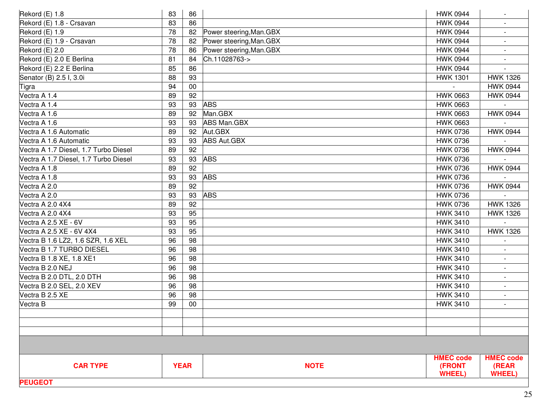| Rekord (E) 1.8                        | 83 | 86          |                          | <b>HWK 0944</b>        | $\sim$                   |
|---------------------------------------|----|-------------|--------------------------|------------------------|--------------------------|
| Rekord (E) 1.8 - Crsavan              | 83 | 86          |                          | <b>HWK 0944</b>        |                          |
| Rekord (E) 1.9                        | 78 | 82          | Power steering, Man. GBX | <b>HWK 0944</b>        |                          |
| Rekord (E) 1.9 - Crsavan              | 78 | 82          | Power steering, Man. GBX | <b>HWK 0944</b>        |                          |
| Rekord (E) 2.0                        | 78 | 86          | Power steering, Man. GBX | <b>HWK 0944</b>        |                          |
| Rekord (E) 2.0 E Berlina              | 81 | 84          | Ch.11028763->            | <b>HWK 0944</b>        | $\overline{\phantom{a}}$ |
| Rekord (E) 2.2 E Berlina              | 85 | 86          |                          | <b>HWK 0944</b>        |                          |
| Senator (B) 2.5 I, 3.0i               | 88 | 93          |                          | <b>HWK 1301</b>        | <b>HWK 1326</b>          |
| Tigra                                 | 94 | $00\,$      |                          |                        | <b>HWK 0944</b>          |
| Vectra A 1.4                          | 89 | 92          |                          | <b>HWK 0663</b>        | <b>HWK 0944</b>          |
| Vectra A 1.4                          | 93 | 93          | <b>ABS</b>               | <b>HWK 0663</b>        |                          |
| Vectra A 1.6                          | 89 | 92          | Man.GBX                  | <b>HWK 0663</b>        | <b>HWK 0944</b>          |
| Vectra A 1.6                          | 93 | 93          | <b>ABS Man.GBX</b>       | <b>HWK 0663</b>        |                          |
| Vectra A 1.6 Automatic                | 89 | 92          | Aut.GBX                  | <b>HWK 0736</b>        | <b>HWK 0944</b>          |
| Vectra A 1.6 Automatic                | 93 | 93          | <b>ABS Aut.GBX</b>       | <b>HWK 0736</b>        |                          |
| Vectra A 1.7 Diesel, 1.7 Turbo Diesel | 89 | 92          |                          | <b>HWK 0736</b>        | <b>HWK 0944</b>          |
| Vectra A 1.7 Diesel, 1.7 Turbo Diesel | 93 | 93          | <b>ABS</b>               | <b>HWK 0736</b>        |                          |
| Vectra A 1.8                          | 89 | 92          |                          | <b>HWK 0736</b>        | <b>HWK 0944</b>          |
| Vectra A 1.8                          | 93 | 93          | <b>ABS</b>               | <b>HWK 0736</b>        |                          |
| Vectra A 2.0                          | 89 | 92          |                          | <b>HWK 0736</b>        | <b>HWK 0944</b>          |
| Vectra A 2.0                          | 93 | 93          | <b>ABS</b>               | <b>HWK 0736</b>        |                          |
| Vectra A 2.0 4X4                      | 89 | 92          |                          | <b>HWK 0736</b>        | <b>HWK 1326</b>          |
| Vectra A 2.0 4X4                      | 93 | 95          |                          | <b>HWK 3410</b>        | <b>HWK 1326</b>          |
| Vectra A 2.5 XE - 6V                  | 93 | 95          |                          | <b>HWK 3410</b>        |                          |
| Vectra A 2.5 XE - 6V 4X4              | 93 | 95          |                          | <b>HWK 3410</b>        | <b>HWK 1326</b>          |
| Vectra B 1.6 LZ2, 1.6 SZR, 1.6 XEL    | 96 | 98          |                          | <b>HWK 3410</b>        |                          |
| Vectra B 1.7 TURBO DIESEL             | 96 | 98          |                          | <b>HWK 3410</b>        |                          |
| Vectra B 1.8 XE, 1.8 XE1              | 96 | 98          |                          | <b>HWK 3410</b>        |                          |
| Vectra B 2.0 NEJ                      | 96 | 98          |                          | <b>HWK 3410</b>        |                          |
| Vectra B 2.0 DTL, 2.0 DTH             | 96 | 98          |                          | <b>HWK 3410</b>        | $\overline{\phantom{a}}$ |
| Vectra B 2.0 SEL, 2.0 XEV             | 96 | 98          |                          | <b>HWK 3410</b>        |                          |
| Vectra B 2.5 XE                       | 96 | 98          |                          | <b>HWK 3410</b>        |                          |
| Vectra B                              | 99 | $00\,$      |                          | <b>HWK 3410</b>        |                          |
|                                       |    |             |                          |                        |                          |
|                                       |    |             |                          |                        |                          |
|                                       |    |             |                          |                        |                          |
|                                       |    |             |                          |                        |                          |
|                                       |    |             |                          | <b>HMEC code</b>       | <b>HMEC code</b>         |
| <b>CAR TYPE</b>                       |    | <b>YEAR</b> | <b>NOTE</b>              | (FRONT<br><b>WHEEL</b> | (REAR<br><b>WHEEL</b> )  |
| <b>PEUGEOT</b>                        |    |             |                          |                        |                          |
|                                       |    |             |                          |                        |                          |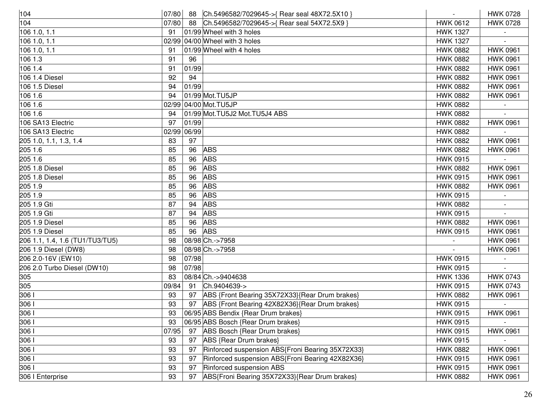| 104                             |       |       | 07/80 88 Ch.5496582/7029645->{ Rear seal 48X72.5X10 } | $\sim$          | <b>HWK 0728</b> |
|---------------------------------|-------|-------|-------------------------------------------------------|-----------------|-----------------|
| 104                             | 07/80 | 88    | Ch.5496582/7029645->{ Rear seal 54X72.5X9 }           | <b>HWK 0612</b> | <b>HWK 0728</b> |
| 106 1.0, 1.1                    | 91    |       | 01/99 Wheel with 3 holes                              | <b>HWK 1327</b> |                 |
| 106 1.0, 1.1                    |       |       | 02/99 04/00 Wheel with 3 holes                        | <b>HWK 1327</b> |                 |
| 106 1.0, 1.1                    | 91    |       | 01/99 Wheel with 4 holes                              | <b>HWK 0882</b> | <b>HWK 0961</b> |
| 106 1.3                         | 91    | 96    |                                                       | <b>HWK 0882</b> | <b>HWK 0961</b> |
| 106 1.4                         | 91    | 01/99 |                                                       | <b>HWK 0882</b> | <b>HWK 0961</b> |
| 106 1.4 Diesel                  | 92    | 94    |                                                       | <b>HWK 0882</b> | <b>HWK 0961</b> |
| 106 1.5 Diesel                  | 94    | 01/99 |                                                       | <b>HWK 0882</b> | <b>HWK 0961</b> |
| 106 1.6                         | 94    |       | 01/99 Mot.TU5JP                                       | <b>HWK 0882</b> | <b>HWK 0961</b> |
| 106 1.6                         |       |       | 02/99 04/00 Mot. TU5JP                                | <b>HWK 0882</b> |                 |
| 106 1.6                         | 94    |       | 01/99 Mot.TU5J2 Mot.TU5J4 ABS                         | <b>HWK 0882</b> |                 |
| 106 SA13 Electric               | 97    | 01/99 |                                                       | <b>HWK 0882</b> | <b>HWK 0961</b> |
| 106 SA13 Electric               | 02/99 | 06/99 |                                                       | <b>HWK 0882</b> |                 |
| 205 1.0, 1.1, 1.3, 1.4          | 83    | 97    |                                                       | <b>HWK 0882</b> | <b>HWK 0961</b> |
| 205 1.6                         | 85    | 96    | <b>ABS</b>                                            | <b>HWK 0882</b> | <b>HWK 0961</b> |
| 205 1.6                         | 85    | 96    | <b>ABS</b>                                            | <b>HWK 0915</b> |                 |
| 205 1.8 Diesel                  | 85    | 96    | <b>ABS</b>                                            | <b>HWK 0882</b> | <b>HWK 0961</b> |
| 205 1.8 Diesel                  | 85    | 96    | <b>ABS</b>                                            | <b>HWK 0915</b> | <b>HWK 0961</b> |
| 205 1.9                         | 85    | 96    | <b>ABS</b>                                            | <b>HWK 0882</b> | <b>HWK 0961</b> |
| 205 1.9                         | 85    | 96    | <b>ABS</b>                                            | <b>HWK 0915</b> |                 |
| 205 1.9 Gti                     | 87    | 94    | <b>ABS</b>                                            | <b>HWK 0882</b> |                 |
| 205 1.9 Gti                     | 87    | 94    | <b>ABS</b>                                            | <b>HWK 0915</b> |                 |
| 205 1.9 Diesel                  | 85    | 96    | <b>ABS</b>                                            | <b>HWK 0882</b> | <b>HWK 0961</b> |
| 205 1.9 Diesel                  | 85    | 96    | <b>ABS</b>                                            | <b>HWK 0915</b> | <b>HWK 0961</b> |
| 206 1.1, 1.4, 1.6 (TU1/TU3/TU5) | 98    |       | 08/98 Ch.->7958                                       |                 | <b>HWK 0961</b> |
| 206 1.9 Diesel (DW8)            | 98    |       | 08/98 Ch.->7958                                       |                 | <b>HWK 0961</b> |
| 206 2.0-16V (EW10)              | 98    | 07/98 |                                                       | <b>HWK 0915</b> |                 |
| 206 2.0 Turbo Diesel (DW10)     | 98    | 07/98 |                                                       | <b>HWK 0915</b> |                 |
| 305                             | 83    |       | 08/84 Ch.->9404638                                    | <b>HWK 1336</b> | <b>HWK 0743</b> |
| 305                             | 09/84 | 91    | Ch.9404639->                                          | <b>HWK 0915</b> | <b>HWK 0743</b> |
| 306 <sub>1</sub>                | 93    | 97    | ABS {Front Bearing 35X72X33}{Rear Drum brakes}        | <b>HWK 0882</b> | <b>HWK 0961</b> |
| 306                             | 93    | 97    | ABS {Front Bearing 42X82X36}{Rear Drum brakes}        | <b>HWK 0915</b> |                 |
| 306                             | 93    |       | 06/95 ABS Bendix {Rear Drum brakes}                   | <b>HWK 0915</b> | <b>HWK 0961</b> |
| 306                             | 93    |       | 06/95 ABS Bosch {Rear Drum brakes}                    | <b>HWK 0915</b> |                 |
| 306                             | 07/95 | 97    | ABS Bosch {Rear Drum brakes}                          | <b>HWK 0915</b> | <b>HWK 0961</b> |
| 306 <sub>1</sub>                | 93    | 97    | ABS {Rear Drum brakes}                                | <b>HWK 0915</b> |                 |
| 306                             | 93    | 97    | Rinforced suspension ABS{Froni Bearing 35X72X33}      | <b>HWK 0882</b> | <b>HWK 0961</b> |
| 3061                            | 93    | 97    | Rinforced suspension ABS{Froni Bearing 42X82X36}      | <b>HWK 0915</b> | <b>HWK 0961</b> |
| 306                             | 93    | 97    | Rinforced suspension ABS                              | <b>HWK 0915</b> | <b>HWK 0961</b> |
| 306   Enterprise                | 93    | 97    | ABS{Froni Bearing 35X72X33}{Rear Drum brakes}         | <b>HWK 0882</b> | <b>HWK 0961</b> |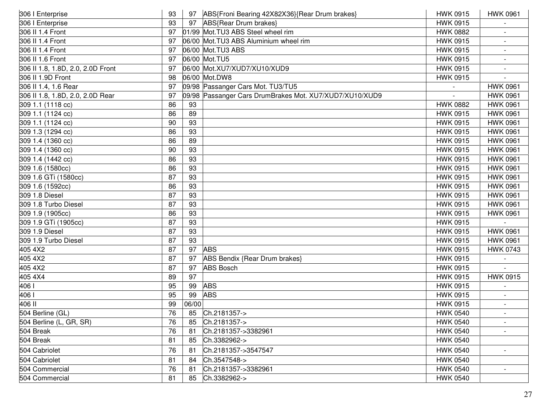| 306   Enterprise                  | 93 |       | 97 ABS{Froni Bearing 42X82X36}{Rear Drum brakes}        | <b>HWK 0915</b> | <b>HWK 0961</b>          |
|-----------------------------------|----|-------|---------------------------------------------------------|-----------------|--------------------------|
| 306   Enterprise                  | 93 | 97    | ABS{Rear Drum brakes}                                   | <b>HWK 0915</b> |                          |
| 306 II 1.4 Front                  | 97 |       | 01/99 Mot. TU3 ABS Steel wheel rim                      | <b>HWK 0882</b> |                          |
| 306 II 1.4 Front                  | 97 |       | 06/00 Mot.TU3 ABS Aluminium wheel rim                   | <b>HWK 0915</b> |                          |
| 306 II 1.4 Front                  | 97 |       | 06/00 Mot. TU3 ABS                                      | <b>HWK 0915</b> |                          |
| 306 II 1.6 Front                  | 97 |       | 06/00 Mot.TU5                                           | <b>HWK 0915</b> | $\overline{\phantom{a}}$ |
| 306 II 1.8, 1.8D, 2.0, 2.0D Front | 97 |       | 06/00 Mot.XU7/XUD7/XU10/XUD9                            | <b>HWK 0915</b> |                          |
| 306 II 1.9D Front                 | 98 |       | 06/00 Mot.DW8                                           | <b>HWK 0915</b> |                          |
| 306 II 1.4, 1.6 Rear              | 97 |       | 09/98 Passanger Cars Mot. TU3/TU5                       |                 | <b>HWK 0961</b>          |
| 306 II 1.8, 1.8D, 2.0, 2.0D Rear  | 97 |       | 09/98 Passanger Cars DrumBrakes Mot. XU7/XUD7/XU10/XUD9 |                 | <b>HWK 0961</b>          |
| 309 1.1 (1118 cc)                 | 86 | 93    |                                                         | <b>HWK 0882</b> | <b>HWK 0961</b>          |
| 309 1.1 (1124 cc)                 | 86 | 89    |                                                         | <b>HWK 0915</b> | <b>HWK 0961</b>          |
| 309 1.1 (1124 cc)                 | 90 | 93    |                                                         | <b>HWK 0915</b> | <b>HWK 0961</b>          |
| 309 1.3 (1294 cc)                 | 86 | 93    |                                                         | <b>HWK 0915</b> | <b>HWK 0961</b>          |
| 309 1.4 (1360 cc)                 | 86 | 89    |                                                         | <b>HWK 0915</b> | <b>HWK 0961</b>          |
| 309 1.4 (1360 cc)                 | 90 | 93    |                                                         | <b>HWK 0915</b> | <b>HWK 0961</b>          |
| 309 1.4 (1442 cc)                 | 86 | 93    |                                                         | <b>HWK 0915</b> | <b>HWK 0961</b>          |
| 309 1.6 (1580cc)                  | 86 | 93    |                                                         | <b>HWK 0915</b> | <b>HWK 0961</b>          |
| 309 1.6 GTi (1580cc)              | 87 | 93    |                                                         | <b>HWK 0915</b> | <b>HWK 0961</b>          |
| 309 1.6 (1592cc)                  | 86 | 93    |                                                         | <b>HWK 0915</b> | <b>HWK 0961</b>          |
| 309 1.8 Diesel                    | 87 | 93    |                                                         | <b>HWK 0915</b> | <b>HWK 0961</b>          |
| 309 1.8 Turbo Diesel              | 87 | 93    |                                                         | <b>HWK 0915</b> | <b>HWK 0961</b>          |
| 309 1.9 (1905cc)                  | 86 | 93    |                                                         | <b>HWK 0915</b> | <b>HWK 0961</b>          |
| 309 1.9 GTi (1905cc)              | 87 | 93    |                                                         | <b>HWK 0915</b> |                          |
| 309 1.9 Diesel                    | 87 | 93    |                                                         | <b>HWK 0915</b> | <b>HWK 0961</b>          |
| 309 1.9 Turbo Diesel              | 87 | 93    |                                                         | <b>HWK 0915</b> | <b>HWK 0961</b>          |
| 405 4X2                           | 87 | 97    | <b>ABS</b>                                              | <b>HWK 0915</b> | <b>HWK 0743</b>          |
| 405 4X2                           | 87 | 97    | ABS Bendix {Rear Drum brakes}                           | <b>HWK 0915</b> |                          |
| 405 4X2                           | 87 | 97    | <b>ABS Bosch</b>                                        | <b>HWK 0915</b> |                          |
| 405 4X4                           | 89 | 97    |                                                         | <b>HWK 0915</b> | <b>HWK 0915</b>          |
| 406                               | 95 | 99    | <b>ABS</b>                                              | <b>HWK 0915</b> |                          |
| 406                               | 95 | 99    | <b>ABS</b>                                              | <b>HWK 0915</b> |                          |
| 406 II                            | 99 | 06/00 |                                                         | <b>HWK 0915</b> |                          |
| 504 Berline (GL)                  | 76 | 85    | Ch.2181357->                                            | <b>HWK 0540</b> |                          |
| 504 Berline (L, GR, SR)           | 76 | 85    | Ch.2181357->                                            | <b>HWK 0540</b> | $\overline{\phantom{a}}$ |
| 504 Break                         | 76 | 81    | Ch.2181357->3382961                                     | <b>HWK 0540</b> |                          |
| 504 Break                         | 81 | 85    | Ch.3382962->                                            | <b>HWK 0540</b> |                          |
| 504 Cabriolet                     | 76 | 81    | Ch.2181357->3547547                                     | <b>HWK 0540</b> |                          |
| 504 Cabriolet                     | 81 | 84    | Ch.3547548->                                            | <b>HWK 0540</b> |                          |
| 504 Commercial                    | 76 | 81    | Ch.2181357->3382961                                     | <b>HWK 0540</b> |                          |
| 504 Commercial                    | 81 | 85    | Ch.3382962->                                            | <b>HWK 0540</b> |                          |
|                                   |    |       |                                                         |                 |                          |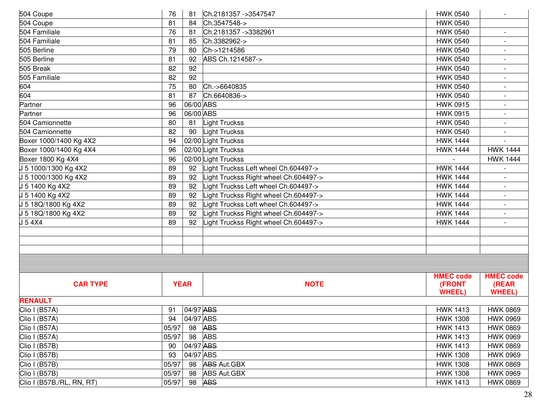| 504 Coupe                 | 76          | 81        | Ch.2181357 ->3547547                  | <b>HWK 0540</b>  | $\sim$                   |
|---------------------------|-------------|-----------|---------------------------------------|------------------|--------------------------|
| 504 Coupe                 | 81          | 84        | Ch.3547548->                          | <b>HWK 0540</b>  |                          |
| 504 Familiale             | 76          | 81        | Ch.2181357 ->3382961                  | <b>HWK 0540</b>  |                          |
| 504 Familiale             | 81          | 85        | Ch.3382962->                          | <b>HWK 0540</b>  |                          |
| 505 Berline               | 79          | 80        | Ch->1214586                           | <b>HWK 0540</b>  |                          |
| 505 Berline               | 81          | 92        | ABS Ch.1214587->                      | <b>HWK 0540</b>  | $\blacksquare$           |
| 505 Break                 | 82          | 92        |                                       | <b>HWK 0540</b>  |                          |
| 505 Familiale             | 82          | 92        |                                       | <b>HWK 0540</b>  |                          |
| 604                       | 75          | 80        | Ch.->6640835                          | <b>HWK 0540</b>  |                          |
| 604                       | 81          | 87        | Ch.6640836->                          | <b>HWK 0540</b>  | $\overline{\phantom{a}}$ |
| Partner                   | 96          | 06/00 ABS |                                       | <b>HWK 0915</b>  |                          |
| Partner                   | 96          | 06/00 ABS |                                       | <b>HWK 0915</b>  |                          |
| 504 Camionnette           | 80          | 81        | _ight Truckss                         | <b>HWK 0540</b>  |                          |
| 504 Camionnette           | 82          | 90        | Light Truckss                         | <b>HWK 0540</b>  |                          |
| Boxer 1000/1400 Kg 4X2    | 94          |           | 02/00 Light Truckss                   | <b>HWK 1444</b>  |                          |
| Boxer 1000/1400 Kg 4X4    | 96          |           | 02/00 Light Truckss                   | <b>HWK 1444</b>  | <b>HWK 1444</b>          |
| Boxer 1800 Kg 4X4         | 96          |           | 02/00 Light Truckss                   |                  | <b>HWK 1444</b>          |
| J 5 1000/1300 Kg 4X2      | 89          | 92        | -ight Truckss Left wheel Ch.604497->  | <b>HWK 1444</b>  |                          |
| J 5 1000/1300 Kg 4X2      | 89          | 92        | ight Truckss Right wheel Ch.604497->  | <b>HWK 1444</b>  |                          |
| J 5 1400 Kg 4X2           | 89          | 92        | ight Truckss Left wheel Ch.604497->   | <b>HWK 1444</b>  | $\overline{\phantom{a}}$ |
| J 5 1400 Kg 4X2           | 89          | 92        | -ight Truckss Right wheel Ch.604497-> | <b>HWK 1444</b>  |                          |
| J 5 18Q/1800 Kg 4X2       | 89          | 92        | ight Truckss Left wheel Ch.604497->   | <b>HWK 1444</b>  |                          |
| J 5 18Q/1800 Kg 4X2       | 89          | 92        | -ight Truckss Right wheel Ch.604497-> | <b>HWK 1444</b>  |                          |
| J 5 4 X 4                 | 89          | 92        | -ight Truckss Right wheel Ch.604497-> | <b>HWK 1444</b>  |                          |
|                           |             |           |                                       |                  |                          |
|                           |             |           |                                       |                  |                          |
|                           |             |           |                                       |                  |                          |
|                           |             |           |                                       |                  |                          |
|                           |             |           |                                       | <b>HMEC code</b> | <b>HMEC code</b>         |
| <b>CAR TYPE</b>           | <b>YEAR</b> |           | <b>NOTE</b>                           | (FRONT           | (REAR                    |
|                           |             |           |                                       | <b>WHEEL)</b>    | <b>WHEEL)</b>            |
| <b>RENAULT</b>            |             |           |                                       |                  |                          |
| Clio I (B57A)             | 91          | 04/97 ABS |                                       | <b>HWK 1413</b>  | <b>HWK 0869</b>          |
| Clio I (B57A)             | 94          | 04/97 ABS |                                       | <b>HWK 1308</b>  | <b>HWK 0969</b>          |
| Clio I (B57A)             | 05/97       | 98        | <b>ABS</b>                            | <b>HWK 1413</b>  | <b>HWK 0869</b>          |
| Clio I (B57A)             | 05/97       | 98        | <b>ABS</b>                            | <b>HWK 1413</b>  | <b>HWK 0969</b>          |
| Clio I (B57B)             | 90          | 04/97 ABS |                                       | <b>HWK 1413</b>  | <b>HWK 0869</b>          |
| Clio I (B57B)             | 93          | 04/97 ABS |                                       | <b>HWK 1308</b>  | <b>HWK 0969</b>          |
| Clio I (B57B)             | 05/97       | 98        | <b>ABS Aut.GBX</b>                    | <b>HWK 1308</b>  | <b>HWK 0869</b>          |
| Clio I (B57B)             | 05/97       | 98        | <b>ABS Aut.GBX</b>                    | <b>HWK 1308</b>  | <b>HWK 0969</b>          |
| Clio I (B57B./RL, RN, RT) | 05/97       | 98        | <b>ABS</b>                            | <b>HWK 1413</b>  | <b>HWK 0869</b>          |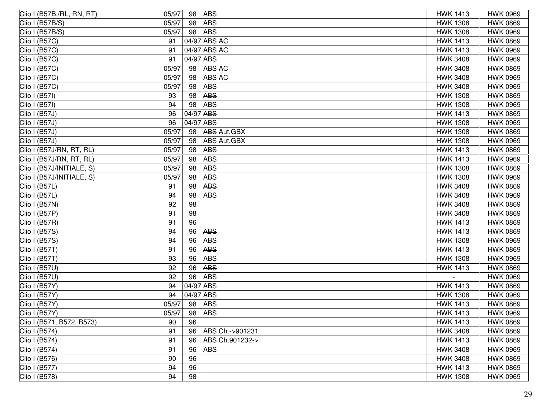| Clio I (B57B./RL, RN, RT) | 05/97 | 98        | <b>ABS</b>         | <b>HWK 1413</b> | <b>HWK 0969</b> |
|---------------------------|-------|-----------|--------------------|-----------------|-----------------|
| Clio I (B57B/S)           | 05/97 | 98        | <b>ABS</b>         | <b>HWK 1308</b> | <b>HWK 0869</b> |
| Clio I (B57B/S)           | 05/97 | 98        | <b>ABS</b>         | <b>HWK 1308</b> | <b>HWK 0969</b> |
| Clio I (B57C)             | 91    |           | 04/97 ABS AC       | <b>HWK 1413</b> | <b>HWK 0869</b> |
| Clio I (B57C)             | 91    |           | 04/97 ABS AC       | <b>HWK 1413</b> | <b>HWK 0969</b> |
| Clio I (B57C)             | 91    | 04/97 ABS |                    | <b>HWK 3408</b> | <b>HWK 0969</b> |
| Clio I (B57C)             | 05/97 | 98        | <b>ABS AC</b>      | <b>HWK 3408</b> | <b>HWK 0869</b> |
| Clio I (B57C)             | 05/97 | 98        | <b>ABS AC</b>      | <b>HWK 3408</b> | <b>HWK 0969</b> |
| Clio I (B57C)             | 05/97 | 98        | <b>ABS</b>         | <b>HWK 3408</b> | <b>HWK 0969</b> |
| Clio I (B57I)             | 93    | 98        | <b>ABS</b>         | <b>HWK 1308</b> | <b>HWK 0869</b> |
| Clio I (B57I)             | 94    | 98        | <b>ABS</b>         | <b>HWK 1308</b> | <b>HWK 0969</b> |
| Clio I (B57J)             | 96    | 04/97 ABS |                    | <b>HWK 1413</b> | <b>HWK 0869</b> |
| Clio I (B57J)             | 96    | 04/97 ABS |                    | <b>HWK 1308</b> | <b>HWK 0969</b> |
| Clio I (B57J)             | 05/97 | 98        | <b>ABS Aut.GBX</b> | <b>HWK 1308</b> | <b>HWK 0869</b> |
| Clio I (B57J)             | 05/97 | 98        | <b>ABS Aut.GBX</b> | <b>HWK 1308</b> | <b>HWK 0969</b> |
| Clio I (B57J/RN, RT, RL)  | 05/97 | 98        | <b>ABS</b>         | <b>HWK 1413</b> | <b>HWK 0869</b> |
| Clio I (B57J/RN, RT, RL)  | 05/97 | 98        | <b>ABS</b>         | <b>HWK 1413</b> | <b>HWK 0969</b> |
| Clio I (B57J/INITIALE, S) | 05/97 | 98        | <b>ABS</b>         | <b>HWK 1308</b> | <b>HWK 0869</b> |
| Clio I (B57J/INITIALE, S) | 05/97 | 98        | <b>ABS</b>         | <b>HWK 1308</b> | <b>HWK 0969</b> |
| Clio I (B57L)             | 91    | 98        | <b>ABS</b>         | <b>HWK 3408</b> | <b>HWK 0869</b> |
| Clio I (B57L)             | 94    | 98        | <b>ABS</b>         | <b>HWK 3408</b> | <b>HWK 0969</b> |
| Clio I (B57N)             | 92    | 98        |                    | <b>HWK 3408</b> | <b>HWK 0869</b> |
| Clio I (B57P)             | 91    | 98        |                    | <b>HWK 3408</b> | <b>HWK 0869</b> |
| Clio I (B57R)             | 91    | 96        |                    | <b>HWK 1413</b> | <b>HWK 0869</b> |
| Clio I (B57S)             | 94    | 96        | <b>ABS</b>         | <b>HWK 1413</b> | <b>HWK 0869</b> |
| Clio I (B57S)             | 94    | 96        | <b>ABS</b>         | <b>HWK 1308</b> | <b>HWK 0969</b> |
| Clio I (B57T)             | 91    | 96        | <b>ABS</b>         | <b>HWK 1413</b> | <b>HWK 0869</b> |
| Clio I (B57T)             | 93    | 96        | <b>ABS</b>         | <b>HWK 1308</b> | <b>HWK 0969</b> |
| Clio I (B57U)             | 92    | 96        | <b>ABS</b>         | <b>HWK 1413</b> | <b>HWK 0869</b> |
| Clio I (B57U)             | 92    | 96        | <b>ABS</b>         |                 | <b>HWK 0969</b> |
| Clio I (B57Y)             | 94    | 04/97 ABS |                    | <b>HWK 1413</b> | <b>HWK 0869</b> |
| Clio I (B57Y)             | 94    | 04/97 ABS |                    | <b>HWK 1308</b> | <b>HWK 0969</b> |
| Clio I (B57Y)             | 05/97 | 98        | <b>ABS</b>         | <b>HWK 1413</b> | <b>HWK 0869</b> |
| Clio I (B57Y)             | 05/97 | 98        | <b>ABS</b>         | <b>HWK 1413</b> | <b>HWK 0969</b> |
| Clio I (B571, B572, B573) | 90    | 96        |                    | <b>HWK 1413</b> | <b>HWK 0869</b> |
| Clio I (B574)             | 91    | 96        | ABS Ch.->901231    | <b>HWK 3408</b> | <b>HWK 0869</b> |
| Clio I (B574)             | 91    | 96        | ABS Ch.901232->    | <b>HWK 1413</b> | <b>HWK 0869</b> |
| Clio I (B574)             | 91    | 96        | <b>ABS</b>         | <b>HWK 3408</b> | <b>HWK 0969</b> |
| Clio I (B576)             | 90    | 96        |                    | <b>HWK 3408</b> | <b>HWK 0869</b> |
| Clio I (B577)             | 94    | 96        |                    | <b>HWK 1413</b> | <b>HWK 0869</b> |
| Clio I (B578)             | 94    | 98        |                    | <b>HWK 1308</b> | <b>HWK 0969</b> |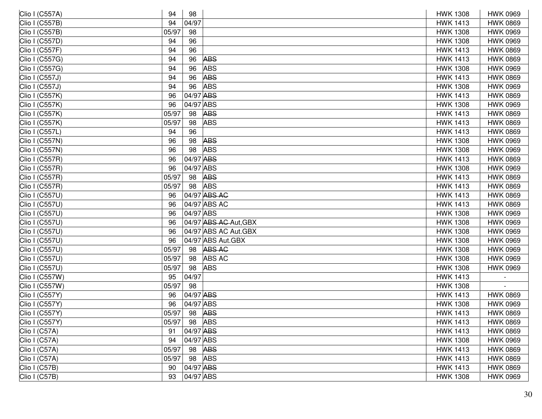| Clio I (C557A) | 94    | 98        |                       | <b>HWK 1308</b> | <b>HWK 0969</b> |
|----------------|-------|-----------|-----------------------|-----------------|-----------------|
| Clio I (C557B) | 94    | 04/97     |                       | <b>HWK 1413</b> | <b>HWK 0869</b> |
| Clio I (C557B) | 05/97 | 98        |                       | <b>HWK 1308</b> | <b>HWK 0969</b> |
| Clio I (C557D) | 94    | 96        |                       | <b>HWK 1308</b> | <b>HWK 0969</b> |
| Clio I (C557F) | 94    | 96        |                       | <b>HWK 1413</b> | <b>HWK 0869</b> |
| Clio I (C557G) | 94    | 96        | <b>ABS</b>            | <b>HWK 1413</b> | <b>HWK 0869</b> |
| Clio I (C557G) | 94    | 96        | <b>ABS</b>            | <b>HWK 1308</b> | <b>HWK 0969</b> |
| Clio I (C557J) | 94    | 96        | <b>ABS</b>            | <b>HWK 1413</b> | <b>HWK 0869</b> |
| Clio I (C557J) | 94    | 96        | <b>ABS</b>            | <b>HWK 1308</b> | <b>HWK 0969</b> |
| Clio I (C557K) | 96    | 04/97 ABS |                       | <b>HWK 1413</b> | <b>HWK 0869</b> |
| Clio I (C557K) | 96    | 04/97 ABS |                       | <b>HWK 1308</b> | <b>HWK 0969</b> |
| Clio I (C557K) | 05/97 | 98        | <b>ABS</b>            | <b>HWK 1413</b> | <b>HWK 0869</b> |
| Clio I (C557K) | 05/97 | 98        | <b>ABS</b>            | <b>HWK 1413</b> | <b>HWK 0869</b> |
| Clio I (C557L) | 94    | 96        |                       | <b>HWK 1413</b> | <b>HWK 0869</b> |
| Clio I (C557N) | 96    | 98        | <b>ABS</b>            | <b>HWK 1308</b> | <b>HWK 0969</b> |
| Clio I (C557N) | 96    | 98        | <b>ABS</b>            | <b>HWK 1308</b> | <b>HWK 0969</b> |
| Clio I (C557R) | 96    | 04/97 ABS |                       | <b>HWK 1413</b> | <b>HWK 0869</b> |
| Clio I (C557R) | 96    | 04/97 ABS |                       | <b>HWK 1308</b> | <b>HWK 0969</b> |
| Clio I (C557R) | 05/97 | 98        | <b>ABS</b>            | <b>HWK 1413</b> | <b>HWK 0869</b> |
| Clio I (C557R) | 05/97 | 98        | <b>ABS</b>            | <b>HWK 1413</b> | <b>HWK 0869</b> |
| Clio I (C557U) | 96    |           | 04/97 ABS AC          | <b>HWK 1413</b> | <b>HWK 0869</b> |
| Clio I (C557U) | 96    |           | 04/97 ABS AC          | <b>HWK 1413</b> | <b>HWK 0869</b> |
| Clio I (C557U) | 96    | 04/97 ABS |                       | <b>HWK 1308</b> | <b>HWK 0969</b> |
| Clio I (C557U) | 96    |           | 04/97 ABS AC Aut, GBX | <b>HWK 1308</b> | <b>HWK 0969</b> |
| Clio I (C557U) | 96    |           | 04/97 ABS AC Aut.GBX  | <b>HWK 1308</b> | <b>HWK 0969</b> |
| Clio I (C557U) | 96    |           | 04/97 ABS Aut.GBX     | <b>HWK 1308</b> | <b>HWK 0969</b> |
| Clio I (C557U) | 05/97 | 98        | <b>ABS AC</b>         | <b>HWK 1308</b> | <b>HWK 0969</b> |
| Clio I (C557U) | 05/97 | 98        | <b>ABS AC</b>         | <b>HWK 1308</b> | <b>HWK 0969</b> |
| Clio I (C557U) | 05/97 | 98        | <b>ABS</b>            | <b>HWK 1308</b> | <b>HWK 0969</b> |
| Clio I (C557W) | 95    | 04/97     |                       | <b>HWK 1413</b> |                 |
| Clio I (C557W) | 05/97 | 98        |                       | <b>HWK 1308</b> |                 |
| Clio I (C557Y) | 96    | 04/97 ABS |                       | <b>HWK 1413</b> | <b>HWK 0869</b> |
| Clio I (C557Y) | 96    | 04/97 ABS |                       | <b>HWK 1308</b> | <b>HWK 0969</b> |
| Clio I (C557Y) | 05/97 |           | 98 ABS                | <b>HWK 1413</b> | <b>HWK 0869</b> |
| Clio I (C557Y) | 05/97 | 98 ABS    |                       | <b>HWK 1413</b> | <b>HWK 0869</b> |
| Clio I (C57A)  | 91    | 04/97 ABS |                       | <b>HWK 1413</b> | <b>HWK 0869</b> |
| Clio I (C57A)  | 94    | 04/97 ABS |                       | <b>HWK 1308</b> | <b>HWK 0969</b> |
| Clio I (C57A)  | 05/97 | 98        | <b>ABS</b>            | <b>HWK 1413</b> | <b>HWK 0869</b> |
| Clio I (C57A)  | 05/97 | 98        | <b>ABS</b>            | <b>HWK 1413</b> | <b>HWK 0869</b> |
| Clio I (C57B)  | 90    | 04/97 ABS |                       | <b>HWK 1413</b> | <b>HWK 0869</b> |
| Clio I (C57B)  | 93    | 04/97 ABS |                       | <b>HWK 1308</b> | <b>HWK 0969</b> |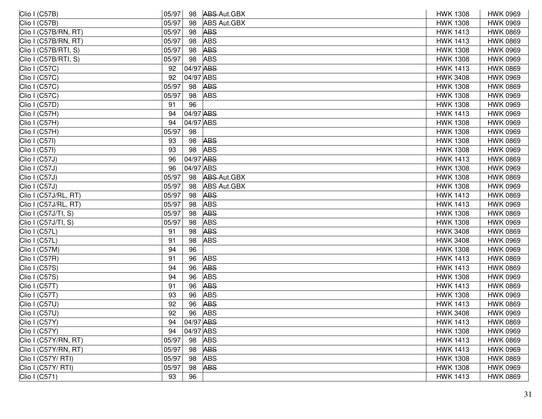|       | 98 |            | <b>HWK 1308</b>                                                                                                                                                                                                                                                                                                                                                                                                                                                                                                                | <b>HWK 0969</b> |
|-------|----|------------|--------------------------------------------------------------------------------------------------------------------------------------------------------------------------------------------------------------------------------------------------------------------------------------------------------------------------------------------------------------------------------------------------------------------------------------------------------------------------------------------------------------------------------|-----------------|
| 05/97 | 98 |            | <b>HWK 1308</b>                                                                                                                                                                                                                                                                                                                                                                                                                                                                                                                | <b>HWK 0969</b> |
| 05/97 | 98 |            | <b>HWK 1413</b>                                                                                                                                                                                                                                                                                                                                                                                                                                                                                                                | <b>HWK 0869</b> |
| 05/97 | 98 |            | <b>HWK 1413</b>                                                                                                                                                                                                                                                                                                                                                                                                                                                                                                                | <b>HWK 0869</b> |
| 05/97 | 98 |            | <b>HWK 1308</b>                                                                                                                                                                                                                                                                                                                                                                                                                                                                                                                | <b>HWK 0969</b> |
| 05/97 | 98 |            | <b>HWK 1308</b>                                                                                                                                                                                                                                                                                                                                                                                                                                                                                                                | <b>HWK 0969</b> |
| 92    |    |            | <b>HWK 1413</b>                                                                                                                                                                                                                                                                                                                                                                                                                                                                                                                | <b>HWK 0869</b> |
| 92    |    |            | <b>HWK 3408</b>                                                                                                                                                                                                                                                                                                                                                                                                                                                                                                                | <b>HWK 0969</b> |
| 05/97 | 98 |            | <b>HWK 1308</b>                                                                                                                                                                                                                                                                                                                                                                                                                                                                                                                | <b>HWK 0869</b> |
| 05/97 | 98 |            | <b>HWK 1308</b>                                                                                                                                                                                                                                                                                                                                                                                                                                                                                                                | <b>HWK 0969</b> |
| 91    | 96 |            | <b>HWK 1308</b>                                                                                                                                                                                                                                                                                                                                                                                                                                                                                                                | <b>HWK 0969</b> |
| 94    |    |            | <b>HWK 1413</b>                                                                                                                                                                                                                                                                                                                                                                                                                                                                                                                | <b>HWK 0969</b> |
| 94    |    |            | <b>HWK 1308</b>                                                                                                                                                                                                                                                                                                                                                                                                                                                                                                                | <b>HWK 0969</b> |
| 05/97 | 98 |            | <b>HWK 1308</b>                                                                                                                                                                                                                                                                                                                                                                                                                                                                                                                | <b>HWK 0969</b> |
| 93    | 98 |            | <b>HWK 1308</b>                                                                                                                                                                                                                                                                                                                                                                                                                                                                                                                | <b>HWK 0869</b> |
| 93    | 98 |            | <b>HWK 1308</b>                                                                                                                                                                                                                                                                                                                                                                                                                                                                                                                | <b>HWK 0969</b> |
| 96    |    |            | <b>HWK 1413</b>                                                                                                                                                                                                                                                                                                                                                                                                                                                                                                                | <b>HWK 0869</b> |
| 96    |    |            | <b>HWK 1308</b>                                                                                                                                                                                                                                                                                                                                                                                                                                                                                                                | <b>HWK 0969</b> |
| 05/97 | 98 |            | <b>HWK 1308</b>                                                                                                                                                                                                                                                                                                                                                                                                                                                                                                                | <b>HWK 0869</b> |
| 05/97 | 98 |            | <b>HWK 1308</b>                                                                                                                                                                                                                                                                                                                                                                                                                                                                                                                | <b>HWK 0969</b> |
| 05/97 | 98 |            | <b>HWK 1413</b>                                                                                                                                                                                                                                                                                                                                                                                                                                                                                                                | <b>HWK 0869</b> |
| 05/97 | 98 |            | <b>HWK 1413</b>                                                                                                                                                                                                                                                                                                                                                                                                                                                                                                                | <b>HWK 0969</b> |
| 05/97 | 98 |            | <b>HWK 1308</b>                                                                                                                                                                                                                                                                                                                                                                                                                                                                                                                | <b>HWK 0869</b> |
| 05/97 | 98 |            | <b>HWK 1308</b>                                                                                                                                                                                                                                                                                                                                                                                                                                                                                                                | <b>HWK 0969</b> |
| 91    | 98 |            | <b>HWK 3408</b>                                                                                                                                                                                                                                                                                                                                                                                                                                                                                                                | <b>HWK 0869</b> |
| 91    | 98 |            | <b>HWK 3408</b>                                                                                                                                                                                                                                                                                                                                                                                                                                                                                                                | <b>HWK 0969</b> |
| 94    | 96 |            | <b>HWK 1308</b>                                                                                                                                                                                                                                                                                                                                                                                                                                                                                                                | <b>HWK 0969</b> |
| 91    | 96 |            | <b>HWK 1413</b>                                                                                                                                                                                                                                                                                                                                                                                                                                                                                                                | <b>HWK 0869</b> |
| 94    | 96 |            | <b>HWK 1413</b>                                                                                                                                                                                                                                                                                                                                                                                                                                                                                                                | <b>HWK 0869</b> |
| 94    | 96 | <b>ABS</b> | <b>HWK 1308</b>                                                                                                                                                                                                                                                                                                                                                                                                                                                                                                                | <b>HWK 0969</b> |
| 91    | 96 |            | <b>HWK 1413</b>                                                                                                                                                                                                                                                                                                                                                                                                                                                                                                                | <b>HWK 0869</b> |
| 93    | 96 |            | <b>HWK 1308</b>                                                                                                                                                                                                                                                                                                                                                                                                                                                                                                                | <b>HWK 0969</b> |
| 92    | 96 |            | <b>HWK 1413</b>                                                                                                                                                                                                                                                                                                                                                                                                                                                                                                                | <b>HWK 0869</b> |
| 92    | 96 |            | <b>HWK 3408</b>                                                                                                                                                                                                                                                                                                                                                                                                                                                                                                                | <b>HWK 0969</b> |
| 94    |    |            | <b>HWK 1413</b>                                                                                                                                                                                                                                                                                                                                                                                                                                                                                                                | <b>HWK 0869</b> |
| 94    |    |            | <b>HWK 1308</b>                                                                                                                                                                                                                                                                                                                                                                                                                                                                                                                | <b>HWK 0969</b> |
| 05/97 | 98 |            | <b>HWK 1413</b>                                                                                                                                                                                                                                                                                                                                                                                                                                                                                                                | <b>HWK 0869</b> |
| 05/97 | 98 |            | <b>HWK 1413</b>                                                                                                                                                                                                                                                                                                                                                                                                                                                                                                                | <b>HWK 0969</b> |
| 05/97 | 98 |            | <b>HWK 1308</b>                                                                                                                                                                                                                                                                                                                                                                                                                                                                                                                | <b>HWK 0869</b> |
| 05/97 | 98 |            | <b>HWK 1308</b>                                                                                                                                                                                                                                                                                                                                                                                                                                                                                                                | <b>HWK 0969</b> |
| 93    | 96 |            | <b>HWK 1413</b>                                                                                                                                                                                                                                                                                                                                                                                                                                                                                                                | <b>HWK 0869</b> |
|       |    | 05/97      | ABS Aut.GBX<br>ABS Aut.GBX<br><b>ABS</b><br><b>ABS</b><br><b>ABS</b><br><b>ABS</b><br>04/97 ABS<br>04/97 ABS<br><b>ABS</b><br><b>ABS</b><br>04/97 ABS<br>04/97 ABS<br><b>ABS</b><br><b>ABS</b><br>04/97 ABS<br>04/97 ABS<br><b>ABS-Aut.GBX</b><br><b>ABS Aut.GBX</b><br><b>ABS</b><br><b>ABS</b><br><b>ABS</b><br><b>ABS</b><br><b>ABS</b><br><b>ABS</b><br><b>ABS</b><br><b>ABS</b><br><b>ABS</b><br><b>ABS</b><br><b>ABS</b><br><b>ABS</b><br>04/97 ABS<br>04/97 ABS<br><b>ABS</b><br><b>ABS</b><br><b>ABS</b><br><b>ABS</b> |                 |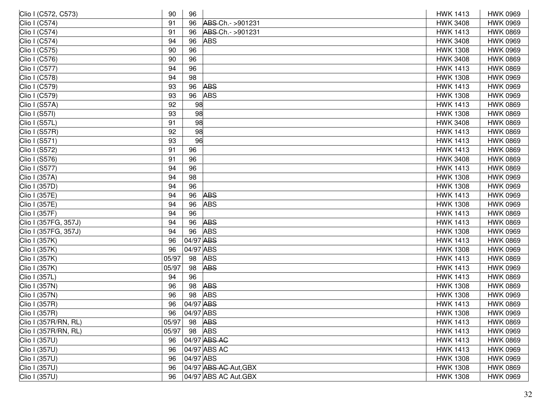| Clio I (C572, C573)  | 90    | 96        |                       | <b>HWK 1413</b> | <b>HWK 0969</b> |
|----------------------|-------|-----------|-----------------------|-----------------|-----------------|
| Clio I (C574)        | 91    | 96        | ABS-Ch.- >901231      | <b>HWK 3408</b> | <b>HWK 0969</b> |
| Clio I (C574)        | 91    | 96        | ABS-Ch.- >901231      | <b>HWK 1413</b> | <b>HWK 0869</b> |
| Clio I (C574)        | 94    | 96        | <b>ABS</b>            | <b>HWK 3408</b> | <b>HWK 0969</b> |
| Clio I (C575)        | 90    | 96        |                       | <b>HWK 1308</b> | <b>HWK 0969</b> |
| Clio I (C576)        | 90    | 96        |                       | <b>HWK 3408</b> | <b>HWK 0869</b> |
| Clio I (C577)        | 94    | 96        |                       | <b>HWK 1413</b> | <b>HWK 0869</b> |
| Clio I (C578)        | 94    | 98        |                       | <b>HWK 1308</b> | <b>HWK 0969</b> |
| Clio I (C579)        | 93    | 96        | <b>ABS</b>            | <b>HWK 1413</b> | <b>HWK 0969</b> |
| Clio I (C579)        | 93    | 96        | <b>ABS</b>            | <b>HWK 1308</b> | <b>HWK 0969</b> |
| Clio I (S57A)        | 92    | 98        |                       | <b>HWK 1413</b> | <b>HWK 0869</b> |
| Clio I (S57I)        | 93    | 98        |                       | <b>HWK 1308</b> | <b>HWK 0869</b> |
| Clio I (S57L)        | 91    | 98        |                       | <b>HWK 3408</b> | <b>HWK 0869</b> |
| Clio I (S57R)        | 92    | 98        |                       | <b>HWK 1413</b> | <b>HWK 0869</b> |
| Clio I (S571)        | 93    | 96        |                       | <b>HWK 1413</b> | <b>HWK 0869</b> |
| Clio I (S572)        | 91    | 96        |                       | <b>HWK 1413</b> | <b>HWK 0869</b> |
| Clio I (S576)        | 91    | 96        |                       | <b>HWK 3408</b> | <b>HWK 0869</b> |
| Clio I (S577)        | 94    | 96        |                       | <b>HWK 1413</b> | <b>HWK 0869</b> |
| Clio I (357A)        | 94    | 98        |                       | <b>HWK 1308</b> | <b>HWK 0969</b> |
| Clio I (357D)        | 94    | 96        |                       | <b>HWK 1308</b> | <b>HWK 0969</b> |
| Clio I (357E)        | 94    | 96        | <b>ABS</b>            | <b>HWK 1413</b> | <b>HWK 0969</b> |
| Clio I (357E)        | 94    | 96        | <b>ABS</b>            | <b>HWK 1308</b> | <b>HWK 0969</b> |
| Clio I (357F)        | 94    | 96        |                       | <b>HWK 1413</b> | <b>HWK 0869</b> |
| Clio I (357FG, 357J) | 94    | 96        | <b>ABS</b>            | <b>HWK 1413</b> | <b>HWK 0869</b> |
| Clio I (357FG, 357J) | 94    | 96        | <b>ABS</b>            | <b>HWK 1308</b> | <b>HWK 0969</b> |
| Clio I (357K)        | 96    | 04/97 ABS |                       | <b>HWK 1413</b> | <b>HWK 0869</b> |
| Clio I (357K)        | 96    | 04/97 ABS |                       | <b>HWK 1308</b> | <b>HWK 0969</b> |
| Clio I (357K)        | 05/97 | 98        | <b>ABS</b>            | <b>HWK 1413</b> | <b>HWK 0869</b> |
| Clio I (357K)        | 05/97 | 98        | <b>ABS</b>            | <b>HWK 1413</b> | <b>HWK 0969</b> |
| Clio I (357L)        | 94    | 96        |                       | <b>HWK 1413</b> | <b>HWK 0869</b> |
| Clio I (357N)        | 96    | 98        | <b>ABS</b>            | <b>HWK 1308</b> | <b>HWK 0869</b> |
| Clio I (357N)        | 96    | 98        | <b>ABS</b>            | <b>HWK 1308</b> | <b>HWK 0969</b> |
| Clio I (357R)        | 96    | 04/97 ABS |                       | <b>HWK 1413</b> | <b>HWK 0869</b> |
| Clio I (357R)        | 96    | 04/97 ABS |                       | <b>HWK 1308</b> | <b>HWK 0969</b> |
| Clio I (357R/RN, RL) | 05/97 | 98        | <b>ABS</b>            | <b>HWK 1413</b> | <b>HWK 0869</b> |
| Clio I (357R/RN, RL) | 05/97 | 98        | <b>ABS</b>            | <b>HWK 1413</b> | <b>HWK 0969</b> |
| Clio I (357U)        | 96    |           | 04/97 ABS AC          | <b>HWK 1413</b> | <b>HWK 0869</b> |
| Clio I (357U)        | 96    |           | 04/97 ABS AC          | <b>HWK 1413</b> | <b>HWK 0969</b> |
| Clio I (357U)        | 96    | 04/97 ABS |                       | <b>HWK 1308</b> | <b>HWK 0969</b> |
| Clio I (357U)        | 96    |           | 04/97 ABS AC Aut, GBX | <b>HWK 1308</b> | <b>HWK 0869</b> |
| Clio I (357U)        | 96    |           | 04/97 ABS AC Aut.GBX  | <b>HWK 1308</b> | <b>HWK 0969</b> |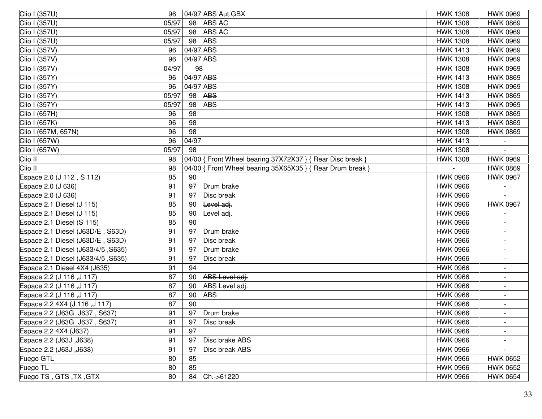| Clio I (357U)                      | 96    |           | 04/97 ABS Aut.GBX                                          | <b>HWK 1308</b> | <b>HWK 0969</b>          |
|------------------------------------|-------|-----------|------------------------------------------------------------|-----------------|--------------------------|
| Clio I (357U)                      | 05/97 | 98        | <b>ABS AG</b>                                              | <b>HWK 1308</b> | <b>HWK 0869</b>          |
| Clio I (357U)                      | 05/97 | 98        | <b>ABS AC</b>                                              | <b>HWK 1308</b> | <b>HWK 0969</b>          |
| Clio I (357U)                      | 05/97 | 98        | <b>ABS</b>                                                 | <b>HWK 1308</b> | <b>HWK 0969</b>          |
| Clio I (357V)                      | 96    | 04/97 ABS |                                                            | <b>HWK 1413</b> | <b>HWK 0969</b>          |
| Clio I (357V)                      | 96    | 04/97 ABS |                                                            | <b>HWK 1308</b> | <b>HWK 0969</b>          |
| Clio I (357V)                      | 04/97 | 98        |                                                            | <b>HWK 1308</b> | <b>HWK 0969</b>          |
| Clio I (357Y)                      | 96    | 04/97 ABS |                                                            | <b>HWK 1413</b> | <b>HWK 0869</b>          |
| Clio I (357Y)                      | 96    | 04/97 ABS |                                                            | <b>HWK 1308</b> | <b>HWK 0969</b>          |
| Clio I (357Y)                      | 05/97 | 98        | <b>ABS</b>                                                 | <b>HWK 1413</b> | <b>HWK 0869</b>          |
| Clio I (357Y)                      | 05/97 | 98        | <b>ABS</b>                                                 | <b>HWK 1413</b> | <b>HWK 0969</b>          |
| Clio I (657H)                      | 96    | 98        |                                                            | <b>HWK 1308</b> | <b>HWK 0869</b>          |
| Clio I (657K)                      | 96    | 98        |                                                            | <b>HWK 1413</b> | <b>HWK 0869</b>          |
| Clio I (657M, 657N)                | 96    | 98        |                                                            | <b>HWK 1308</b> | <b>HWK 0869</b>          |
| Clio I (657W)                      | 96    | 04/97     |                                                            | <b>HWK 1413</b> |                          |
| Clio I (657W)                      | 05/97 | 98        |                                                            | <b>HWK 1308</b> |                          |
| Clio II                            | 98    |           | 04/00   Front Wheel bearing 37X72X37 } { Rear Disc break } | <b>HWK 1308</b> | <b>HWK 0969</b>          |
| Clio II                            | 98    |           | 04/00   Front Wheel bearing 35X65X35 } { Rear Drum break } |                 | <b>HWK 0869</b>          |
| Espace 2.0 (J 112, S 112)          | 85    | 90        |                                                            | <b>HWK 0966</b> | <b>HWK 0967</b>          |
| Espace 2.0 (J 636)                 | 91    | 97        | Drum brake                                                 | <b>HWK 0966</b> |                          |
| Espace 2.0 (J 636)                 | 91    | 97        | Disc break                                                 | <b>HWK 0966</b> |                          |
| Espace 2.1 Diesel (J 115)          | 85    | 90        | Level adj.                                                 | <b>HWK 0966</b> | <b>HWK 0967</b>          |
| Espace 2.1 Diesel (J 115)          | 85    | 90        | _evel adj.                                                 | <b>HWK 0966</b> |                          |
| Espace 2.1 Diesel (S 115)          | 85    | 90        |                                                            | <b>HWK 0966</b> |                          |
| Espace 2.1 Diesel (J63D/E, S63D)   | 91    | 97        | Drum brake                                                 | <b>HWK 0966</b> |                          |
| Espace 2.1 Diesel (J63D/E, S63D)   | 91    | 97        | Disc break                                                 | <b>HWK 0966</b> | $\blacksquare$           |
| Espace 2.1 Diesel (J633/4/5, S635) | 91    | 97        | Drum brake                                                 | <b>HWK 0966</b> |                          |
| Espace 2.1 Diesel (J633/4/5, S635) | 91    | 97        | Disc break                                                 | <b>HWK 0966</b> |                          |
| Espace 2.1 Diesel 4X4 (J635)       | 91    | 94        |                                                            | <b>HWK 0966</b> |                          |
| Espace 2.2 (J 116, J 117)          | 87    | 90        | ABS Level adj.                                             | <b>HWK 0966</b> | $\overline{\phantom{a}}$ |
| Espace 2.2 (J 116, J 117)          | 87    | 90        | ABS Level adj.                                             | <b>HWK 0966</b> |                          |
| [511 J, 116, 116] Espace 2.2       | 87    | 90        | <b>ABS</b>                                                 | <b>HWK 0966</b> |                          |
| Espace 2.2 4X4 (J 116, J 117)      | 87    | 90        |                                                            | <b>HWK 0966</b> |                          |
| Espace 2.2 (J63G, J637, S637)      | 91    |           | 97 Drum brake                                              | <b>HWK 0966</b> |                          |
| Espace 2.2 (J63G, J637, S637)      | 91    | 97        | Disc break                                                 | <b>HWK 0966</b> | $\overline{\phantom{a}}$ |
| Espace 2.2 4X4 (J637)              | 91    | 97        |                                                            | <b>HWK 0966</b> |                          |
| Espace 2.2 (J63J, J638)            | 91    | 97        | Disc brake ABS                                             | <b>HWK 0966</b> |                          |
| Espace 2.2 (J63J, J638)            | 91    | 97        | Disc break ABS                                             | <b>HWK 0966</b> |                          |
| Fuego GTL                          | 80    | 85        |                                                            | <b>HWK 0966</b> | <b>HWK 0652</b>          |
| Fuego TL                           | 80    | 85        |                                                            | <b>HWK 0966</b> | <b>HWK 0652</b>          |
| Fuego TS, GTS, TX, GTX             | 80    | 84        | Ch.->61220                                                 | <b>HWK 0966</b> | <b>HWK 0654</b>          |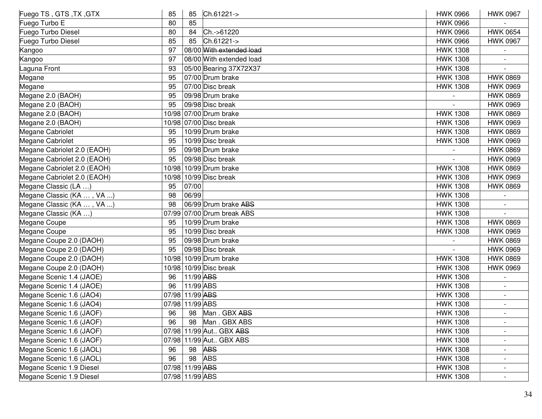| Fuego TS, GTS, TX, GTX      | 85    | 85              | Ch.61221->                 | <b>HWK 0966</b> | <b>HWK 0967</b>          |
|-----------------------------|-------|-----------------|----------------------------|-----------------|--------------------------|
| Fuego Turbo E               | 80    | 85              |                            | <b>HWK 0966</b> |                          |
| Fuego Turbo Diesel          | 80    | 84              | Ch.->61220                 | <b>HWK 0966</b> | <b>HWK 0654</b>          |
| Fuego Turbo Diesel          | 85    | 85              | Ch.61221->                 | <b>HWK 0966</b> | <b>HWK 0967</b>          |
| Kangoo                      | 97    |                 | 08/00 With extended load   | <b>HWK 1308</b> |                          |
| Kangoo                      | 97    |                 | 08/00 With extended load   | <b>HWK 1308</b> |                          |
| Laguna Front                | 93    |                 | 05/00 Bearing 37X72X37     | <b>HWK 1308</b> |                          |
| Megane                      | 95    |                 | 07/00 Drum brake           | <b>HWK 1308</b> | <b>HWK 0869</b>          |
| Megane                      | 95    |                 | 07/00 Disc break           | <b>HWK 1308</b> | <b>HWK 0969</b>          |
| Megane 2.0 (BAOH)           | 95    |                 | 09/98 Drum brake           |                 | <b>HWK 0869</b>          |
| Megane 2.0 (BAOH)           | 95    |                 | 09/98 Disc break           |                 | <b>HWK 0969</b>          |
| Megane 2.0 (BAOH)           |       |                 | 10/98 07/00 Drum brake     | <b>HWK 1308</b> | <b>HWK 0869</b>          |
| Megane 2.0 (BAOH)           |       |                 | 10/98 07/00 Disc break     | <b>HWK 1308</b> | <b>HWK 0969</b>          |
| Megane Cabriolet            | 95    |                 | 10/99 Drum brake           | <b>HWK 1308</b> | <b>HWK 0869</b>          |
| Megane Cabriolet            | 95    |                 | 10/99 Disc break           | <b>HWK 1308</b> | <b>HWK 0969</b>          |
| Megane Cabriolet 2.0 (EAOH) | 95    |                 | 09/98 Drum brake           |                 | <b>HWK 0869</b>          |
| Megane Cabriolet 2.0 (EAOH) | 95    |                 | 09/98 Disc break           |                 | <b>HWK 0969</b>          |
| Megane Cabriolet 2.0 (EAOH) |       |                 | 10/98 10/99 Drum brake     | <b>HWK 1308</b> | <b>HWK 0869</b>          |
| Megane Cabriolet 2.0 (EAOH) | 10/98 |                 | 10/99 Disc break           | <b>HWK 1308</b> | <b>HWK 0969</b>          |
| Megane Classic (LA )        | 95    | 07/00           |                            | <b>HWK 1308</b> | <b>HWK 0869</b>          |
| Megane Classic (KA , VA )   | 98    | 06/99           |                            | <b>HWK 1308</b> |                          |
| Megane Classic (KA , VA )   | 98    |                 | 06/99 Drum brake ABS       | <b>HWK 1308</b> |                          |
| Megane Classic (KA )        |       |                 | 07/99 07/00 Drum break ABS | <b>HWK 1308</b> |                          |
| Megane Coupe                | 95    |                 | 10/99 Drum brake           | <b>HWK 1308</b> | <b>HWK 0869</b>          |
| Megane Coupe                | 95    |                 | 10/99 Disc break           | <b>HWK 1308</b> | <b>HWK 0969</b>          |
| Megane Coupe 2.0 (DAOH)     | 95    |                 | 09/98 Drum brake           |                 | <b>HWK 0869</b>          |
| Megane Coupe 2.0 (DAOH)     | 95    |                 | 09/98 Disc break           |                 | <b>HWK 0969</b>          |
| Megane Coupe 2.0 (DAOH)     |       |                 | 10/98 10/99 Drum brake     | <b>HWK 1308</b> | <b>HWK 0869</b>          |
| Megane Coupe 2.0 (DAOH)     | 10/98 |                 | 10/99 Disc break           | <b>HWK 1308</b> | <b>HWK 0969</b>          |
| Megane Scenic 1.4 (JAOE)    | 96    | 11/99 ABS       |                            | <b>HWK 1308</b> |                          |
| Megane Scenic 1.4 (JAOE)    | 96    | 11/99 ABS       |                            | <b>HWK 1308</b> |                          |
| Megane Scenic 1.6 (JAO4)    |       | 07/98 11/99 ABS |                            | <b>HWK 1308</b> |                          |
| Megane Scenic 1.6 (JAO4)    |       | 07/98 11/99 ABS |                            | <b>HWK 1308</b> |                          |
| Megane Scenic 1.6 (JAOF)    | 96    | 98              | Man. GBX ABS               | <b>HWK 1308</b> |                          |
| Megane Scenic 1.6 (JAOF)    | 96    | 98              | Man. GBX ABS               | <b>HWK 1308</b> | $\overline{\phantom{a}}$ |
| Megane Scenic 1.6 (JAOF)    |       |                 | 07/98 11/99 Aut GBX ABS    | <b>HWK 1308</b> |                          |
| Megane Scenic 1.6 (JAOF)    |       |                 | 07/98 11/99 Aut GBX ABS    | <b>HWK 1308</b> |                          |
| Megane Scenic 1.6 (JAOL)    | 96    | 98              | <b>ABS</b>                 | <b>HWK 1308</b> |                          |
| Megane Scenic 1.6 (JAOL)    | 96    | 98              | <b>ABS</b>                 | <b>HWK 1308</b> | $\blacksquare$           |
| Megane Scenic 1.9 Diesel    |       | 07/98 11/99 ABS |                            | <b>HWK 1308</b> |                          |
| Megane Scenic 1.9 Diesel    |       | 07/98 11/99 ABS |                            | <b>HWK 1308</b> |                          |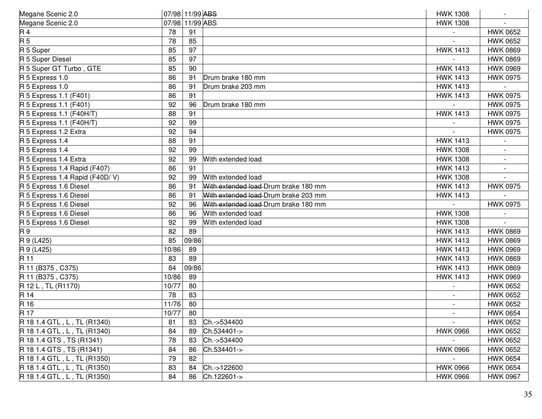| Megane Scenic 2.0              | 07/98 11/99 ABS |           |                                      | <b>HWK 1308</b> |                 |
|--------------------------------|-----------------|-----------|--------------------------------------|-----------------|-----------------|
| Megane Scenic 2.0              | 07/98           | 11/99 ABS |                                      | <b>HWK 1308</b> |                 |
| R 4                            | 78              | 91        |                                      |                 | <b>HWK 0652</b> |
| $\overline{R5}$                | 78              | 85        |                                      |                 | <b>HWK 0652</b> |
| R 5 Super                      | 85              | 97        |                                      | <b>HWK 1413</b> | <b>HWK 0869</b> |
| R 5 Super Diesel               | 85              | 97        |                                      |                 | <b>HWK 0869</b> |
| R 5 Super GT Turbo, GTE        | 85              | 90        |                                      | <b>HWK 1413</b> | <b>HWK 0969</b> |
| R 5 Express 1.0                | 86              | 91        | Drum brake 180 mm                    | <b>HWK 1413</b> | <b>HWK 0975</b> |
| R 5 Express 1.0                | 86              | 91        | Drum brake 203 mm                    | <b>HWK 1413</b> |                 |
| R 5 Express 1.1 (F401)         | 86              | 91        |                                      | <b>HWK 1413</b> | <b>HWK 0975</b> |
| R 5 Express 1.1 (F401)         | 92              | 96        | Drum brake 180 mm                    |                 | <b>HWK 0975</b> |
| R 5 Express 1.1 (F40H/T)       | 88              | 91        |                                      | <b>HWK 1413</b> | <b>HWK 0975</b> |
| $R$ 5 Express 1.1 (F40H/T)     | 92              | 99        |                                      |                 | <b>HWK 0975</b> |
| R 5 Express 1.2 Extra          | 92              | 94        |                                      |                 | <b>HWK 0975</b> |
| R 5 Express 1.4                | 88              | 91        |                                      | <b>HWK 1413</b> |                 |
| R 5 Express 1.4                | 92              | 99        |                                      | <b>HWK 1308</b> |                 |
| R 5 Express 1.4 Extra          | 92              | 99        | With extended load                   | <b>HWK 1308</b> | $\sim$          |
| $R$ 5 Express 1.4 Rapid (F407) | 86              | 91        |                                      | <b>HWK 1413</b> |                 |
| R 5 Express 1.4 Rapid (F40D/V) | 92              | 99        | With extended load                   | <b>HWK 1308</b> |                 |
| R 5 Express 1.6 Diesel         | 86              | 91        | With extended load Drum brake 180 mm | <b>HWK 1413</b> | <b>HWK 0975</b> |
| R 5 Express 1.6 Diesel         | 86              | 91        | With extended load Drum brake 203 mm | <b>HWK 1413</b> |                 |
| R 5 Express 1.6 Diesel         | 92              | 96        | With extended load Drum brake 180 mm |                 | <b>HWK 0975</b> |
| R 5 Express 1.6 Diesel         | 86              | 96        | With extended load                   | <b>HWK 1308</b> |                 |
| R 5 Express 1.6 Diesel         | 92              | 99        | With extended load                   | <b>HWK 1308</b> |                 |
| R 9                            | 82              | 89        |                                      | <b>HWK 1413</b> | <b>HWK 0869</b> |
| R 9 (L425)                     | 85              | 09/86     |                                      | <b>HWK 1413</b> | <b>HWK 0869</b> |
| R 9 (L425)                     | 10/86           | 89        |                                      | <b>HWK 1413</b> | <b>HWK 0969</b> |
| R 11                           | 83              | 89        |                                      | <b>HWK 1413</b> | <b>HWK 0869</b> |
| R 11 (B375, C375)              | 84              | 09/86     |                                      | <b>HWK 1413</b> | <b>HWK 0869</b> |
| R 11 (B375, C375)              | 10/86           | 89        |                                      | <b>HWK 1413</b> | <b>HWK 0969</b> |
| R 12 L, TL (R1170)             | 10/77           | 80        |                                      |                 | <b>HWK 0652</b> |
| R 14                           | 78              | 83        |                                      |                 | <b>HWK 0652</b> |
| R 16                           | 11/76           | 80        |                                      |                 | <b>HWK 0652</b> |
| R 17                           | 10/77           | 80        |                                      |                 | <b>HWK 0654</b> |
| R 18 1.4 GTL, L, TL (R1340)    | 81              | 83        | Ch.->534400                          | $\sim$          | <b>HWK 0652</b> |
| R 18 1.4 GTL, L, TL (R1340)    | 84              | 89        | Ch.534401->                          | <b>HWK 0966</b> | <b>HWK 0652</b> |
| R 18 1.4 GTS, TS (R1341)       | 78              | 83        | Ch.->534400                          |                 | <b>HWK 0652</b> |
| R 18 1.4 GTS, TS (R1341)       | 84              | 86        | Ch.534401->                          | <b>HWK 0966</b> | <b>HWK 0652</b> |
| R 18 1.4 GTL, L, TL (R1350)    | 79              | 82        |                                      |                 | <b>HWK 0654</b> |
| R 18 1.4 GTL, L, TL (R1350)    | 83              | 84        | Ch.->122600                          | <b>HWK 0966</b> | <b>HWK 0654</b> |
| R 18 1.4 GTL, L, TL (R1350)    | 84              | 86        | Ch.122601->                          | <b>HWK 0966</b> | <b>HWK 0967</b> |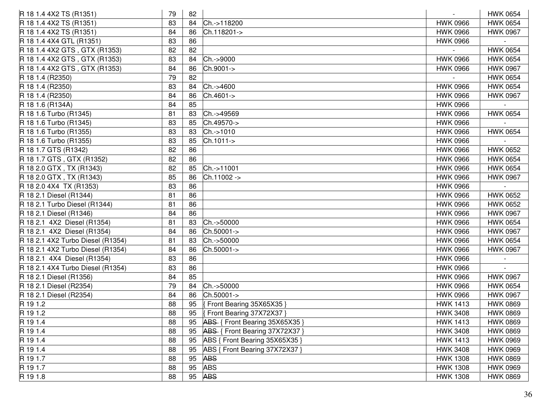| R 18 1.4 4X2 TS (R1351)           | 79 | 82 |                                | $\overline{\phantom{a}}$ | <b>HWK 0654</b> |
|-----------------------------------|----|----|--------------------------------|--------------------------|-----------------|
| R 18 1.4 4X2 TS (R1351)           | 83 | 84 | Ch.->118200                    | <b>HWK 0966</b>          | <b>HWK 0654</b> |
| R 18 1.4 4X2 TS (R1351)           | 84 | 86 | Ch.118201->                    | <b>HWK 0966</b>          | <b>HWK 0967</b> |
| R 18 1.4 4X4 GTL (R1351)          | 83 | 86 |                                | <b>HWK 0966</b>          |                 |
| R 18 1.4 4X2 GTS, GTX (R1353)     | 82 | 82 |                                |                          | <b>HWK 0654</b> |
| R 18 1.4 4X2 GTS, GTX (R1353)     | 83 | 84 | Ch.->9000                      | <b>HWK 0966</b>          | <b>HWK 0654</b> |
| R 18 1.4 4X2 GTS, GTX (R1353)     | 84 | 86 | Ch.9001->                      | <b>HWK 0966</b>          | <b>HWK 0967</b> |
| R 18 1.4 (R2350)                  | 79 | 82 |                                |                          | <b>HWK 0654</b> |
| R 18 1.4 (R2350)                  | 83 | 84 | Ch.->4600                      | <b>HWK 0966</b>          | <b>HWK 0654</b> |
| R 18 1.4 (R2350)                  | 84 | 86 | Ch.4601->                      | <b>HWK 0966</b>          | <b>HWK 0967</b> |
| R 18 1.6 (R134A)                  | 84 | 85 |                                | <b>HWK 0966</b>          |                 |
| R 18 1.6 Turbo (R1345)            | 81 | 83 | Ch.->49569                     | <b>HWK 0966</b>          | <b>HWK 0654</b> |
| R 18 1.6 Turbo (R1345)            | 83 | 85 | Ch.49570->                     | <b>HWK 0966</b>          |                 |
| R 18 1.6 Turbo (R1355)            | 83 | 83 | Ch.->1010                      | <b>HWK 0966</b>          | <b>HWK 0654</b> |
| R 18 1.6 Turbo (R1355)            | 83 | 85 | Ch.1011->                      | <b>HWK 0966</b>          |                 |
| R 18 1.7 GTS (R1342)              | 82 | 86 |                                | <b>HWK 0966</b>          | <b>HWK 0652</b> |
| R 18 1.7 GTS, GTX (R1352)         | 82 | 86 |                                | <b>HWK 0966</b>          | <b>HWK 0654</b> |
| R 18 2.0 GTX, TX (R1343)          | 82 | 85 | Ch.->11001                     | <b>HWK 0966</b>          | <b>HWK 0654</b> |
| R 18 2.0 GTX, TX (R1343)          | 85 | 86 | Ch.11002 ->                    | <b>HWK 0966</b>          | <b>HWK 0967</b> |
| R 18 2.0 4X4 TX (R1353)           | 83 | 86 |                                | <b>HWK 0966</b>          |                 |
| R 18 2.1 Diesel (R1344)           | 81 | 86 |                                | <b>HWK 0966</b>          | <b>HWK 0652</b> |
| R 18 2.1 Turbo Diesel (R1344)     | 81 | 86 |                                | <b>HWK 0966</b>          | <b>HWK 0652</b> |
| R 18 2.1 Diesel (R1346)           | 84 | 86 |                                | <b>HWK 0966</b>          | <b>HWK 0967</b> |
| R 18 2.1 4X2 Diesel (R1354)       | 81 | 83 | Ch.->50000                     | <b>HWK 0966</b>          | <b>HWK 0654</b> |
| R 18 2.1 4X2 Diesel (R1354)       | 84 | 86 | Ch.50001->                     | <b>HWK 0966</b>          | <b>HWK 0967</b> |
| R 18 2.1 4X2 Turbo Diesel (R1354) | 81 | 83 | Ch.->50000                     | <b>HWK 0966</b>          | <b>HWK 0654</b> |
| R 18 2.1 4X2 Turbo Diesel (R1354) | 84 | 86 | Ch.50001->                     | <b>HWK 0966</b>          | <b>HWK 0967</b> |
| R 18 2.1 4X4 Diesel (R1354)       | 83 | 86 |                                | <b>HWK 0966</b>          |                 |
| R 18 2.1 4X4 Turbo Diesel (R1354) | 83 | 86 |                                | <b>HWK 0966</b>          |                 |
| R 18 2.1 Diesel (R1356)           | 84 | 85 |                                | <b>HWK 0966</b>          | <b>HWK 0967</b> |
| R 18 2.1 Diesel (R2354)           | 79 | 84 | Ch.->50000                     | <b>HWK 0966</b>          | <b>HWK 0654</b> |
| R 18 2.1 Diesel (R2354)           | 84 | 86 | Ch.50001->                     | <b>HWK 0966</b>          | <b>HWK 0967</b> |
| R 19 1.2                          | 88 | 95 | Front Bearing 35X65X35 }       | <b>HWK 1413</b>          | <b>HWK 0869</b> |
| R 19 1.2                          | 88 | 95 | Front Bearing 37X72X37 }       | <b>HWK 3408</b>          | <b>HWK 0869</b> |
| R 19 1.4                          | 88 | 95 | ABS { Front Bearing 35X65X35   | <b>HWK 1413</b>          | <b>HWK 0869</b> |
| R 19 1.4                          | 88 | 95 | ABS { Front Bearing 37X72X37 } | <b>HWK 3408</b>          | <b>HWK 0869</b> |
| R 19 1.4                          | 88 | 95 | ABS { Front Bearing 35X65X35 } | <b>HWK 1413</b>          | <b>HWK 0969</b> |
| R 19 1.4                          | 88 | 95 | ABS { Front Bearing 37X72X37 } | <b>HWK 3408</b>          | <b>HWK 0969</b> |
| R 19 1.7                          | 88 | 95 | <b>ABS</b>                     | <b>HWK 1308</b>          | <b>HWK 0869</b> |
| R 19 1.7                          | 88 | 95 | <b>ABS</b>                     | <b>HWK 1308</b>          | <b>HWK 0969</b> |
| R 19 1.8                          | 88 | 95 | <b>ABS</b>                     | <b>HWK 1308</b>          | <b>HWK 0869</b> |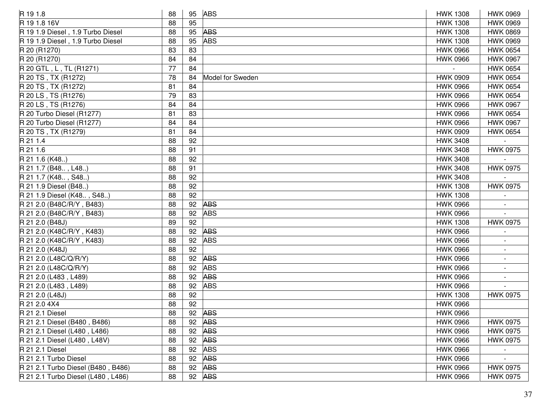| R 19 1.8                           | 88 |    | 95 ABS           | <b>HWK 1308</b> | <b>HWK 0969</b> |
|------------------------------------|----|----|------------------|-----------------|-----------------|
| R 19 1.8 16V                       | 88 | 95 |                  | <b>HWK 1308</b> | <b>HWK 0969</b> |
| R 19 1.9 Diesel, 1.9 Turbo Diesel  | 88 | 95 | <b>ABS</b>       | <b>HWK 1308</b> | <b>HWK 0869</b> |
| R 19 1.9 Diesel, 1.9 Turbo Diesel  | 88 | 95 | <b>ABS</b>       | <b>HWK 1308</b> | <b>HWK 0969</b> |
| R 20 (R1270)                       | 83 | 83 |                  | <b>HWK 0966</b> | <b>HWK 0654</b> |
| R 20 (R1270)                       | 84 | 84 |                  | <b>HWK 0966</b> | <b>HWK 0967</b> |
| R 20 GTL, L, TL (R1271)            | 77 | 84 |                  |                 | <b>HWK 0654</b> |
| R 20 TS, TX (R1272)                | 78 | 84 | Model for Sweden | <b>HWK 0909</b> | <b>HWK 0654</b> |
| R 20 TS, TX (R1272)                | 81 | 84 |                  | <b>HWK 0966</b> | <b>HWK 0654</b> |
| R 20 LS, TS (R1276)                | 79 | 83 |                  | <b>HWK 0966</b> | <b>HWK 0654</b> |
| R 20 LS, TS (R1276)                | 84 | 84 |                  | <b>HWK 0966</b> | <b>HWK 0967</b> |
| R 20 Turbo Diesel (R1277)          | 81 | 83 |                  | <b>HWK 0966</b> | <b>HWK 0654</b> |
| R 20 Turbo Diesel (R1277)          | 84 | 84 |                  | <b>HWK 0966</b> | <b>HWK 0967</b> |
| R 20 TS, TX (R1279)                | 81 | 84 |                  | <b>HWK 0909</b> | <b>HWK 0654</b> |
| R 21 1.4                           | 88 | 92 |                  | <b>HWK 3408</b> |                 |
| R 21 1.6                           | 88 | 91 |                  | <b>HWK 3408</b> | <b>HWK 0975</b> |
| R 21 1.6 (K48)                     | 88 | 92 |                  | <b>HWK 3408</b> |                 |
| R 21 1.7 (B48, L48)                | 88 | 91 |                  | <b>HWK 3408</b> | <b>HWK 0975</b> |
| R 21 1.7 (K48, S48)                | 88 | 92 |                  | <b>HWK 3408</b> |                 |
| R 21 1.9 Diesel (B48)              | 88 | 92 |                  | <b>HWK 1308</b> | <b>HWK 0975</b> |
| R 21 1.9 Diesel (K48, S48)         | 88 | 92 |                  | <b>HWK 1308</b> |                 |
| R 21 2.0 (B48C/R/Y, B483)          | 88 | 92 | <b>ABS</b>       | <b>HWK 0966</b> |                 |
| R 21 2.0 (B48C/R/Y, B483)          | 88 | 92 | <b>ABS</b>       | <b>HWK 0966</b> |                 |
| R 21 2.0 (B48J)                    | 89 | 92 |                  | <b>HWK 1308</b> | <b>HWK 0975</b> |
| R 21 2.0 (K48C/R/Y, K483)          | 88 | 92 | <b>ABS</b>       | <b>HWK 0966</b> |                 |
| R 21 2.0 (K48C/R/Y, K483)          | 88 | 92 | <b>ABS</b>       | <b>HWK 0966</b> |                 |
| R 21 2.0 (K48J)                    | 88 | 92 |                  | <b>HWK 0966</b> |                 |
| R 21 2.0 (L48C/Q/R/Y)              | 88 | 92 | <b>ABS</b>       | <b>HWK 0966</b> |                 |
| R 21 2.0 (L48C/Q/R/Y)              | 88 | 92 | <b>ABS</b>       | <b>HWK 0966</b> |                 |
| R 21 2.0 (L483, L489)              | 88 | 92 | <b>ABS</b>       | <b>HWK 0966</b> |                 |
| R 21 2.0 (L483, L489)              | 88 | 92 | <b>ABS</b>       | <b>HWK 0966</b> |                 |
| R 21 2.0 (L48J)                    | 88 | 92 |                  | <b>HWK 1308</b> | <b>HWK 0975</b> |
| R 21 2.0 4X4                       | 88 | 92 |                  | <b>HWK 0966</b> |                 |
| <b>R</b> 21 2.1 Diesel             | 88 |    | 92 ABS           | <b>HWK 0966</b> |                 |
| R 21 2.1 Diesel (B480, B486)       | 88 | 92 | <b>ABS</b>       | <b>HWK 0966</b> | <b>HWK 0975</b> |
| R 21 2.1 Diesel (L480, L486)       | 88 | 92 | <b>ABS</b>       | <b>HWK 0966</b> | <b>HWK 0975</b> |
| R 21 2.1 Diesel (L480, L48V)       | 88 | 92 | <b>ABS</b>       | <b>HWK 0966</b> | <b>HWK 0975</b> |
| <b>R</b> 21 2.1 Diesel             | 88 | 92 | <b>ABS</b>       | <b>HWK 0966</b> |                 |
| R 21 2.1 Turbo Diesel              | 88 | 92 | <b>ABS</b>       | <b>HWK 0966</b> |                 |
| R 21 2.1 Turbo Diesel (B480, B486) | 88 | 92 | <b>ABS</b>       | <b>HWK 0966</b> | <b>HWK 0975</b> |
| R 21 2.1 Turbo Diesel (L480, L486) | 88 |    | 92 ABS           | <b>HWK 0966</b> | <b>HWK 0975</b> |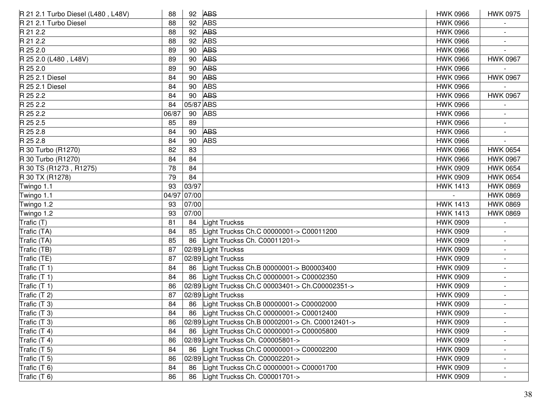| R 21 2.1 Turbo Diesel (L480, L48V) | 88    | 92        | <b>ABS</b>                                          | <b>HWK 0966</b> | <b>HWK 0975</b>          |
|------------------------------------|-------|-----------|-----------------------------------------------------|-----------------|--------------------------|
| R 21 2.1 Turbo Diesel              | 88    | 92        | <b>ABS</b>                                          | <b>HWK 0966</b> |                          |
| R 21 2.2                           | 88    | 92        | <b>ABS</b>                                          | <b>HWK 0966</b> |                          |
| R 21 2.2                           | 88    | 92        | <b>ABS</b>                                          | <b>HWK 0966</b> |                          |
| R 25 2.0                           | 89    | 90        | <b>ABS</b>                                          | <b>HWK 0966</b> |                          |
| R 25 2.0 (L480, L48V)              | 89    | 90        | <b>ABS</b>                                          | <b>HWK 0966</b> | <b>HWK 0967</b>          |
| R 25 2.0                           | 89    | 90        | <b>ABS</b>                                          | <b>HWK 0966</b> |                          |
| R 25 2.1 Diesel                    | 84    | 90        | <b>ABS</b>                                          | <b>HWK 0966</b> | <b>HWK 0967</b>          |
| R 25 2.1 Diesel                    | 84    | 90        | <b>ABS</b>                                          | <b>HWK 0966</b> |                          |
| R 25 2.2                           | 84    | 90        | <b>ABS</b>                                          | <b>HWK 0966</b> | <b>HWK 0967</b>          |
| R 25 2.2                           | 84    | 05/87 ABS |                                                     | <b>HWK 0966</b> |                          |
| R 25 2.2                           | 06/87 | 90        | <b>ABS</b>                                          | <b>HWK 0966</b> |                          |
| R 25 2.5                           | 85    | 89        |                                                     | <b>HWK 0966</b> |                          |
| R 25 2.8                           | 84    | 90        | <b>ABS</b>                                          | <b>HWK 0966</b> |                          |
| R 25 2.8                           | 84    | 90        | <b>ABS</b>                                          | <b>HWK 0966</b> |                          |
| R 30 Turbo (R1270)                 | 82    | 83        |                                                     | <b>HWK 0966</b> | <b>HWK 0654</b>          |
| R 30 Turbo (R1270)                 | 84    | 84        |                                                     | <b>HWK 0966</b> | <b>HWK 0967</b>          |
| R 30 TS (R1273, R1275)             | 78    | 84        |                                                     | <b>HWK 0909</b> | <b>HWK 0654</b>          |
| R 30 TX (R1278)                    | 79    | 84        |                                                     | <b>HWK 0909</b> | <b>HWK 0654</b>          |
| Twingo 1.1                         | 93    | 03/97     |                                                     | <b>HWK 1413</b> | <b>HWK 0869</b>          |
| Twingo 1.1                         | 04/97 | 07/00     |                                                     |                 | <b>HWK 0869</b>          |
| Twingo 1.2                         | 93    | 07/00     |                                                     | <b>HWK 1413</b> | <b>HWK 0869</b>          |
| Twingo 1.2                         | 93    | 07/00     |                                                     | <b>HWK 1413</b> | <b>HWK 0869</b>          |
| Trafic (T)                         | 81    | 84        | Light Truckss                                       | <b>HWK 0909</b> |                          |
| Trafic (TA)                        | 84    | 85        | ight Truckss Ch.C 00000001-> C00011200              | <b>HWK 0909</b> |                          |
| Trafic (TA)                        | 85    | 86        | Light Truckss Ch. C00011201->                       | <b>HWK 0909</b> |                          |
| Trafic (TB)                        | 87    |           | 02/89 Light Truckss                                 | <b>HWK 0909</b> |                          |
| Trafic (TE)                        | 87    |           | 02/89 Light Truckss                                 | <b>HWK 0909</b> |                          |
| Trafic $(T 1)$                     | 84    | 86        | Light Truckss Ch.B 00000001-> B00003400             | <b>HWK 0909</b> |                          |
| Trafic (T 1)                       | 84    | 86        | Light Truckss Ch.C 00000001-> C00002350             | <b>HWK 0909</b> |                          |
| Trafic (T 1)                       | 86    |           | 02/89 Light Truckss Ch.C 00003401-> Ch.C00002351->  | <b>HWK 0909</b> |                          |
| Trafic (T 2)                       | 87    |           | 02/89 Light Truckss                                 | <b>HWK 0909</b> |                          |
| Trafic (T 3)                       | 84    | 86        | Light Truckss Ch.B 00000001-> C00002000             | <b>HWK 0909</b> |                          |
| Trafic (T 3)                       | 84    | 86        | Light Truckss Ch.C 00000001-> C00012400             | <b>HWK 0909</b> |                          |
| Trafic (T 3)                       | 86    |           | 02/89 Light Truckss Ch.B 00002001-> Ch. C00012401-> | <b>HWK 0909</b> |                          |
| Trafic $(T 4)$                     | 84    | 86        | Light Truckss Ch.C 00000001-> C00005800             | <b>HWK 0909</b> |                          |
| Trafic $(T 4)$                     | 86    |           | 02/89 Light Truckss Ch. C00005801->                 | <b>HWK 0909</b> |                          |
| Trafic $(T 5)$                     | 84    | 86        | ight Truckss Ch.C 00000001-> C00002200              | <b>HWK 0909</b> |                          |
| Trafic (T 5)                       | 86    | 02/89     | Light Truckss Ch. C00002201->                       | <b>HWK 0909</b> | $\overline{\phantom{a}}$ |
| Trafic (T 6)                       | 84    | 86        | ight Truckss Ch.C 00000001-> C00001700              | <b>HWK 0909</b> |                          |
| Trafic $(T 6)$                     | 86    | 86        | Light Truckss Ch. C00001701->                       | <b>HWK 0909</b> |                          |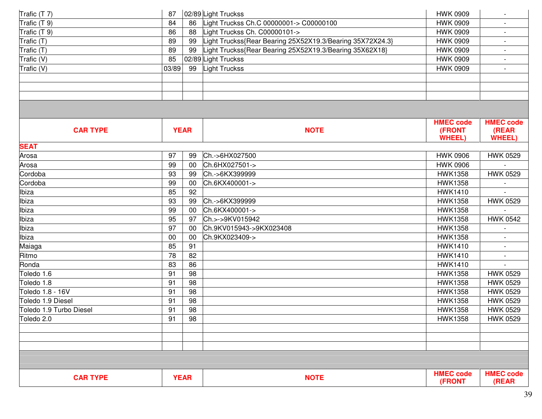| Trafic (T 7)            | 87    |             | 02/89 Light Truckss                                       | <b>HWK 0909</b>            |                           |
|-------------------------|-------|-------------|-----------------------------------------------------------|----------------------------|---------------------------|
| Trafic (T 9)            | 84    | 86          | Light Truckss Ch.C 00000001-> C00000100                   | <b>HWK 0909</b>            | $\blacksquare$            |
| Trafic (T 9)            | 86    | 88          | Light Truckss Ch. C00000101->                             | <b>HWK 0909</b>            |                           |
| Trafic (T)              | 89    | 99          | Light Truckss{Rear Bearing 25X52X19.3/Bearing 35X72X24.3} | <b>HWK 0909</b>            |                           |
| Trafic (T)              | 89    | 99          | Light Truckss{Rear Bearing 25X52X19.3/Bearing 35X62X18}   | <b>HWK 0909</b>            | $\blacksquare$            |
| Trafic (V)              | 85    |             | 02/89 Light Truckss                                       | <b>HWK 0909</b>            | $\overline{\phantom{a}}$  |
| Trafic (V)              | 03/89 | 99          | Light Truckss                                             | <b>HWK 0909</b>            | $\blacksquare$            |
|                         |       |             |                                                           |                            |                           |
|                         |       |             |                                                           |                            |                           |
|                         |       |             |                                                           |                            |                           |
|                         |       |             |                                                           |                            |                           |
|                         |       |             |                                                           |                            |                           |
|                         |       |             |                                                           | <b>HMEC code</b>           | <b>HMEC code</b>          |
| <b>CAR TYPE</b>         |       | <b>YEAR</b> | <b>NOTE</b>                                               | (FRONT<br><b>WHEEL)</b>    | (REAR<br><b>WHEEL)</b>    |
| <b>SEAT</b>             |       |             |                                                           |                            |                           |
| Arosa                   | 97    | 99          | Ch.->6HX027500                                            | <b>HWK 0906</b>            | <b>HWK 0529</b>           |
| Arosa                   | 99    | 00          | Ch.6HX027501->                                            | <b>HWK 0906</b>            |                           |
| Cordoba                 | 93    | 99          | Ch.->6KX399999                                            | <b>HWK1358</b>             | <b>HWK 0529</b>           |
| Cordoba                 | 99    | 00          | Ch.6KX400001->                                            | <b>HWK1358</b>             |                           |
| Ibiza                   | 85    | 92          |                                                           | <b>HWK1410</b>             |                           |
| Ibiza                   | 93    | 99          | Ch.->6KX399999                                            | <b>HWK1358</b>             | <b>HWK 0529</b>           |
| Ibiza                   | 99    | 00          | Ch.6KX400001->                                            | <b>HWK1358</b>             |                           |
| Ibiza                   | 95    | 97          | Ch.>->9KV015942                                           | <b>HWK1358</b>             | <b>HWK 0542</b>           |
| Ibiza                   | 97    | $00\,$      | Ch.9KV015943->9KX023408                                   | <b>HWK1358</b>             |                           |
| Ibiza                   | 00    | 00          | Ch.9KX023409->                                            | <b>HWK1358</b>             |                           |
| Maiaga                  | 85    | 91          |                                                           | <b>HWK1410</b>             |                           |
| Ritmo                   | 78    | 82          |                                                           | <b>HWK1410</b>             |                           |
| Ronda                   | 83    | 86          |                                                           | <b>HWK1410</b>             |                           |
| Toledo 1.6              | 91    | 98          |                                                           | <b>HWK1358</b>             | <b>HWK 0529</b>           |
| Toledo 1.8              | 91    | 98          |                                                           | <b>HWK1358</b>             | <b>HWK 0529</b>           |
| Toledo 1.8 - 16V        | 91    | 98          |                                                           | <b>HWK1358</b>             | <b>HWK 0529</b>           |
| Toledo 1.9 Diesel       | 91    | 98          |                                                           | <b>HWK1358</b>             | <b>HWK 0529</b>           |
| Toledo 1.9 Turbo Diesel | 91    | 98          |                                                           | <b>HWK1358</b>             | <b>HWK 0529</b>           |
| Toledo 2.0              | 91    | 98          |                                                           | <b>HWK1358</b>             | <b>HWK 0529</b>           |
|                         |       |             |                                                           |                            |                           |
|                         |       |             |                                                           |                            |                           |
|                         |       |             |                                                           |                            |                           |
|                         |       |             |                                                           |                            |                           |
|                         |       |             |                                                           |                            |                           |
| <b>CAR TYPE</b>         |       | <b>YEAR</b> | <b>NOTE</b>                                               | <b>HMEC code</b><br>(FRONT | <b>HMEC code</b><br>(REAR |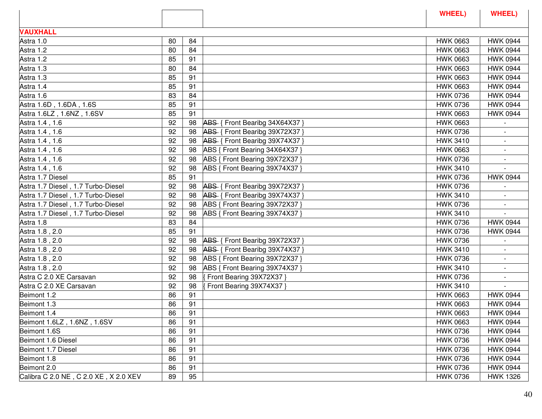|    |    |                                |                                                                                                                                                                                                          | WHEEL)                          |
|----|----|--------------------------------|----------------------------------------------------------------------------------------------------------------------------------------------------------------------------------------------------------|---------------------------------|
|    |    |                                |                                                                                                                                                                                                          |                                 |
| 80 | 84 |                                | <b>HWK 0663</b>                                                                                                                                                                                          | <b>HWK 0944</b>                 |
| 80 | 84 |                                | <b>HWK 0663</b>                                                                                                                                                                                          | <b>HWK 0944</b>                 |
| 85 | 91 |                                | <b>HWK 0663</b>                                                                                                                                                                                          | <b>HWK 0944</b>                 |
| 80 | 84 |                                | <b>HWK 0663</b>                                                                                                                                                                                          | <b>HWK 0944</b>                 |
| 85 | 91 |                                | <b>HWK 0663</b>                                                                                                                                                                                          | <b>HWK 0944</b>                 |
| 85 | 91 |                                | <b>HWK 0663</b>                                                                                                                                                                                          | <b>HWK 0944</b>                 |
| 83 | 84 |                                | <b>HWK 0736</b>                                                                                                                                                                                          | <b>HWK 0944</b>                 |
| 85 | 91 |                                | <b>HWK 0736</b>                                                                                                                                                                                          | <b>HWK 0944</b>                 |
| 85 | 91 |                                | <b>HWK 0663</b>                                                                                                                                                                                          | <b>HWK 0944</b>                 |
| 92 | 98 | ABS { Front Bearibg 34X64X37 } | <b>HWK 0663</b>                                                                                                                                                                                          |                                 |
| 92 | 98 | ABS { Front Bearibg 39X72X37 } | <b>HWK 0736</b>                                                                                                                                                                                          | $\blacksquare$                  |
| 92 | 98 |                                | <b>HWK 3410</b>                                                                                                                                                                                          |                                 |
| 92 | 98 | ABS { Front Bearing 34X64X37 } | <b>HWK 0663</b>                                                                                                                                                                                          |                                 |
| 92 | 98 |                                | <b>HWK 0736</b>                                                                                                                                                                                          |                                 |
| 92 | 98 | ABS { Front Bearing 39X74X37 } | <b>HWK 3410</b>                                                                                                                                                                                          |                                 |
| 85 | 91 |                                | <b>HWK 0736</b>                                                                                                                                                                                          | <b>HWK 0944</b>                 |
| 92 | 98 |                                | <b>HWK 0736</b>                                                                                                                                                                                          |                                 |
| 92 | 98 |                                | <b>HWK 3410</b>                                                                                                                                                                                          |                                 |
| 92 | 98 |                                | <b>HWK 0736</b>                                                                                                                                                                                          |                                 |
| 92 | 98 | ABS { Front Bearing 39X74X37 } | <b>HWK 3410</b>                                                                                                                                                                                          |                                 |
| 83 | 84 |                                | <b>HWK 0736</b>                                                                                                                                                                                          | <b>HWK 0944</b>                 |
| 85 | 91 |                                | <b>HWK 0736</b>                                                                                                                                                                                          | <b>HWK 0944</b>                 |
| 92 | 98 | ABS { Front Bearibg 39X72X37 } | <b>HWK 0736</b>                                                                                                                                                                                          |                                 |
| 92 | 98 |                                | <b>HWK 3410</b>                                                                                                                                                                                          |                                 |
| 92 | 98 | ABS { Front Bearing 39X72X37 } | <b>HWK 0736</b>                                                                                                                                                                                          |                                 |
| 92 | 98 | ABS { Front Bearing 39X74X37 } | <b>HWK 3410</b>                                                                                                                                                                                          | $\blacksquare$                  |
| 92 | 98 | Front Bearing 39X72X37         | <b>HWK 0736</b>                                                                                                                                                                                          |                                 |
| 92 | 98 | Front Bearing 39X74X37 }       |                                                                                                                                                                                                          |                                 |
| 86 | 91 |                                | <b>HWK 0663</b>                                                                                                                                                                                          | <b>HWK 0944</b>                 |
| 86 | 91 |                                | <b>HWK 0663</b>                                                                                                                                                                                          | <b>HWK 0944</b>                 |
| 86 | 91 |                                | <b>HWK 0663</b>                                                                                                                                                                                          | <b>HWK 0944</b>                 |
| 86 | 91 |                                | <b>HWK 0663</b>                                                                                                                                                                                          | <b>HWK 0944</b>                 |
| 86 | 91 |                                | <b>HWK 0736</b>                                                                                                                                                                                          | <b>HWK 0944</b>                 |
| 86 | 91 |                                | <b>HWK 0736</b>                                                                                                                                                                                          | <b>HWK 0944</b>                 |
| 86 | 91 |                                | <b>HWK 0736</b>                                                                                                                                                                                          | <b>HWK 0944</b>                 |
| 86 | 91 |                                | <b>HWK 0736</b>                                                                                                                                                                                          | <b>HWK 0944</b>                 |
| 86 | 91 |                                | <b>HWK 0736</b>                                                                                                                                                                                          | <b>HWK 0944</b>                 |
| 89 | 95 |                                | <b>HWK 0736</b>                                                                                                                                                                                          | <b>HWK 1326</b>                 |
|    |    |                                | ABS { Front Bearibg 39X74X37 }<br>ABS { Front Bearing 39X72X37 }<br>ABS { Front Bearibg 39X72X37 }<br>ABS { Front Bearibg 39X74X37 }<br>ABS { Front Bearing 39X72X37 }<br>ABS { Front Bearibg 39X74X37 } | <b>WHEEL</b><br><b>HWK 3410</b> |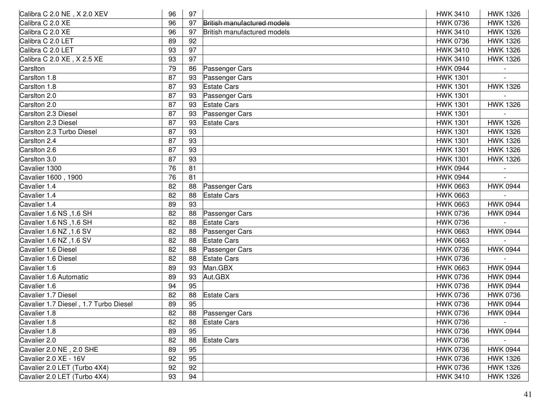| Calibra C 2.0 NE, X 2.0 XEV           | 96 | 97 |                             | <b>HWK 3410</b> | <b>HWK 1326</b> |
|---------------------------------------|----|----|-----------------------------|-----------------|-----------------|
| Calibra C 2.0 XE                      | 96 | 97 | British manufactured models | <b>HWK 0736</b> | <b>HWK 1326</b> |
| Calibra C 2.0 XE                      | 96 | 97 | British manufactured models | <b>HWK 3410</b> | <b>HWK 1326</b> |
| Calibra C 2.0 LET                     | 89 | 92 |                             | <b>HWK 0736</b> | <b>HWK 1326</b> |
| Calibra C 2.0 LET                     | 93 | 97 |                             | <b>HWK 3410</b> | <b>HWK 1326</b> |
| Calibra C 2.0 XE, X 2.5 XE            | 93 | 97 |                             | <b>HWK 3410</b> | <b>HWK 1326</b> |
| Carsiton                              | 79 | 86 | Passenger Cars              | <b>HWK 0944</b> |                 |
| Carsiton 1.8                          | 87 | 93 | Passenger Cars              | <b>HWK 1301</b> |                 |
| Carsiton 1.8                          | 87 | 93 | <b>Estate Cars</b>          | <b>HWK 1301</b> | <b>HWK 1326</b> |
| Carsiton 2.0                          | 87 | 93 | Passenger Cars              | <b>HWK 1301</b> |                 |
| Carsiton 2.0                          | 87 | 93 | <b>Estate Cars</b>          | <b>HWK 1301</b> | <b>HWK 1326</b> |
| Carsiton 2.3 Diesel                   | 87 | 93 | Passenger Cars              | <b>HWK 1301</b> |                 |
| Carsiton 2.3 Diesel                   | 87 | 93 | <b>Estate Cars</b>          | <b>HWK 1301</b> | <b>HWK 1326</b> |
| Carsiton 2.3 Turbo Diesel             | 87 | 93 |                             | <b>HWK 1301</b> | <b>HWK 1326</b> |
| Carsiton 2.4                          | 87 | 93 |                             | <b>HWK 1301</b> | <b>HWK 1326</b> |
| Carsiton 2.6                          | 87 | 93 |                             | <b>HWK 1301</b> | <b>HWK 1326</b> |
| Carsiton 3.0                          | 87 | 93 |                             | <b>HWK 1301</b> | <b>HWK 1326</b> |
| Cavalier 1300                         | 76 | 81 |                             | <b>HWK 0944</b> |                 |
| Cavalier 1600, 1900                   | 76 | 81 |                             | <b>HWK 0944</b> |                 |
| Cavalier 1.4                          | 82 | 88 | Passenger Cars              | <b>HWK 0663</b> | <b>HWK 0944</b> |
| Cavalier 1.4                          | 82 | 88 | <b>Estate Cars</b>          | <b>HWK 0663</b> |                 |
| Cavalier 1.4                          | 89 | 93 |                             | <b>HWK 0663</b> | <b>HWK 0944</b> |
| Cavalier 1.6 NS, 1.6 SH               | 82 | 88 | Passenger Cars              | <b>HWK 0736</b> | <b>HWK 0944</b> |
| Cavalier 1.6 NS, 1.6 SH               | 82 | 88 | <b>Estate Cars</b>          | <b>HWK 0736</b> |                 |
| Cavalier 1.6 NZ , 1.6 SV              | 82 | 88 | Passenger Cars              | <b>HWK 0663</b> | <b>HWK 0944</b> |
| Cavalier 1.6 NZ , 1.6 SV              | 82 | 88 | <b>Estate Cars</b>          | <b>HWK 0663</b> |                 |
| Cavalier 1.6 Diesel                   | 82 | 88 | Passenger Cars              | <b>HWK 0736</b> | <b>HWK 0944</b> |
| Cavalier 1.6 Diesel                   | 82 | 88 | <b>Estate Cars</b>          | <b>HWK 0736</b> |                 |
| Cavalier 1.6                          | 89 | 93 | Man.GBX                     | <b>HWK 0663</b> | <b>HWK 0944</b> |
| Cavalier 1.6 Automatic                | 89 | 93 | Aut.GBX                     | <b>HWK 0736</b> | <b>HWK 0944</b> |
| Cavalier 1.6                          | 94 | 95 |                             | <b>HWK 0736</b> | <b>HWK 0944</b> |
| Cavalier 1.7 Diesel                   | 82 | 88 | <b>Estate Cars</b>          | <b>HWK 0736</b> | <b>HWK 0736</b> |
| Cavalier 1.7 Diesel, 1.7 Turbo Diesel | 89 | 95 |                             | <b>HWK 0736</b> | <b>HWK 0944</b> |
| Cavalier 1.8                          | 82 | 88 | Passenger Cars              | <b>HWK 0736</b> | <b>HWK 0944</b> |
| Cavalier 1.8                          | 82 | 88 | <b>Estate Cars</b>          | <b>HWK 0736</b> |                 |
| Cavalier 1.8                          | 89 | 95 |                             | <b>HWK 0736</b> | <b>HWK 0944</b> |
| Cavalier 2.0                          | 82 | 88 | <b>Estate Cars</b>          | <b>HWK 0736</b> |                 |
| Cavalier 2.0 NE, 2.0 SHE              | 89 | 95 |                             | <b>HWK 0736</b> | <b>HWK 0944</b> |
| Cavalier 2.0 XE - 16V                 | 92 | 95 |                             | <b>HWK 0736</b> | <b>HWK 1326</b> |
| Cavalier 2.0 LET (Turbo 4X4)          | 92 | 92 |                             | <b>HWK 0736</b> | <b>HWK 1326</b> |
| Cavalier 2.0 LET (Turbo 4X4)          | 93 | 94 |                             | <b>HWK 3410</b> | HWK 1326        |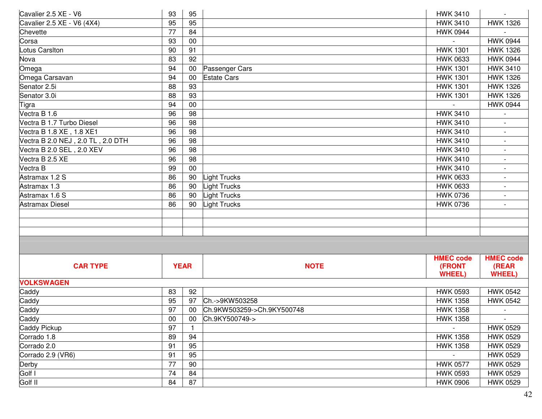| Cavalier 2.5 XE - V6              | 93 | 95          |                            | <b>HWK 3410</b>  |                          |
|-----------------------------------|----|-------------|----------------------------|------------------|--------------------------|
| Cavalier 2.5 XE - V6 (4X4)        | 95 | 95          |                            | <b>HWK 3410</b>  | <b>HWK 1326</b>          |
| Chevette                          | 77 | 84          |                            | <b>HWK 0944</b>  |                          |
| Corsa                             | 93 | 00          |                            |                  | <b>HWK 0944</b>          |
| Lotus Carsiton                    | 90 | 91          |                            | <b>HWK 1301</b>  | <b>HWK 1326</b>          |
| Nova                              | 83 | 92          |                            | <b>HWK 0633</b>  | <b>HWK 0944</b>          |
| Omega                             | 94 | 00          | Passenger Cars             | <b>HWK 1301</b>  | <b>HWK 3410</b>          |
| Omega Carsavan                    | 94 | 00          | <b>Estate Cars</b>         | <b>HWK 1301</b>  | <b>HWK 1326</b>          |
| Senator 2.5i                      | 88 | 93          |                            | <b>HWK 1301</b>  | <b>HWK 1326</b>          |
| Senator 3.0i                      | 88 | 93          |                            | <b>HWK 1301</b>  | <b>HWK 1326</b>          |
| Tigra                             | 94 | 00          |                            |                  | <b>HWK 0944</b>          |
| Vectra B 1.6                      | 96 | 98          |                            | <b>HWK 3410</b>  |                          |
| Vectra B 1.7 Turbo Diesel         | 96 | 98          |                            | <b>HWK 3410</b>  |                          |
| Vectra B 1.8 XE, 1.8 XE1          | 96 | 98          |                            | <b>HWK 3410</b>  | $\overline{a}$           |
| Vectra B 2.0 NEJ, 2.0 TL, 2.0 DTH | 96 | 98          |                            | <b>HWK 3410</b>  | $\overline{\phantom{a}}$ |
| Vectra B 2.0 SEL, 2.0 XEV         | 96 | 98          |                            | <b>HWK 3410</b>  |                          |
| Vectra B 2.5 XE                   | 96 | 98          |                            | <b>HWK 3410</b>  |                          |
| Vectra B                          | 99 | 00          |                            | <b>HWK 3410</b>  | $\overline{\phantom{a}}$ |
| Astramax 1.2 S                    | 86 | 90          | Light Trucks               | <b>HWK 0633</b>  |                          |
| Astramax 1.3                      | 86 | 90          | <b>Light Trucks</b>        | <b>HWK 0633</b>  |                          |
| Astramax 1.6 S                    | 86 | 90          | <b>Light Trucks</b>        | <b>HWK 0736</b>  | $\sim$                   |
| Astramax Diesel                   | 86 | 90          | <b>Light Trucks</b>        | <b>HWK 0736</b>  | $\overline{\phantom{a}}$ |
|                                   |    |             |                            |                  |                          |
|                                   |    |             |                            |                  |                          |
|                                   |    |             |                            |                  |                          |
|                                   |    |             |                            |                  |                          |
|                                   |    |             |                            | <b>HMEC code</b> | <b>HMEC code</b>         |
| <b>CAR TYPE</b>                   |    | <b>YEAR</b> | <b>NOTE</b>                | (FRONT           | (REAR                    |
|                                   |    |             |                            | <b>WHEEL)</b>    | <b>WHEEL)</b>            |
| <b>VOLKSWAGEN</b>                 |    |             |                            |                  |                          |
| Caddy                             | 83 | 92          |                            | <b>HWK 0593</b>  | <b>HWK 0542</b>          |
| Caddy                             | 95 | 97          | Ch.->9KW503258             | <b>HWK 1358</b>  | <b>HWK 0542</b>          |
| Caddy                             | 97 | 00          | Ch.9KW503259->Ch.9KY500748 | <b>HWK 1358</b>  | $\overline{\phantom{a}}$ |
| Caddy                             | 00 | 00          | Ch.9KY500749->             | <b>HWK 1358</b>  |                          |
| Caddy Pickup                      | 97 |             |                            |                  | <b>HWK 0529</b>          |
| Corrado 1.8                       | 89 | 94          |                            | <b>HWK 1358</b>  | <b>HWK 0529</b>          |
| Corrado 2.0                       | 91 | 95          |                            | <b>HWK 1358</b>  | <b>HWK 0529</b>          |
| Corrado 2.9 (VR6)                 | 91 | 95          |                            |                  | <b>HWK 0529</b>          |
| Derby                             | 77 | 90          |                            | <b>HWK 0577</b>  | <b>HWK 0529</b>          |
| Golf I                            | 74 | 84          |                            | <b>HWK 0593</b>  | <b>HWK 0529</b>          |
| Golf II                           | 84 | 87          |                            | <b>HWK 0906</b>  | <b>HWK 0529</b>          |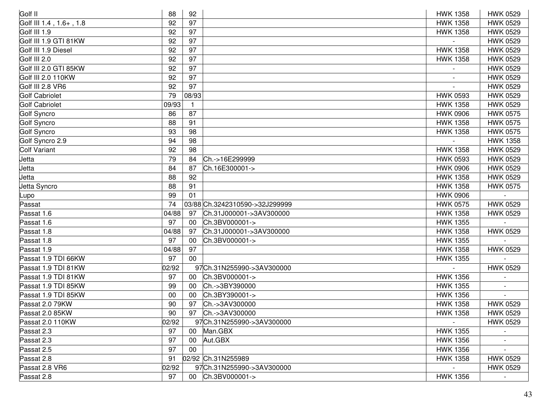| Golf II                 | 88    | 92             |                                | <b>HWK 1358</b> | <b>HWK 0529</b> |
|-------------------------|-------|----------------|--------------------------------|-----------------|-----------------|
| Golf III 1.4, 1.6+, 1.8 | 92    | 97             |                                | <b>HWK 1358</b> | <b>HWK 0529</b> |
| Golf III 1.9            | 92    | 97             |                                | <b>HWK 1358</b> | <b>HWK 0529</b> |
| Golf III 1.9 GTI 81KW   | 92    | 97             |                                |                 | <b>HWK 0529</b> |
| Golf III 1.9 Diesel     | 92    | 97             |                                | <b>HWK 1358</b> | <b>HWK 0529</b> |
| Golf III 2.0            | 92    | 97             |                                | <b>HWK 1358</b> | <b>HWK 0529</b> |
| Golf III 2.0 GTI 85KW   | 92    | 97             |                                |                 | <b>HWK 0529</b> |
| Golf III 2.0 110KW      | 92    | 97             |                                |                 | <b>HWK 0529</b> |
| Golf III 2.8 VR6        | 92    | 97             |                                |                 | <b>HWK 0529</b> |
| <b>Golf Cabriolet</b>   | 79    | 08/93          |                                | <b>HWK 0593</b> | <b>HWK 0529</b> |
| <b>Golf Cabriolet</b>   | 09/93 | $\overline{1}$ |                                | <b>HWK 1358</b> | <b>HWK 0529</b> |
| Golf Syncro             | 86    | 87             |                                | <b>HWK 0906</b> | <b>HWK 0575</b> |
| Golf Syncro             | 88    | 91             |                                | <b>HWK 1358</b> | <b>HWK 0575</b> |
| Golf Syncro             | 93    | 98             |                                | <b>HWK 1358</b> | <b>HWK 0575</b> |
| Golf Syncro 2.9         | 94    | 98             |                                |                 | <b>HWK 1358</b> |
| <b>Colf Variant</b>     | 92    | 98             |                                | <b>HWK 1358</b> | <b>HWK 0529</b> |
| Jetta                   | 79    | 84             | Ch.->16E299999                 | <b>HWK 0593</b> | <b>HWK 0529</b> |
| Jetta                   | 84    | 87             | Ch.16E300001->                 | <b>HWK 0906</b> | <b>HWK 0529</b> |
| Jetta                   | 88    | 92             |                                | <b>HWK 1358</b> | <b>HWK 0529</b> |
| Jetta Syncro            | 88    | 91             |                                | <b>HWK 1358</b> | <b>HWK 0575</b> |
| Lupo                    | 99    | 01             |                                | <b>HWK 0906</b> |                 |
| Passat                  | 74    |                | 03/88 Ch.3242310590->32J299999 | <b>HWK 0575</b> | <b>HWK 0529</b> |
| Passat 1.6              | 04/88 | 97             | Ch.31J000001->3AV300000        | <b>HWK 1358</b> | <b>HWK 0529</b> |
| Passat 1.6              | 97    | 00             | Ch.3BV000001->                 | <b>HWK 1355</b> |                 |
| Passat 1.8              | 04/88 | 97             | Ch.31J000001->3AV300000        | <b>HWK 1358</b> | <b>HWK 0529</b> |
| Passat 1.8              | 97    | 00             | Ch.3BV000001->                 | <b>HWK 1355</b> |                 |
| Passat 1.9              | 04/88 | 97             |                                | <b>HWK 1358</b> | <b>HWK 0529</b> |
| Passat 1.9 TDI 66KW     | 97    | 00             |                                | <b>HWK 1355</b> |                 |
| Passat 1.9 TDI 81KW     | 02/92 |                | 97Ch.31N255990->3AV300000      |                 | <b>HWK 0529</b> |
| Passat 1.9 TDI 81KW     | 97    | 00             | Ch.3BV000001->                 | <b>HWK 1356</b> |                 |
| Passat 1.9 TDI 85KW     | 99    | 00             | Ch.->3BY390000                 | <b>HWK 1355</b> |                 |
| Passat 1.9 TDI 85KW     | 00    | 00             | Ch.3BY390001->                 | <b>HWK 1356</b> |                 |
| Passat 2.0 79KW         | 90    | 97             | Ch.->3AV300000                 | <b>HWK 1358</b> | <b>HWK 0529</b> |
| Passat 2.0 85KW         | 90    | 97             | Ch.->3AV300000                 | <b>HWK 1358</b> | <b>HWK 0529</b> |
| Passat 2.0 110KW        | 02/92 |                | 97Ch.31N255990->3AV300000      |                 | <b>HWK 0529</b> |
| Passat 2.3              | 97    | 00             | Man.GBX                        | <b>HWK 1355</b> |                 |
| Passat 2.3              | 97    | 00             | Aut.GBX                        | <b>HWK 1356</b> |                 |
| Passat 2.5              | 97    | 00             |                                | <b>HWK 1356</b> |                 |
| Passat 2.8              | 91    |                | 02/92 Ch.31N255989             | <b>HWK 1358</b> | <b>HWK 0529</b> |
| Passat 2.8 VR6          | 02/92 |                | 97Ch.31N255990->3AV300000      |                 | <b>HWK 0529</b> |
| Passat 2.8              | 97    |                | 00 Ch.3BV000001->              | <b>HWK 1356</b> |                 |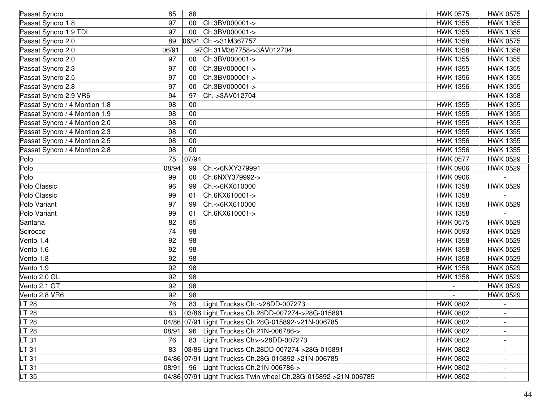| 85    | 88    |                                | <b>HWK 0575</b>                                                                                                                                                                                                                                                                                                                                                                       | <b>HWK 0575</b>          |
|-------|-------|--------------------------------|---------------------------------------------------------------------------------------------------------------------------------------------------------------------------------------------------------------------------------------------------------------------------------------------------------------------------------------------------------------------------------------|--------------------------|
| 97    | 00    |                                | <b>HWK 1355</b>                                                                                                                                                                                                                                                                                                                                                                       | <b>HWK 1355</b>          |
| 97    | 00    |                                | <b>HWK 1355</b>                                                                                                                                                                                                                                                                                                                                                                       | <b>HWK 1355</b>          |
| 89    | 06/91 |                                | <b>HWK 1358</b>                                                                                                                                                                                                                                                                                                                                                                       | <b>HWK 0575</b>          |
| 06/91 |       |                                | <b>HWK 1358</b>                                                                                                                                                                                                                                                                                                                                                                       | <b>HWK 1358</b>          |
| 97    | 00    |                                | <b>HWK 1355</b>                                                                                                                                                                                                                                                                                                                                                                       | <b>HWK 1355</b>          |
| 97    | 00    | Ch.3BV000001->                 | <b>HWK 1355</b>                                                                                                                                                                                                                                                                                                                                                                       | <b>HWK 1355</b>          |
| 97    | 00    | Ch.3BV000001->                 | <b>HWK 1356</b>                                                                                                                                                                                                                                                                                                                                                                       | <b>HWK 1355</b>          |
| 97    | 00    | Ch.3BV000001->                 | <b>HWK 1356</b>                                                                                                                                                                                                                                                                                                                                                                       | <b>HWK 1355</b>          |
| 94    | 97    | Ch.->3AV012704                 |                                                                                                                                                                                                                                                                                                                                                                                       | <b>HWK 1358</b>          |
| 98    | 00    |                                | <b>HWK 1355</b>                                                                                                                                                                                                                                                                                                                                                                       | <b>HWK 1355</b>          |
| 98    | 00    |                                | <b>HWK 1355</b>                                                                                                                                                                                                                                                                                                                                                                       | <b>HWK 1355</b>          |
| 98    | 00    |                                | <b>HWK 1355</b>                                                                                                                                                                                                                                                                                                                                                                       | <b>HWK 1355</b>          |
| 98    | 00    |                                | <b>HWK 1355</b>                                                                                                                                                                                                                                                                                                                                                                       | <b>HWK 1355</b>          |
| 98    | 00    |                                | <b>HWK 1356</b>                                                                                                                                                                                                                                                                                                                                                                       | <b>HWK 1355</b>          |
| 98    | 00    |                                | <b>HWK 1356</b>                                                                                                                                                                                                                                                                                                                                                                       | <b>HWK 1355</b>          |
| 75    | 07/94 |                                | <b>HWK 0577</b>                                                                                                                                                                                                                                                                                                                                                                       | <b>HWK 0529</b>          |
|       | 99    | Ch.->6NXY379991                | <b>HWK 0906</b>                                                                                                                                                                                                                                                                                                                                                                       | <b>HWK 0529</b>          |
| 99    | 00    | Ch.6NXY379992->                | <b>HWK 0906</b>                                                                                                                                                                                                                                                                                                                                                                       |                          |
| 96    | 99    | Ch.->6KX610000                 | <b>HWK 1358</b>                                                                                                                                                                                                                                                                                                                                                                       | <b>HWK 0529</b>          |
| 99    | 01    | Ch.6KX610001->                 | <b>HWK 1358</b>                                                                                                                                                                                                                                                                                                                                                                       |                          |
| 97    | 99    | Ch.->6KX610000                 | <b>HWK 1358</b>                                                                                                                                                                                                                                                                                                                                                                       | <b>HWK 0529</b>          |
| 99    | 01    | Ch.6KX610001->                 | <b>HWK 1358</b>                                                                                                                                                                                                                                                                                                                                                                       |                          |
| 82    | 85    |                                | <b>HWK 0575</b>                                                                                                                                                                                                                                                                                                                                                                       | <b>HWK 0529</b>          |
| 74    | 98    |                                | <b>HWK 0593</b>                                                                                                                                                                                                                                                                                                                                                                       | <b>HWK 0529</b>          |
| 92    | 98    |                                | <b>HWK 1358</b>                                                                                                                                                                                                                                                                                                                                                                       | <b>HWK 0529</b>          |
| 92    | 98    |                                | <b>HWK 1358</b>                                                                                                                                                                                                                                                                                                                                                                       | <b>HWK 0529</b>          |
| 92    | 98    |                                | <b>HWK 1358</b>                                                                                                                                                                                                                                                                                                                                                                       | <b>HWK 0529</b>          |
| 92    | 98    |                                | <b>HWK 1358</b>                                                                                                                                                                                                                                                                                                                                                                       | <b>HWK 0529</b>          |
| 92    | 98    |                                | <b>HWK 1358</b>                                                                                                                                                                                                                                                                                                                                                                       | <b>HWK 0529</b>          |
| 92    | 98    |                                |                                                                                                                                                                                                                                                                                                                                                                                       | <b>HWK 0529</b>          |
| 92    | 98    |                                |                                                                                                                                                                                                                                                                                                                                                                                       | <b>HWK 0529</b>          |
| 76    | 83    | Light Truckss Ch.->28DD-007273 | <b>HWK 0802</b>                                                                                                                                                                                                                                                                                                                                                                       |                          |
| 83    |       |                                | <b>HWK 0802</b>                                                                                                                                                                                                                                                                                                                                                                       |                          |
|       |       |                                | <b>HWK 0802</b>                                                                                                                                                                                                                                                                                                                                                                       |                          |
| 08/91 | 96    | Light Truckss Ch.21N-006786->  | <b>HWK 0802</b>                                                                                                                                                                                                                                                                                                                                                                       |                          |
| 76    | 83    | Light Truckss Ch>->28DD-007273 | <b>HWK 0802</b>                                                                                                                                                                                                                                                                                                                                                                       |                          |
| 83    |       |                                | <b>HWK 0802</b>                                                                                                                                                                                                                                                                                                                                                                       |                          |
|       |       |                                | <b>HWK 0802</b>                                                                                                                                                                                                                                                                                                                                                                       | $\overline{\phantom{a}}$ |
|       | 96    | Light Truckss Ch.21N-006786->  | <b>HWK 0802</b>                                                                                                                                                                                                                                                                                                                                                                       |                          |
|       |       |                                | <b>HWK 0802</b>                                                                                                                                                                                                                                                                                                                                                                       |                          |
|       |       | 08/94<br>08/91                 | Ch.3BV000001-><br>Ch.3BV000001-><br>Ch.->31M367757<br>97Ch.31M367758->3AV012704<br>Ch.3BV000001-><br>03/86 Light Truckss Ch.28DD-007274->28G-015891<br>04/86 07/91 Light Truckss Ch.28G-015892->21N-006785<br>03/86 Light Truckss Ch.28DD-007274->28G-015891<br>04/86 07/91 Light Truckss Ch.28G-015892->21N-006785<br>04/86 07/91 Light Truckss Twin wheel Ch.28G-015892->21N-006785 |                          |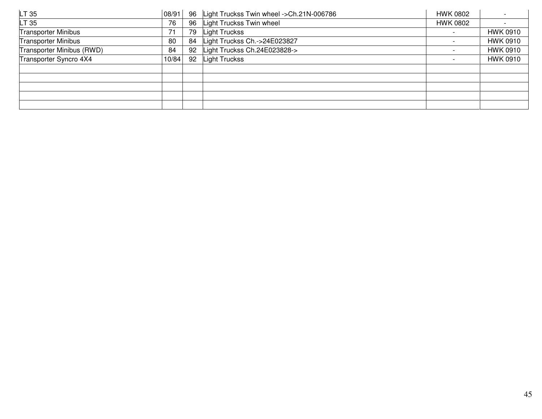| LT <sub>35</sub>           | 08/91 | 96 | Light Truckss Twin wheel ->Ch.21N-006786 | <b>HWK 0802</b> |                 |
|----------------------------|-------|----|------------------------------------------|-----------------|-----------------|
| LT 35                      | 76    | 96 | Light Truckss Twin wheel                 | <b>HWK 0802</b> |                 |
| <b>Transporter Minibus</b> |       | 79 | Light Truckss                            |                 | <b>HWK 0910</b> |
| <b>Transporter Minibus</b> | 80    | 84 | Light Truckss Ch.->24E023827             |                 | <b>HWK 0910</b> |
| Transporter Minibus (RWD)  | 84    | 92 | Light Truckss Ch.24E023828->             |                 | <b>HWK 0910</b> |
| Transporter Syncro 4X4     | 10/84 | 92 | Light Truckss                            |                 | <b>HWK 0910</b> |
|                            |       |    |                                          |                 |                 |
|                            |       |    |                                          |                 |                 |
|                            |       |    |                                          |                 |                 |
|                            |       |    |                                          |                 |                 |
|                            |       |    |                                          |                 |                 |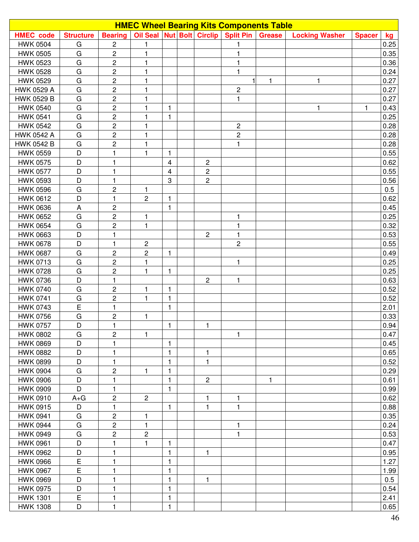| <b>HMEC Wheel Bearing Kits Components Table</b> |                  |                         |                         |              |  |                   |                                     |               |                       |               |      |
|-------------------------------------------------|------------------|-------------------------|-------------------------|--------------|--|-------------------|-------------------------------------|---------------|-----------------------|---------------|------|
| <b>HMEC</b> code                                | <b>Structure</b> | <b>Bearing</b>          |                         |              |  |                   | Oil Seal Nut Bolt Circlip Split Pin | <b>Grease</b> | <b>Locking Washer</b> | <b>Spacer</b> | kg   |
| <b>HWK 0504</b>                                 | G                | $\overline{c}$          | 1                       |              |  |                   | 1                                   |               |                       |               | 0.25 |
| <b>HWK 0505</b>                                 | G                | $\overline{c}$          | 1                       |              |  |                   | 1                                   |               |                       |               | 0.35 |
| <b>HWK 0523</b>                                 | G                | $\overline{c}$          | 1                       |              |  |                   | 1                                   |               |                       |               | 0.36 |
| <b>HWK 0528</b>                                 | G                | $\mathbf 2$             | 1                       |              |  |                   | $\mathbf{1}$                        |               |                       |               | 0.24 |
| <b>HWK 0529</b>                                 | ${\bf G}$        | $\overline{c}$          | 1                       |              |  |                   |                                     | 1             | $\mathbf{1}$          |               | 0.27 |
| HWK 0529 A                                      | G                | $\overline{2}$          | 1                       |              |  |                   | $\sqrt{2}$                          |               |                       |               | 0.27 |
| HWK 0529 B                                      | ${\bf G}$        | $\overline{c}$          | 1                       |              |  |                   | 1                                   |               |                       |               | 0.27 |
| <b>HWK 0540</b>                                 | G                | $\overline{c}$          | 1                       | 1            |  |                   |                                     |               | 1                     | 1             | 0.43 |
| <b>HWK 0541</b>                                 | G                | $\mathbf 2$             | 1                       | 1            |  |                   |                                     |               |                       |               | 0.25 |
| <b>HWK 0542</b>                                 | G                | $\mathbf{2}$            | 1                       |              |  |                   | $\overline{c}$                      |               |                       |               | 0.28 |
| HWK 0542 A                                      | G                | $\overline{c}$          | 1                       |              |  |                   | $\overline{c}$                      |               |                       |               | 0.28 |
| HWK 0542 B                                      | G                | $\mathbf 2$             | 1                       |              |  |                   | 1                                   |               |                       |               | 0.28 |
| <b>HWK 0559</b>                                 | D                | $\mathbf{1}$            | 1                       | 1            |  |                   |                                     |               |                       |               | 0.55 |
| <b>HWK 0575</b>                                 | D                | $\mathbf{1}$            |                         | 4            |  | $\overline{c}$    |                                     |               |                       |               | 0.62 |
| <b>HWK 0577</b>                                 | D                | 1                       |                         | 4            |  | $\overline{c}$    |                                     |               |                       |               | 0.55 |
| <b>HWK 0593</b>                                 | D                | 1                       |                         | 3            |  | $\overline{c}$    |                                     |               |                       |               | 0.56 |
| <b>HWK 0596</b>                                 | G                | $\mathbf 2$             | 1                       |              |  |                   |                                     |               |                       |               | 0.5  |
| <b>HWK 0612</b>                                 | D                | $\mathbf{1}$            | $\overline{2}$          | 1            |  |                   |                                     |               |                       |               | 0.62 |
| <b>HWK 0636</b>                                 | A                | $\sqrt{2}$              |                         | $\mathbf{1}$ |  |                   |                                     |               |                       |               | 0.45 |
| <b>HWK 0652</b>                                 | G                | $\overline{2}$          | $\mathbf{1}$            |              |  |                   | 1                                   |               |                       |               | 0.25 |
| <b>HWK 0654</b>                                 | G                | $\mathbf 2$             | 1                       |              |  |                   | 1                                   |               |                       |               | 0.32 |
| <b>HWK 0663</b>                                 | D                | $\mathbf{1}$            |                         |              |  | $\overline{c}$    | $\mathbf{1}$                        |               |                       |               | 0.53 |
| <b>HWK 0678</b>                                 | D                | $\mathbf{1}$            | $\overline{\mathbf{c}}$ |              |  |                   | $\overline{c}$                      |               |                       |               | 0.55 |
| <b>HWK 0687</b>                                 | G                | $\mathbf 2$             | $\overline{c}$          | 1            |  |                   |                                     |               |                       |               | 0.49 |
| <b>HWK 0713</b>                                 | G                | $\overline{c}$          | 1                       |              |  |                   | 1                                   |               |                       |               | 0.25 |
| <b>HWK 0728</b>                                 | G                | $\mathbf 2$             | 1                       | 1            |  |                   |                                     |               |                       |               | 0.25 |
| <b>HWK 0736</b>                                 | D                | $\mathbf{1}$            |                         |              |  | $\overline{2}$    | $\mathbf{1}$                        |               |                       |               | 0.63 |
| <b>HWK 0740</b>                                 | G                | $\overline{\mathbf{c}}$ | 1                       | 1            |  |                   |                                     |               |                       |               | 0.52 |
| <b>HWK 0741</b>                                 | ${\bf G}$        | $\overline{2}$          | $\mathbf{1}$            | 1            |  |                   |                                     |               |                       |               | 0.52 |
| <b>HWK 0743</b>                                 | $\overline{E}$   | $\mathbf{1}$            |                         | 1            |  |                   |                                     |               |                       |               | 2.01 |
| <b>HWK 0756</b>                                 | G                | $\mathbf 2$             | 1                       |              |  |                   |                                     |               |                       |               | 0.33 |
| <b>HWK 0757</b>                                 | D                | $\mathbf{1}$            |                         | 1            |  | $\mathbf{1}$      |                                     |               |                       |               | 0.94 |
| <b>HWK 0802</b>                                 | G                | $\sqrt{2}$              | 1                       |              |  |                   | 1                                   |               |                       |               | 0.47 |
|                                                 |                  |                         |                         |              |  |                   |                                     |               |                       |               |      |
| <b>HWK 0869</b>                                 | D<br>D           | 1                       |                         | 1            |  |                   |                                     |               |                       |               | 0.45 |
| <b>HWK 0882</b><br><b>HWK 0899</b>              | D                | 1<br>1                  |                         | 1<br>1       |  | 1<br>$\mathbf{1}$ |                                     |               |                       |               | 0.65 |
|                                                 |                  |                         |                         |              |  |                   |                                     |               |                       |               | 0.52 |
| <b>HWK 0904</b>                                 | G<br>D           | 2                       | 1                       | $\mathbf{1}$ |  | $\overline{2}$    |                                     |               |                       |               | 0.29 |
| <b>HWK 0906</b>                                 | D                | 1                       |                         | 1            |  |                   |                                     | $\mathbf{1}$  |                       |               | 0.61 |
| <b>HWK 0909</b>                                 |                  | 1                       |                         | 1            |  |                   |                                     |               |                       |               | 0.99 |
| <b>HWK 0910</b>                                 | $A + G$          | $\overline{c}$          | $\mathbf{2}$            |              |  | 1                 | 1                                   |               |                       |               | 0.62 |
| <b>HWK 0915</b>                                 | D                | 1                       |                         | 1            |  | $\mathbf{1}$      | 1                                   |               |                       |               | 0.88 |
| <b>HWK 0941</b>                                 | G                | $\sqrt{2}$              | 1                       |              |  |                   |                                     |               |                       |               | 0.35 |
| <b>HWK 0944</b>                                 | G                | $\overline{c}$          | 1                       |              |  |                   | 1                                   |               |                       |               | 0.24 |
| <b>HWK 0949</b>                                 | G                | $\mathbf{2}$            | $\overline{c}$          |              |  |                   | 1                                   |               |                       |               | 0.53 |
| <b>HWK 0961</b>                                 | D                | 1                       | 1                       | 1            |  |                   |                                     |               |                       |               | 0.47 |
| <b>HWK 0962</b>                                 | D                | 1                       |                         | 1            |  | 1                 |                                     |               |                       |               | 0.95 |
| <b>HWK 0966</b>                                 | $\mathsf E$      | 1                       |                         | $\mathbf{1}$ |  |                   |                                     |               |                       |               | 1.27 |
| <b>HWK 0967</b>                                 | $\mathsf E$      | 1                       |                         | 1            |  |                   |                                     |               |                       |               | 1.99 |
| <b>HWK 0969</b>                                 | D                | 1                       |                         | 1            |  | 1                 |                                     |               |                       |               | 0.5  |
| <b>HWK 0975</b>                                 | D                | 1                       |                         | 1            |  |                   |                                     |               |                       |               | 0.54 |
| <b>HWK 1301</b>                                 | E                | $\mathbf{1}$            |                         | $\mathbf{1}$ |  |                   |                                     |               |                       |               | 2.41 |
| <b>HWK 1308</b>                                 | D                | $\mathbf{1}$            |                         | 1            |  |                   |                                     |               |                       |               | 0.65 |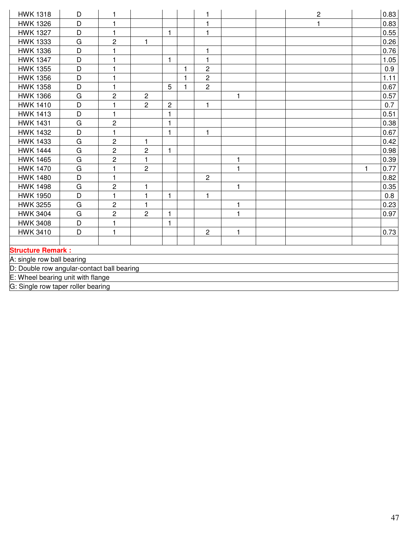| <b>HWK 1318</b>                            | D | 1                       |                |              |              | 1              |              | $\mathbf 2$ |              | 0.83 |
|--------------------------------------------|---|-------------------------|----------------|--------------|--------------|----------------|--------------|-------------|--------------|------|
| <b>HWK 1326</b>                            | D | $\mathbf{1}$            |                |              |              | $\mathbf{1}$   |              | 1           |              | 0.83 |
| <b>HWK 1327</b>                            | D | $\mathbf{1}$            |                | $\mathbf{1}$ |              | $\mathbf{1}$   |              |             |              | 0.55 |
| <b>HWK 1333</b>                            | G | $\overline{c}$          | 1              |              |              |                |              |             |              | 0.26 |
| <b>HWK 1336</b>                            | D | 1                       |                |              |              | 1              |              |             |              | 0.76 |
| <b>HWK 1347</b>                            | D | 1                       |                | $\mathbf{1}$ |              | $\mathbf{1}$   |              |             |              | 1.05 |
| <b>HWK 1355</b>                            | D | 1                       |                |              | 1            | $\overline{c}$ |              |             |              | 0.9  |
| <b>HWK 1356</b>                            | D | $\mathbf{1}$            |                |              | $\mathbf{1}$ | $\overline{2}$ |              |             |              | 1.11 |
| <b>HWK 1358</b>                            | D | $\mathbf{1}$            |                | 5            | 1            | $\overline{c}$ |              |             |              | 0.67 |
| <b>HWK 1366</b>                            | G | $\overline{c}$          | $\overline{c}$ |              |              |                | $\mathbf{1}$ |             |              | 0.57 |
| <b>HWK 1410</b>                            | D | 1                       | $\overline{c}$ | $\mathbf 2$  |              | $\mathbf{1}$   |              |             |              | 0.7  |
| <b>HWK 1413</b>                            | D | 1                       |                | $\mathbf{1}$ |              |                |              |             |              | 0.51 |
| <b>HWK 1431</b>                            | G | $\overline{c}$          |                | $\mathbf{1}$ |              |                |              |             |              | 0.38 |
| <b>HWK 1432</b>                            | D | $\mathbf{1}$            |                | 1            |              | 1              |              |             |              | 0.67 |
| <b>HWK 1433</b>                            | G | $\overline{\mathbf{c}}$ | 1              |              |              |                |              |             |              | 0.42 |
| <b>HWK 1444</b>                            | G | $\overline{c}$          | $\overline{c}$ | $\mathbf{1}$ |              |                |              |             |              | 0.98 |
| <b>HWK 1465</b>                            | G | $\overline{2}$          | $\mathbf{1}$   |              |              |                | 1            |             |              | 0.39 |
| <b>HWK 1470</b>                            | G | $\mathbf{1}$            | $\overline{2}$ |              |              |                | $\mathbf{1}$ |             | $\mathbf{1}$ | 0.77 |
| <b>HWK 1480</b>                            | D | $\mathbf{1}$            |                |              |              | $\overline{c}$ |              |             |              | 0.82 |
| <b>HWK 1498</b>                            | G | $\overline{c}$          | 1              |              |              |                | $\mathbf{1}$ |             |              | 0.35 |
| <b>HWK 1950</b>                            | D | $\mathbf{1}$            | 1              | $\mathbf{1}$ |              | 1              |              |             |              | 0.8  |
| <b>HWK 3255</b>                            | G | $\overline{c}$          | 1              |              |              |                | 1            |             |              | 0.23 |
| <b>HWK 3404</b>                            | G | $\overline{c}$          | $\overline{2}$ | 1            |              |                | $\mathbf{1}$ |             |              | 0.97 |
| <b>HWK 3408</b>                            | D | $\mathbf{1}$            |                | $\mathbf{1}$ |              |                |              |             |              |      |
| <b>HWK 3410</b>                            | D | $\mathbf{1}$            |                |              |              | $\mathbf{2}$   | $\mathbf{1}$ |             |              | 0.73 |
|                                            |   |                         |                |              |              |                |              |             |              |      |
| <b>Structure Remark:</b>                   |   |                         |                |              |              |                |              |             |              |      |
| A: single row ball bearing                 |   |                         |                |              |              |                |              |             |              |      |
| D: Double row angular-contact ball bearing |   |                         |                |              |              |                |              |             |              |      |
| E: Wheel bearing unit with flange          |   |                         |                |              |              |                |              |             |              |      |
| G: Single row taper roller bearing         |   |                         |                |              |              |                |              |             |              |      |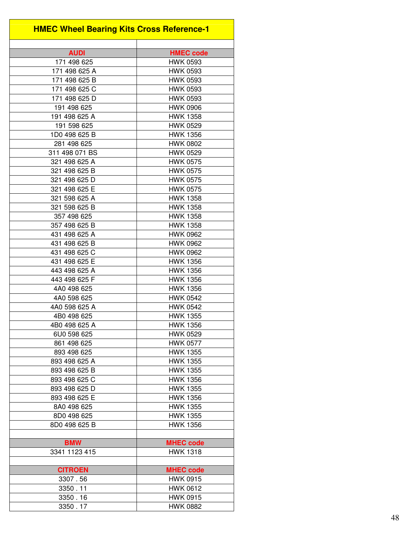| <b>HMEC Wheel Bearing Kits Cross Reference-1</b> |                                    |
|--------------------------------------------------|------------------------------------|
| <b>AUDI</b>                                      | <b>HMEC code</b>                   |
| 171 498 625                                      | <b>HWK 0593</b>                    |
| 171 498 625 A                                    | <b>HWK 0593</b>                    |
| 171 498 625 B                                    | <b>HWK 0593</b>                    |
| 171 498 625 C                                    | <b>HWK 0593</b>                    |
| 171 498 625 D                                    | <b>HWK 0593</b>                    |
| 191 498 625                                      | <b>HWK 0906</b>                    |
| 191 498 625 A                                    | <b>HWK 1358</b>                    |
| 191 598 625                                      | <b>HWK 0529</b>                    |
| 1D0 498 625 B                                    | <b>HWK 1356</b>                    |
| 281 498 625                                      | <b>HWK 0802</b>                    |
| 311 498 071 BS                                   | <b>HWK 0529</b>                    |
| 321 498 625 A                                    | <b>HWK 0575</b>                    |
| 321 498 625 B                                    | <b>HWK 0575</b>                    |
| 321 498 625 D                                    | <b>HWK 0575</b>                    |
| 321 498 625 E                                    | <b>HWK 0575</b>                    |
| 321 598 625 A                                    | <b>HWK 1358</b>                    |
|                                                  | <b>HWK 1358</b>                    |
| 321 598 625 B<br>357 498 625                     | <b>HWK 1358</b>                    |
| 357 498 625 B                                    | <b>HWK 1358</b>                    |
|                                                  | <b>HWK 0962</b>                    |
| 431 498 625 A<br>431 498 625 B                   | <b>HWK 0962</b>                    |
|                                                  |                                    |
| 431 498 625 C<br>431 498 625 E                   | <b>HWK 0962</b>                    |
| 443 498 625 A                                    | <b>HWK 1356</b><br><b>HWK 1356</b> |
| 443 498 625 F                                    | <b>HWK 1356</b>                    |
| 4A0 498 625                                      | <b>HWK 1356</b>                    |
| 4A0 598 625                                      | <b>HWK 0542</b>                    |
| 4A0 598 625 A                                    | <b>HWK 0542</b>                    |
| 4B0 498 625                                      | <b>HWK 1355</b>                    |
| 4B0 498 625 A                                    | <b>HWK 1356</b>                    |
| 6U0 598 625                                      | <b>HWK 0529</b>                    |
| 861 498 625                                      | <b>HWK 0577</b>                    |
| 893 498 625                                      | <b>HWK 1355</b>                    |
| 893 498 625 A                                    | <b>HWK 1355</b>                    |
| 893 498 625 B                                    | <b>HWK 1355</b>                    |
| 893 498 625 C                                    | <b>HWK 1356</b>                    |
| 893 498 625 D                                    | <b>HWK 1355</b>                    |
| 893 498 625 E                                    | <b>HWK 1356</b>                    |
| 8A0 498 625                                      | <b>HWK 1355</b>                    |
| 8D0 498 625                                      | <b>HWK 1355</b>                    |
| 8D0 498 625 B                                    | <b>HWK 1356</b>                    |
|                                                  |                                    |
| <b>BMW</b>                                       | <b>MHEC code</b>                   |
| 3341 1123 415                                    | <b>HWK 1318</b>                    |
|                                                  |                                    |
| <b>CITROEN</b>                                   | <b>MHEC code</b>                   |
| 3307.56                                          | <b>HWK 0915</b>                    |
| 3350.11                                          | <b>HWK 0612</b>                    |
| 3350.16                                          | <b>HWK 0915</b>                    |
| 3350.17                                          | <b>HWK 0882</b>                    |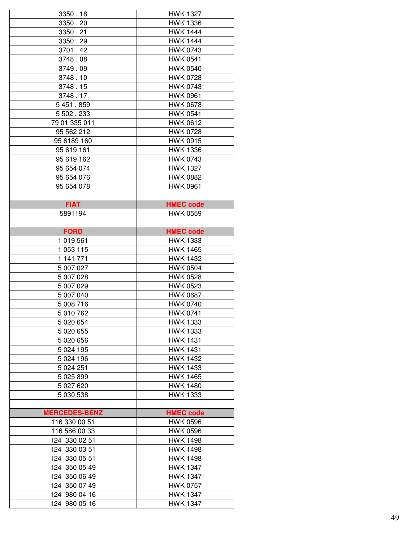| 3350.18              | <b>HWK 1327</b>  |  |  |
|----------------------|------------------|--|--|
| 3350.20              | <b>HWK 1336</b>  |  |  |
| 3350.21              | <b>HWK 1444</b>  |  |  |
| 3350.29              | <b>HWK 1444</b>  |  |  |
| 3701.42              | <b>HWK 0743</b>  |  |  |
| 3748.08              | <b>HWK 0541</b>  |  |  |
| 3749.09              | <b>HWK 0540</b>  |  |  |
| 3748.10              | <b>HWK 0728</b>  |  |  |
|                      |                  |  |  |
| 3748.15              | <b>HWK 0743</b>  |  |  |
| 3748.17              | <b>HWK 0961</b>  |  |  |
| 5451.859             | <b>HWK 0678</b>  |  |  |
| 5 502.233            | <b>HWK 0541</b>  |  |  |
| 79 01 335 011        | <b>HWK 0612</b>  |  |  |
| 95 562 212           | <b>HWK 0728</b>  |  |  |
| 95 6189 160          | <b>HWK 0915</b>  |  |  |
| 95 619 161           | <b>HWK 1336</b>  |  |  |
| 95 619 162           | <b>HWK 0743</b>  |  |  |
| 95 654 074           | <b>HWK 1327</b>  |  |  |
| 95 654 076           | <b>HWK 0882</b>  |  |  |
| 95 654 078           | <b>HWK 0961</b>  |  |  |
|                      |                  |  |  |
| <b>FIAT</b>          | <b>HMEC code</b> |  |  |
| 5891194              | <b>HWK 0559</b>  |  |  |
|                      |                  |  |  |
| <b>FORD</b>          | <b>HMEC code</b> |  |  |
| 1 019 561            | <b>HWK 1333</b>  |  |  |
| 1 053 115            | <b>HWK 1465</b>  |  |  |
| 1 141 771            | <b>HWK 1432</b>  |  |  |
| 5 007 027            | <b>HWK 0504</b>  |  |  |
| 5 007 028            | <b>HWK 0528</b>  |  |  |
| 5 007 029            | <b>HWK 0523</b>  |  |  |
| 5 007 040            | <b>HWK 0687</b>  |  |  |
| 5 008 716            | <b>HWK 0740</b>  |  |  |
| 5 010 762            | <b>HWK 0741</b>  |  |  |
| 5 020 654            | <b>HWK 1333</b>  |  |  |
| 5 020 655            | <b>HWK 1333</b>  |  |  |
| 5 020 656            | <b>HWK 1431</b>  |  |  |
| 5 0 24 1 95          | <b>HWK 1431</b>  |  |  |
| 5 0 24 1 96          | <b>HWK 1432</b>  |  |  |
| 5 0 24 251           | <b>HWK 1433</b>  |  |  |
|                      | <b>HWK 1465</b>  |  |  |
| 5 025 899            |                  |  |  |
| 5 027 620            | <b>HWK 1480</b>  |  |  |
| 5 030 538            | <b>HWK 1333</b>  |  |  |
|                      |                  |  |  |
| <b>MERCEDES-BENZ</b> | <b>HMEC code</b> |  |  |
| 116 330 00 51        | <b>HWK 0596</b>  |  |  |
| 116 586 00 33        | <b>HWK 0596</b>  |  |  |
| 124 330 02 51        | <b>HWK 1498</b>  |  |  |
| 124 330 03 51        | <b>HWK 1498</b>  |  |  |
| 124 330 05 51        | <b>HWK 1498</b>  |  |  |
| 124 350 05 49        | <b>HWK 1347</b>  |  |  |
| 124 350 06 49        | <b>HWK 1347</b>  |  |  |
|                      |                  |  |  |
| 124 350 07 49        | <b>HWK 0757</b>  |  |  |
| 124 980 04 16        | <b>HWK 1347</b>  |  |  |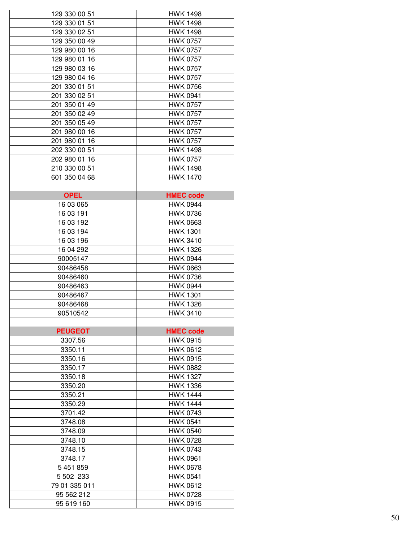| 129 330 00 51  | <b>HWK 1498</b>  |  |  |
|----------------|------------------|--|--|
| 129 330 01 51  | <b>HWK 1498</b>  |  |  |
| 129 330 02 51  | <b>HWK 1498</b>  |  |  |
| 129 350 00 49  | <b>HWK 0757</b>  |  |  |
| 129 980 00 16  | <b>HWK 0757</b>  |  |  |
| 129 980 01 16  | <b>HWK 0757</b>  |  |  |
| 129 980 03 16  | <b>HWK 0757</b>  |  |  |
| 129 980 04 16  | <b>HWK 0757</b>  |  |  |
|                |                  |  |  |
| 201 330 01 51  | <b>HWK 0756</b>  |  |  |
| 201 330 02 51  | <b>HWK 0941</b>  |  |  |
| 201 350 01 49  | <b>HWK 0757</b>  |  |  |
| 201 350 02 49  | <b>HWK 0757</b>  |  |  |
| 201 350 05 49  | <b>HWK 0757</b>  |  |  |
| 201 980 00 16  | <b>HWK 0757</b>  |  |  |
| 201 980 01 16  | <b>HWK 0757</b>  |  |  |
| 202 330 00 51  | <b>HWK 1498</b>  |  |  |
| 202 980 01 16  | <b>HWK 0757</b>  |  |  |
| 210 330 00 51  | <b>HWK 1498</b>  |  |  |
| 601 350 04 68  | <b>HWK 1470</b>  |  |  |
|                |                  |  |  |
| <b>OPEL</b>    | <b>HMEC code</b> |  |  |
| 16 03 065      | <b>HWK 0944</b>  |  |  |
| 16 03 191      | <b>HWK 0736</b>  |  |  |
| 16 03 192      | <b>HWK 0663</b>  |  |  |
| 16 03 194      | <b>HWK 1301</b>  |  |  |
| 16 03 196      | <b>HWK 3410</b>  |  |  |
| 16 04 292      | <b>HWK 1326</b>  |  |  |
| 90005147       | <b>HWK 0944</b>  |  |  |
| 90486458       | <b>HWK 0663</b>  |  |  |
| 90486460       | <b>HWK 0736</b>  |  |  |
| 90486463       | <b>HWK 0944</b>  |  |  |
| 90486467       | <b>HWK 1301</b>  |  |  |
| 90486468       | <b>HWK 1326</b>  |  |  |
| 90510542       | <b>HWK 3410</b>  |  |  |
|                |                  |  |  |
| <b>PEUGEOT</b> | <b>HMEC code</b> |  |  |
| 3307.56        | <b>HWK 0915</b>  |  |  |
| 3350.11        | <b>HWK 0612</b>  |  |  |
| 3350.16        | <b>HWK 0915</b>  |  |  |
| 3350.17        | <b>HWK 0882</b>  |  |  |
| 3350.18        | <b>HWK 1327</b>  |  |  |
| 3350.20        | <b>HWK 1336</b>  |  |  |
| 3350.21        | <b>HWK 1444</b>  |  |  |
| 3350.29        | <b>HWK 1444</b>  |  |  |
| 3701.42        | <b>HWK 0743</b>  |  |  |
| 3748.08        | <b>HWK 0541</b>  |  |  |
| 3748.09        | <b>HWK 0540</b>  |  |  |
| 3748.10        | <b>HWK 0728</b>  |  |  |
| 3748.15        | <b>HWK 0743</b>  |  |  |
|                | <b>HWK 0961</b>  |  |  |
| 3748.17        |                  |  |  |
| 5 451 859      | <b>HWK 0678</b>  |  |  |
| 5 502 233      | <b>HWK 0541</b>  |  |  |
| 79 01 335 011  | <b>HWK 0612</b>  |  |  |
| 95 562 212     | <b>HWK 0728</b>  |  |  |
| 95 619 160     | <b>HWK 0915</b>  |  |  |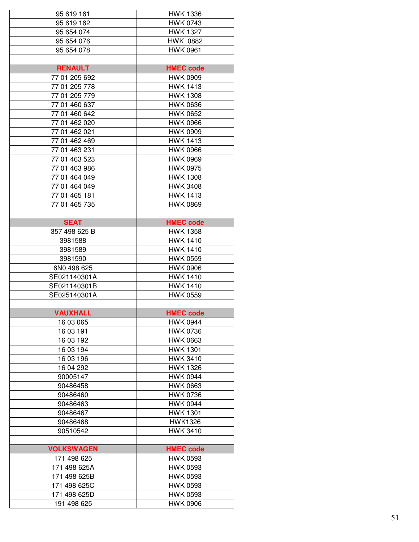| 95 619 161                  | <b>HWK 1336</b>                    |  |  |
|-----------------------------|------------------------------------|--|--|
| 95 619 162                  | <b>HWK 0743</b>                    |  |  |
| 95 654 074                  | <b>HWK 1327</b>                    |  |  |
| 95 654 076                  | <b>HWK 0882</b>                    |  |  |
| 95 654 078                  | <b>HWK 0961</b>                    |  |  |
|                             |                                    |  |  |
| <b>RENAULT</b>              | <b>HMEC code</b>                   |  |  |
| 77 01 205 692               | <b>HWK 0909</b>                    |  |  |
| 77 01 205 778               | <b>HWK 1413</b>                    |  |  |
| 77 01 205 779               | <b>HWK 1308</b>                    |  |  |
| 77 01 460 637               | <b>HWK 0636</b>                    |  |  |
| 77 01 460 642               | <b>HWK 0652</b>                    |  |  |
| 77 01 462 020               | <b>HWK 0966</b>                    |  |  |
| 77 01 462 021               | <b>HWK 0909</b>                    |  |  |
| 77 01 462 469               | <b>HWK 1413</b>                    |  |  |
| 77 01 463 231               | <b>HWK 0966</b>                    |  |  |
| 77 01 463 523               | <b>HWK 0969</b>                    |  |  |
| 77 01 463 986               | <b>HWK 0975</b>                    |  |  |
| 77 01 464 049               | <b>HWK 1308</b>                    |  |  |
| 77 01 464 049               | <b>HWK 3408</b>                    |  |  |
| 77 01 465 181               | <b>HWK 1413</b>                    |  |  |
| 77 01 465 735               | <b>HWK 0869</b>                    |  |  |
|                             |                                    |  |  |
| <b>SEAT</b>                 | <b>HMEC code</b>                   |  |  |
| 357 498 625 B               | <b>HWK 1358</b>                    |  |  |
| 3981588                     | <b>HWK 1410</b>                    |  |  |
| 3981589                     | <b>HWK 1410</b>                    |  |  |
| 3981590                     | <b>HWK 0559</b>                    |  |  |
| 6N0 498 625                 | <b>HWK 0906</b>                    |  |  |
| SE021140301A                | <b>HWK 1410</b>                    |  |  |
| SE021140301B                | <b>HWK 1410</b>                    |  |  |
| SE025140301A                | <b>HWK 0559</b>                    |  |  |
|                             |                                    |  |  |
| <b>VAUXHALL</b>             | <b>HMEC code</b>                   |  |  |
| 16 03 065                   | <b>HWK 0944</b>                    |  |  |
| 16 03 191                   | <b>HWK 0736</b>                    |  |  |
| 16 03 192                   | <b>HWK 0663</b>                    |  |  |
| 16 03 194                   | <b>HWK 1301</b>                    |  |  |
| 16 03 196                   | <b>HWK 3410</b>                    |  |  |
| 16 04 292                   | <b>HWK 1326</b>                    |  |  |
| 90005147                    | <b>HWK 0944</b>                    |  |  |
| 90486458                    | <b>HWK 0663</b>                    |  |  |
| 90486460                    | <b>HWK 0736</b>                    |  |  |
| 90486463                    | <b>HWK 0944</b>                    |  |  |
| 90486467                    | <b>HWK 1301</b>                    |  |  |
| 90486468                    | <b>HWK1326</b>                     |  |  |
| 90510542                    | <b>HWK 3410</b>                    |  |  |
|                             |                                    |  |  |
| <b>VOLKSWAGEN</b>           | <b>HMEC</b> code                   |  |  |
| 171 498 625                 | <b>HWK 0593</b>                    |  |  |
| 171 498 625A                | <b>HWK 0593</b>                    |  |  |
| 171 498 625B                | <b>HWK 0593</b>                    |  |  |
|                             |                                    |  |  |
| 171 498 625C                | <b>HWK 0593</b>                    |  |  |
| 171 498 625D<br>191 498 625 | <b>HWK 0593</b><br><b>HWK 0906</b> |  |  |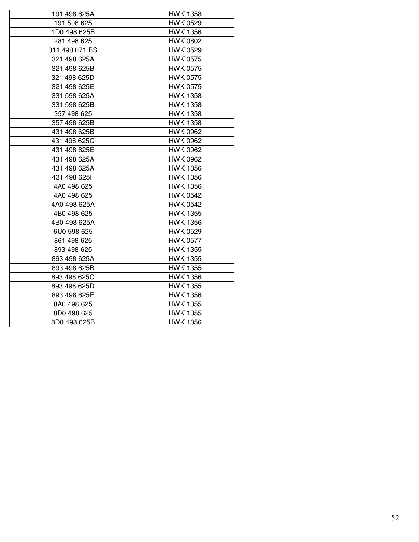| 191 498 625A                    | <b>HWK 1358</b> |
|---------------------------------|-----------------|
| 191 598 625<br><b>HWK 0529</b>  |                 |
| 1D0 498 625B<br><b>HWK 1356</b> |                 |
| 281 498 625                     | <b>HWK 0802</b> |
| 311 498 071 BS                  | <b>HWK 0529</b> |
| <b>HWK 0575</b><br>321 498 625A |                 |
| 321 498 625B                    | <b>HWK 0575</b> |
| 321 498 625D                    | <b>HWK 0575</b> |
| 321 498 625E                    | <b>HWK 0575</b> |
| 331 598 625A                    | <b>HWK 1358</b> |
| 331 598 625B                    | <b>HWK 1358</b> |
| 357 498 625                     | <b>HWK 1358</b> |
| 357 498 625B                    | <b>HWK 1358</b> |
| 431 498 625B                    | <b>HWK 0962</b> |
| 431 498 625C                    | <b>HWK 0962</b> |
| 431 498 625E                    | <b>HWK 0962</b> |
| 431 498 625A                    | <b>HWK 0962</b> |
| 431 498 625A                    | <b>HWK 1356</b> |
| 431 498 625F                    | <b>HWK 1356</b> |
| 4A0 498 625                     | <b>HWK 1356</b> |
| 4A0 498 625                     | <b>HWK 0542</b> |
| 4A0 498 625A<br><b>HWK 0542</b> |                 |
| 4B0 498 625                     | <b>HWK 1355</b> |
| 4B0 498 625A                    | <b>HWK 1356</b> |
| 6U0 598 625<br><b>HWK 0529</b>  |                 |
| 861 498 625                     | <b>HWK 0577</b> |
| 893 498 625                     | <b>HWK 1355</b> |
| 893 498 625A                    | <b>HWK 1355</b> |
| 893 498 625B                    | <b>HWK 1355</b> |
| 893 498 625C<br><b>HWK 1356</b> |                 |
| 893 498 625D<br><b>HWK 1355</b> |                 |
| 893 498 625E<br><b>HWK 1356</b> |                 |
| <b>HWK 1355</b><br>8A0 498 625  |                 |
| <b>HWK 1355</b><br>8D0 498 625  |                 |
| 8D0 498 625B<br><b>HWK 1356</b> |                 |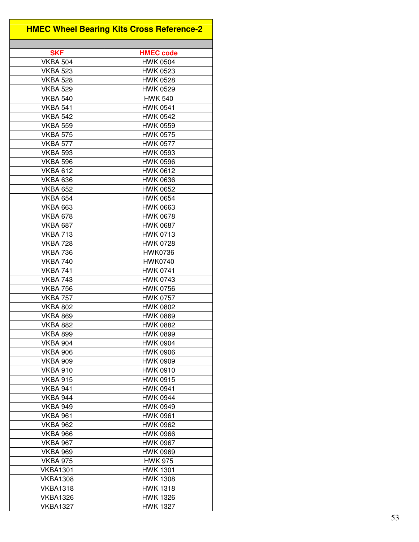| <b>HMEC Wheel Bearing Kits Cross Reference-2</b> |  |  |
|--------------------------------------------------|--|--|
|                                                  |  |  |
| <b>SKF</b><br><b>HMEC code</b>                   |  |  |
| <b>VKBA 504</b><br><b>HWK 0504</b>               |  |  |
| <b>HWK 0523</b><br><b>VKBA 523</b>               |  |  |
| <b>HWK 0528</b><br><b>VKBA 528</b>               |  |  |
| <b>VKBA 529</b><br><b>HWK 0529</b>               |  |  |
| <b>HWK 540</b><br><b>VKBA 540</b>                |  |  |
| <b>VKBA 541</b><br><b>HWK 0541</b>               |  |  |
| <b>VKBA 542</b><br><b>HWK 0542</b>               |  |  |
| <b>VKBA 559</b><br><b>HWK 0559</b>               |  |  |
| <b>VKBA 575</b><br><b>HWK 0575</b>               |  |  |
| <b>VKBA 577</b><br><b>HWK 0577</b>               |  |  |
| <b>VKBA 593</b><br><b>HWK 0593</b>               |  |  |
| <b>HWK 0596</b><br><b>VKBA 596</b>               |  |  |
| <b>HWK 0612</b><br><b>VKBA 612</b>               |  |  |
| <b>VKBA 636</b><br><b>HWK 0636</b>               |  |  |
| <b>VKBA 652</b><br><b>HWK 0652</b>               |  |  |
| <b>VKBA 654</b><br><b>HWK 0654</b>               |  |  |
| <b>HWK 0663</b><br><b>VKBA 663</b>               |  |  |
| <b>VKBA 678</b><br><b>HWK 0678</b>               |  |  |
| <b>VKBA 687</b><br><b>HWK 0687</b>               |  |  |
| <b>VKBA 713</b><br><b>HWK 0713</b>               |  |  |
| <b>VKBA 728</b><br><b>HWK 0728</b>               |  |  |
| <b>HWK0736</b><br><b>VKBA 736</b>                |  |  |
| <b>VKBA 740</b><br><b>HWK0740</b>                |  |  |
| <b>HWK 0741</b><br><b>VKBA 741</b>               |  |  |
| <b>VKBA 743</b><br><b>HWK 0743</b>               |  |  |
| <b>HWK 0756</b>                                  |  |  |
| <b>VKBA 756</b>                                  |  |  |
| <b>HWK 0757</b><br><b>VKBA 757</b>               |  |  |
| <b>VKBA 802</b><br><b>HWK 0802</b>               |  |  |
| <b>VKBA 869</b><br><b>HWK 0869</b>               |  |  |
| <b>VKBA 882</b><br><b>HWK 0882</b>               |  |  |
| <b>VKBA 899</b><br><b>HWK 0899</b>               |  |  |
| <b>VKBA 904</b><br><b>HWK 0904</b>               |  |  |
| <b>HWK 0906</b><br>VKBA 906                      |  |  |
| <b>HWK 0909</b><br><b>VKBA 909</b>               |  |  |
| <b>VKBA 910</b><br><b>HWK 0910</b>               |  |  |
| <b>VKBA 915</b><br><b>HWK 0915</b>               |  |  |
| <b>VKBA 941</b><br><b>HWK 0941</b>               |  |  |
| <b>VKBA 944</b><br><b>HWK 0944</b>               |  |  |
| <b>VKBA 949</b><br><b>HWK 0949</b>               |  |  |
| <b>VKBA 961</b><br><b>HWK 0961</b>               |  |  |
| <b>HWK 0962</b><br><b>VKBA 962</b>               |  |  |
| <b>VKBA 966</b><br><b>HWK 0966</b>               |  |  |
| <b>HWK 0967</b><br><b>VKBA 967</b>               |  |  |
| <b>HWK 0969</b><br><b>VKBA 969</b>               |  |  |
| <b>VKBA 975</b><br><b>HWK 975</b>                |  |  |
| <b>HWK 1301</b><br>VKBA1301                      |  |  |
| <b>VKBA1308</b><br><b>HWK 1308</b>               |  |  |
| <b>VKBA1318</b><br><b>HWK 1318</b>               |  |  |
| <b>HWK 1326</b><br><b>VKBA1326</b>               |  |  |
| <b>VKBA1327</b><br><b>HWK 1327</b>               |  |  |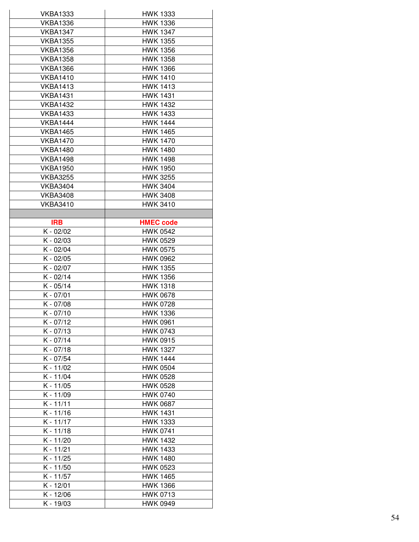| HWK 1333                           |  |  |
|------------------------------------|--|--|
| <b>HWK 1336</b>                    |  |  |
| <b>HWK 1347</b>                    |  |  |
| <b>HWK 1355</b>                    |  |  |
| <b>HWK 1356</b>                    |  |  |
| <b>HWK 1358</b>                    |  |  |
| <b>HWK 1366</b>                    |  |  |
| <b>HWK 1410</b>                    |  |  |
| <b>HWK 1413</b>                    |  |  |
| <b>HWK 1431</b>                    |  |  |
| <b>HWK 1432</b>                    |  |  |
| <b>HWK 1433</b>                    |  |  |
| <b>HWK 1444</b>                    |  |  |
| <b>HWK 1465</b>                    |  |  |
| <b>HWK 1470</b>                    |  |  |
| <b>HWK 1480</b>                    |  |  |
| <b>HWK 1498</b>                    |  |  |
| <b>HWK 1950</b>                    |  |  |
| <b>HWK 3255</b>                    |  |  |
| <b>HWK 3404</b>                    |  |  |
| <b>HWK 3408</b>                    |  |  |
| <b>HWK 3410</b>                    |  |  |
|                                    |  |  |
| <b>HMEC code</b>                   |  |  |
| <b>HWK 0542</b>                    |  |  |
| <b>HWK 0529</b>                    |  |  |
| <b>HWK 0575</b>                    |  |  |
| <b>HWK 0962</b>                    |  |  |
| <b>HWK 1355</b>                    |  |  |
| <b>HWK 1356</b>                    |  |  |
| <b>HWK 1318</b>                    |  |  |
| <b>HWK 0678</b>                    |  |  |
| <b>HWK 0728</b>                    |  |  |
| HWK 1336                           |  |  |
| <b>HWK 0961</b>                    |  |  |
| HWK 0743                           |  |  |
| <b>HWK 0915</b>                    |  |  |
|                                    |  |  |
|                                    |  |  |
| <b>HWK 1327</b><br><b>HWK 1444</b> |  |  |
|                                    |  |  |
| <b>HWK 0504</b>                    |  |  |
| <b>HWK 0528</b>                    |  |  |
| HWK 0528                           |  |  |
| <b>HWK 0740</b>                    |  |  |
| <b>HWK 0687</b>                    |  |  |
| <b>HWK 1431</b>                    |  |  |
| <b>HWK 1333</b>                    |  |  |
| <b>HWK 0741</b>                    |  |  |
| <b>HWK 1432</b>                    |  |  |
| <b>HWK 1433</b>                    |  |  |
| <b>HWK 1480</b>                    |  |  |
| HWK 0523                           |  |  |
| <b>HWK 1465</b>                    |  |  |
| <b>HWK 1366</b><br><b>HWK 0713</b> |  |  |
|                                    |  |  |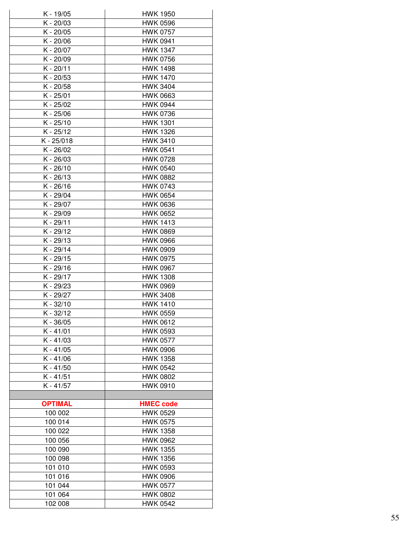| K - 19/05      | <b>HWK 1950</b>                    |  |  |
|----------------|------------------------------------|--|--|
| K - 20/03      | <b>HWK 0596</b>                    |  |  |
| K - 20/05      | <b>HWK 0757</b>                    |  |  |
| K - 20/06      | <b>HWK 0941</b>                    |  |  |
| K - 20/07      | <b>HWK 1347</b>                    |  |  |
| K - 20/09      | <b>HWK 0756</b>                    |  |  |
| K - 20/11      | <b>HWK 1498</b>                    |  |  |
| K - 20/53      | <b>HWK 1470</b>                    |  |  |
| K - 20/58      | <b>HWK 3404</b>                    |  |  |
| K - 25/01      | <b>HWK 0663</b>                    |  |  |
| K - 25/02      | <b>HWK 0944</b>                    |  |  |
| K - 25/06      | <b>HWK 0736</b>                    |  |  |
| K - 25/10      | <b>HWK 1301</b>                    |  |  |
| K - 25/12      | <b>HWK 1326</b>                    |  |  |
| K - 25/018     | <b>HWK 3410</b>                    |  |  |
| K - 26/02      | <b>HWK 0541</b>                    |  |  |
| K - 26/03      | <b>HWK 0728</b>                    |  |  |
| K - 26/10      | <b>HWK 0540</b>                    |  |  |
| K - 26/13      | <b>HWK 0882</b>                    |  |  |
| K-26/16        | <b>HWK 0743</b>                    |  |  |
| K - 29/04      | <b>HWK 0654</b>                    |  |  |
| K - 29/07      | <b>HWK 0636</b>                    |  |  |
| K - 29/09      | <b>HWK 0652</b>                    |  |  |
|                |                                    |  |  |
| K - 29/11      | <b>HWK 1413</b><br><b>HWK 0869</b> |  |  |
| K - 29/12      |                                    |  |  |
| K - 29/13      | <b>HWK 0966</b>                    |  |  |
| K - 29/14      | <b>HWK 0909</b>                    |  |  |
| K - 29/15      | <b>HWK 0975</b>                    |  |  |
| K - 29/16      | <b>HWK 0967</b>                    |  |  |
| K - 29/17      | <b>HWK 1308</b>                    |  |  |
| K - 29/23      | <b>HWK 0969</b>                    |  |  |
| K - 29/27      | <b>HWK 3408</b>                    |  |  |
| K - 32/10      | <b>HWK 1410</b>                    |  |  |
| K - 32/12      | HWK 0559                           |  |  |
| K - 36/05      | <b>HWK 0612</b>                    |  |  |
| $K - 41/01$    | <b>HWK 0593</b>                    |  |  |
| $K - 41/03$    | <b>HWK 0577</b>                    |  |  |
| $K - 41/05$    | <b>HWK 0906</b>                    |  |  |
| $K - 41/06$    | <b>HWK 1358</b>                    |  |  |
| K - 41/50      | <b>HWK 0542</b>                    |  |  |
| $K - 41/51$    | <b>HWK 0802</b>                    |  |  |
| $K - 41/57$    | <b>HWK 0910</b>                    |  |  |
|                |                                    |  |  |
| <b>OPTIMAL</b> | <b>HMEC code</b>                   |  |  |
| 100 002        | <b>HWK 0529</b>                    |  |  |
| 100 014        | <b>HWK 0575</b>                    |  |  |
| 100 022        | <b>HWK 1358</b>                    |  |  |
| 100 056        | <b>HWK 0962</b>                    |  |  |
| 100 090        | <b>HWK 1355</b>                    |  |  |
| 100 098        | <b>HWK 1356</b>                    |  |  |
| 101 010        | <b>HWK 0593</b>                    |  |  |
| 101 016        | <b>HWK 0906</b>                    |  |  |
| 101 044        | <b>HWK 0577</b>                    |  |  |
| 101 064        | <b>HWK 0802</b>                    |  |  |
| 102 008        | <b>HWK 0542</b>                    |  |  |
|                |                                    |  |  |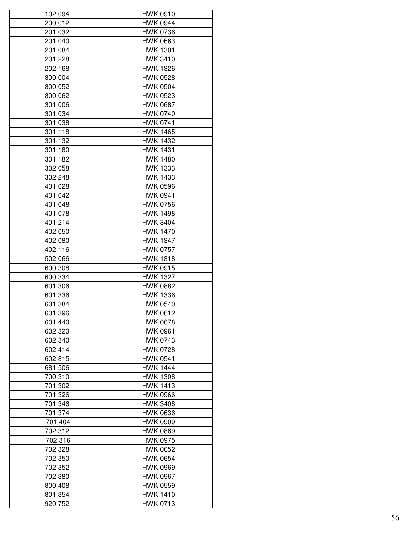| 102 094 | <b>HWK 0910</b> |
|---------|-----------------|
| 200 012 | <b>HWK 0944</b> |
| 201 032 | <b>HWK 0736</b> |
| 201 040 | <b>HWK 0663</b> |
| 201 084 | <b>HWK 1301</b> |
| 201 228 | <b>HWK 3410</b> |
| 202 168 | <b>HWK 1326</b> |
| 300 004 | <b>HWK 0528</b> |
| 300 052 | <b>HWK 0504</b> |
| 300 062 | <b>HWK 0523</b> |
| 301 006 | <b>HWK 0687</b> |
| 301 034 | <b>HWK 0740</b> |
| 301 038 | <b>HWK 0741</b> |
| 301 118 | <b>HWK 1465</b> |
| 301 132 | <b>HWK 1432</b> |
| 301 180 | <b>HWK 1431</b> |
| 301 182 | <b>HWK 1480</b> |
| 302 058 | <b>HWK 1333</b> |
| 302 248 | <b>HWK 1433</b> |
| 401 028 | <b>HWK 0596</b> |
|         | <b>HWK 0941</b> |
| 401 042 |                 |
| 401 048 | <b>HWK 0756</b> |
| 401 078 | <b>HWK 1498</b> |
| 401 214 | <b>HWK 3404</b> |
| 402 050 | <b>HWK 1470</b> |
| 402 080 | <b>HWK 1347</b> |
| 402 116 | <b>HWK 0757</b> |
| 502 066 | <b>HWK 1318</b> |
| 600 308 | <b>HWK 0915</b> |
| 600 334 | <b>HWK 1327</b> |
| 601 306 | <b>HWK 0882</b> |
| 601 336 | <b>HWK 1336</b> |
| 601 384 | <b>HWK 0540</b> |
| 601 396 | HWK 0612        |
| 601 440 | <b>HWK 0678</b> |
| 602 320 | <b>HWK 0961</b> |
| 602 340 | <b>HWK 0743</b> |
| 602 414 | <b>HWK 0728</b> |
| 602 815 | <b>HWK 0541</b> |
| 681 506 | <b>HWK 1444</b> |
| 700 310 | <b>HWK 1308</b> |
| 701 302 | <b>HWK 1413</b> |
| 701 326 | <b>HWK 0966</b> |
| 701 346 | <b>HWK 3408</b> |
| 701 374 | <b>HWK 0636</b> |
| 701 404 | <b>HWK 0909</b> |
| 702 312 | <b>HWK 0869</b> |
| 702 316 | <b>HWK 0975</b> |
| 702 328 | <b>HWK 0652</b> |
| 702 350 | <b>HWK 0654</b> |
| 702 352 | <b>HWK 0969</b> |
| 702 380 | <b>HWK 0967</b> |
| 800 408 | <b>HWK 0559</b> |
| 801 354 | <b>HWK 1410</b> |
|         |                 |
| 920 752 | <b>HWK 0713</b> |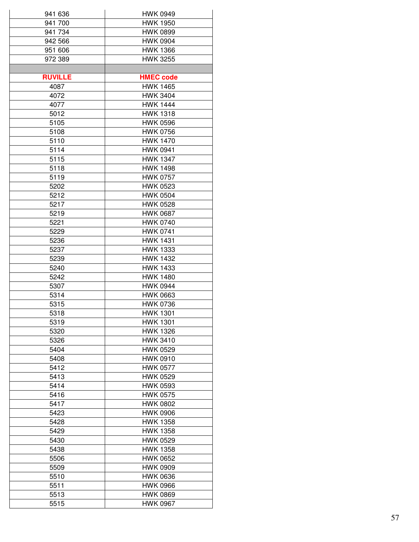| 941 636        | HWK 0949                           |  |  |
|----------------|------------------------------------|--|--|
| 941 700        | <b>HWK 1950</b>                    |  |  |
| 941 734        | <b>HWK 0899</b>                    |  |  |
| 942 566        | <b>HWK 0904</b>                    |  |  |
| 951 606        | <b>HWK 1366</b>                    |  |  |
| 972 389        | <b>HWK 3255</b>                    |  |  |
|                |                                    |  |  |
| <b>RUVILLE</b> | <b>HMEC code</b>                   |  |  |
| 4087           | <b>HWK 1465</b>                    |  |  |
| 4072           | <b>HWK 3404</b>                    |  |  |
| 4077           | <b>HWK 1444</b>                    |  |  |
| 5012           | <b>HWK 1318</b>                    |  |  |
| 5105           | <b>HWK 0596</b>                    |  |  |
| 5108           | <b>HWK 0756</b>                    |  |  |
| 5110           | <b>HWK 1470</b>                    |  |  |
| 5114           | <b>HWK 0941</b>                    |  |  |
| 5115           | <b>HWK 1347</b>                    |  |  |
| 5118           | <b>HWK 1498</b>                    |  |  |
| 5119           | <b>HWK 0757</b>                    |  |  |
| 5202           | <b>HWK 0523</b>                    |  |  |
| 5212           | <b>HWK 0504</b>                    |  |  |
| 5217           | <b>HWK 0528</b>                    |  |  |
| 5219           | <b>HWK 0687</b>                    |  |  |
|                | <b>HWK 0740</b>                    |  |  |
| 5221           |                                    |  |  |
| 5229           | <b>HWK 0741</b>                    |  |  |
| 5236           | <b>HWK 1431</b>                    |  |  |
| 5237           | <b>HWK 1333</b>                    |  |  |
| 5239           | <b>HWK 1432</b>                    |  |  |
| 5240           | <b>HWK 1433</b><br><b>HWK 1480</b> |  |  |
| 5242           |                                    |  |  |
| 5307           | <b>HWK 0944</b>                    |  |  |
| 5314           | <b>HWK 0663</b>                    |  |  |
| 5315           | <b>HWK 0736</b>                    |  |  |
| 5318           | <b>HWK 1301</b>                    |  |  |
| 5319           | <b>HWK 1301</b>                    |  |  |
| 5320           | <b>HWK 1326</b>                    |  |  |
| 5326           | <b>HWK 3410</b>                    |  |  |
| 5404           | <b>HWK 0529</b>                    |  |  |
| 5408           | <b>HWK 0910</b>                    |  |  |
| 5412           | <b>HWK 0577</b>                    |  |  |
| 5413           | <b>HWK 0529</b>                    |  |  |
| 5414           | <b>HWK 0593</b>                    |  |  |
| 5416           | <b>HWK 0575</b>                    |  |  |
| 5417           | <b>HWK 0802</b>                    |  |  |
| 5423           | <b>HWK 0906</b>                    |  |  |
| 5428           | <b>HWK 1358</b>                    |  |  |
| 5429           | <b>HWK 1358</b>                    |  |  |
| 5430           | <b>HWK 0529</b>                    |  |  |
| 5438           | <b>HWK 1358</b>                    |  |  |
| 5506           | <b>HWK 0652</b>                    |  |  |
| 5509           | <b>HWK 0909</b>                    |  |  |
| 5510           | <b>HWK 0636</b>                    |  |  |
| 5511           | <b>HWK 0966</b>                    |  |  |
|                |                                    |  |  |
| 5513           | <b>HWK 0869</b>                    |  |  |
| 5515           | <b>HWK 0967</b>                    |  |  |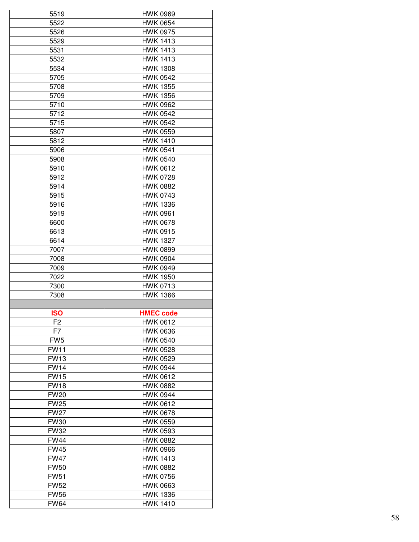| 5519                       | <b>HWK 0969</b>                    |
|----------------------------|------------------------------------|
| 5522                       | <b>HWK 0654</b>                    |
| 5526                       | <b>HWK 0975</b>                    |
| 5529                       | <b>HWK 1413</b>                    |
| 5531                       | <b>HWK 1413</b>                    |
| 5532                       | <b>HWK 1413</b>                    |
| 5534                       | <b>HWK 1308</b>                    |
| 5705                       | <b>HWK 0542</b>                    |
| 5708                       | <b>HWK 1355</b>                    |
| 5709                       | <b>HWK 1356</b>                    |
| 5710                       | <b>HWK 0962</b>                    |
| 5712                       | <b>HWK 0542</b>                    |
| 5715                       | <b>HWK 0542</b>                    |
|                            |                                    |
| 5807                       | <b>HWK 0559</b>                    |
| 5812                       | <b>HWK 1410</b>                    |
| 5906                       | <b>HWK 0541</b>                    |
| 5908                       | <b>HWK 0540</b>                    |
| 5910                       | <b>HWK 0612</b>                    |
| 5912                       | <b>HWK 0728</b>                    |
| 5914                       | <b>HWK 0882</b>                    |
| 5915                       | <b>HWK 0743</b>                    |
| 5916                       | <b>HWK 1336</b>                    |
| 5919                       | <b>HWK 0961</b>                    |
| 6600                       | <b>HWK 0678</b>                    |
| 6613                       | <b>HWK 0915</b>                    |
| 6614                       | <b>HWK 1327</b>                    |
| 7007                       | <b>HWK 0899</b>                    |
| 7008                       | <b>HWK 0904</b>                    |
| 7009                       | <b>HWK 0949</b>                    |
| 7022                       | <b>HWK 1950</b>                    |
| 7300                       | <b>HWK 0713</b>                    |
| 7308                       | <b>HWK 1366</b>                    |
|                            |                                    |
| <b>ISO</b>                 | <b>HMEC code</b>                   |
| F <sub>2</sub>             | <b>HWK 0612</b>                    |
| F7                         | <b>HWK 0636</b>                    |
| FW <sub>5</sub>            | <b>HWK 0540</b>                    |
| <b>FW11</b>                | <b>HWK 0528</b>                    |
| <b>FW13</b>                | <b>HWK 0529</b>                    |
| <b>FW14</b>                | <b>HWK 0944</b>                    |
| <b>FW15</b>                | <b>HWK 0612</b>                    |
| <b>FW18</b>                | <b>HWK 0882</b>                    |
|                            |                                    |
| <b>FW20</b>                | <b>HWK 0944</b>                    |
| <b>FW25</b>                | <b>HWK 0612</b>                    |
| <b>FW27</b>                | <b>HWK 0678</b>                    |
| <b>FW30</b>                | <b>HWK 0559</b>                    |
| <b>FW32</b>                | <b>HWK 0593</b>                    |
| <b>FW44</b>                | <b>HWK 0882</b>                    |
| <b>FW45</b>                | <b>HWK 0966</b>                    |
|                            |                                    |
| <b>FW47</b>                | <b>HWK 1413</b>                    |
| <b>FW50</b>                | <b>HWK 0882</b>                    |
| <b>FW51</b>                | <b>HWK 0756</b>                    |
| <b>FW52</b>                | <b>HWK 0663</b>                    |
| <b>FW56</b><br><b>FW64</b> | <b>HWK 1336</b><br><b>HWK 1410</b> |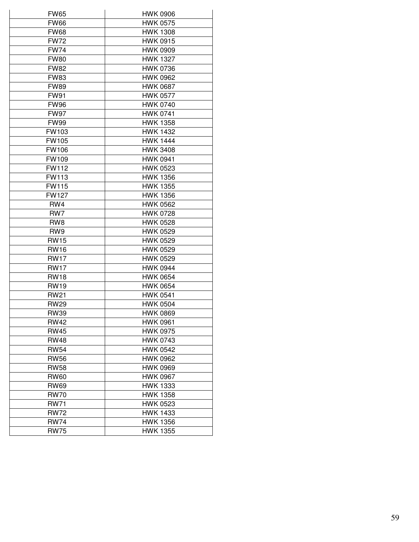| <b>FW65</b>     | <b>HWK 0906</b> |
|-----------------|-----------------|
| <b>FW66</b>     | <b>HWK 0575</b> |
| <b>FW68</b>     | <b>HWK 1308</b> |
| <b>FW72</b>     | <b>HWK 0915</b> |
| <b>FW74</b>     | <b>HWK 0909</b> |
| <b>FW80</b>     | <b>HWK 1327</b> |
| <b>FW82</b>     | <b>HWK 0736</b> |
| <b>FW83</b>     | <b>HWK 0962</b> |
| <b>FW89</b>     | <b>HWK 0687</b> |
| <b>FW91</b>     | <b>HWK 0577</b> |
| <b>FW96</b>     | <b>HWK 0740</b> |
| <b>FW97</b>     | <b>HWK 0741</b> |
| <b>FW99</b>     | <b>HWK 1358</b> |
| FW103           | <b>HWK 1432</b> |
| FW105           | <b>HWK 1444</b> |
| FW106           | <b>HWK 3408</b> |
| FW109           | <b>HWK 0941</b> |
| <b>FW112</b>    | <b>HWK 0523</b> |
| <b>FW113</b>    | <b>HWK 1356</b> |
| <b>FW115</b>    | <b>HWK 1355</b> |
| <b>FW127</b>    | <b>HWK 1356</b> |
| RW4             | <b>HWK 0562</b> |
| RW7             | <b>HWK 0728</b> |
| RW <sub>8</sub> | <b>HWK 0528</b> |
| RW9             | <b>HWK 0529</b> |
| <b>RW15</b>     | <b>HWK 0529</b> |
| <b>RW16</b>     | <b>HWK 0529</b> |
| <b>RW17</b>     | <b>HWK 0529</b> |
| <b>RW17</b>     | <b>HWK 0944</b> |
| <b>RW18</b>     | <b>HWK 0654</b> |
| <b>RW19</b>     | <b>HWK 0654</b> |
| <b>RW21</b>     | <b>HWK 0541</b> |
| <b>RW29</b>     | <b>HWK 0504</b> |
| <b>RW39</b>     | <b>HWK 0869</b> |
| <b>RW42</b>     | <b>HWK 0961</b> |
| <b>RW45</b>     | <b>HWK 0975</b> |
| <b>RW48</b>     | <b>HWK 0743</b> |
| <b>RW54</b>     | <b>HWK 0542</b> |
| <b>RW56</b>     | <b>HWK 0962</b> |
| <b>RW58</b>     | <b>HWK 0969</b> |
| <b>RW60</b>     | <b>HWK 0967</b> |
| <b>RW69</b>     | <b>HWK 1333</b> |
| <b>RW70</b>     | <b>HWK 1358</b> |
| <b>RW71</b>     | <b>HWK 0523</b> |
| <b>RW72</b>     | <b>HWK 1433</b> |
| <b>RW74</b>     | <b>HWK 1356</b> |
| <b>RW75</b>     | <b>HWK 1355</b> |
|                 |                 |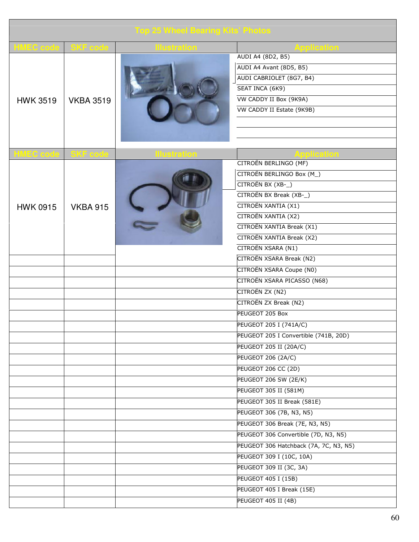| <b>Top 25 Wheel Bearing Kits' Photos</b> |                  |                     |                                        |
|------------------------------------------|------------------|---------------------|----------------------------------------|
| MEC code                                 | <b>SKF</b> code  | istral              | Application                            |
|                                          |                  |                     | AUDI A4 (8D2, B5)                      |
|                                          |                  |                     | AUDI A4 Avant (8D5, B5)                |
|                                          |                  |                     | AUDI CABRIOLET (8G7, B4)               |
|                                          |                  |                     | SEAT INCA (6K9)                        |
| <b>HWK 3519</b>                          | <b>VKBA 3519</b> |                     | VW CADDY II Box (9K9A)                 |
|                                          |                  |                     | VW CADDY II Estate (9K9B)              |
|                                          |                  |                     |                                        |
|                                          |                  |                     |                                        |
|                                          |                  |                     |                                        |
| <b>HMEC</b> code                         | <b>SKF</b> code  | <b>Illustration</b> | <b>Application</b>                     |
|                                          |                  |                     | CITROËN BERLINGO (MF)                  |
|                                          |                  |                     | CITROËN BERLINGO Box (M)               |
|                                          |                  |                     | CITROËN BX (XB-)                       |
|                                          |                  |                     | CITROËN BX Break (XB-_)                |
| <b>HWK 0915</b>                          | <b>VKBA 915</b>  |                     | CITROËN XANTIA (X1)                    |
|                                          |                  |                     | CITROËN XANTIA (X2)                    |
|                                          |                  |                     | CITROËN XANTIA Break (X1)              |
|                                          |                  |                     | CITROËN XANTIA Break (X2)              |
|                                          |                  |                     | CITROËN XSARA (N1)                     |
|                                          |                  |                     | CITROËN XSARA Break (N2)               |
|                                          |                  |                     | CITROËN XSARA Coupe (N0)               |
|                                          |                  |                     | CITROËN XSARA PICASSO (N68)            |
|                                          |                  |                     | CITROËN ZX (N2)                        |
|                                          |                  |                     | CITROËN ZX Break (N2)                  |
|                                          |                  |                     | PEUGEOT 205 Box                        |
|                                          |                  |                     | PEUGEOT 205 I (741A/C)                 |
|                                          |                  |                     | PEUGEOT 205 I Convertible (741B, 20D)  |
|                                          |                  |                     | PEUGEOT 205 II (20A/C)                 |
|                                          |                  |                     | <b>PEUGEOT 206 (2A/C)</b>              |
|                                          |                  |                     | PEUGEOT 206 CC (2D)                    |
|                                          |                  |                     | PEUGEOT 206 SW (2E/K)                  |
|                                          |                  |                     | PEUGEOT 305 II (581M)                  |
|                                          |                  |                     | PEUGEOT 305 II Break (581E)            |
|                                          |                  |                     | PEUGEOT 306 (7B, N3, N5)               |
|                                          |                  |                     | PEUGEOT 306 Break (7E, N3, N5)         |
|                                          |                  |                     | PEUGEOT 306 Convertible (7D, N3, N5)   |
|                                          |                  |                     | PEUGEOT 306 Hatchback (7A, 7C, N3, N5) |
|                                          |                  |                     | PEUGEOT 309 I (10C, 10A)               |
|                                          |                  |                     | PEUGEOT 309 II (3C, 3A)                |
|                                          |                  |                     | <b>PEUGEOT 405 I (15B)</b>             |
|                                          |                  |                     | PEUGEOT 405 I Break (15E)              |
|                                          |                  |                     | PEUGEOT 405 II (4B)                    |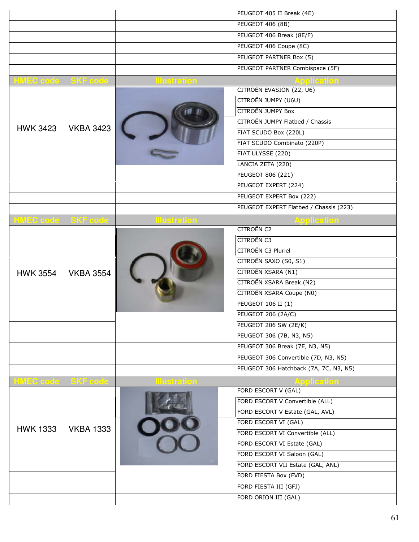|                             |                  |                  | PEUGEOT 405 II Break (4E)              |
|-----------------------------|------------------|------------------|----------------------------------------|
|                             |                  |                  | <b>PEUGEOT 406 (8B)</b>                |
|                             |                  |                  | PEUGEOT 406 Break (8E/F)               |
|                             |                  |                  | PEUGEOT 406 Coupe (8C)                 |
|                             |                  |                  | PEUGEOT PARTNER Box (5)                |
|                             |                  |                  | PEUGEOT PARTNER Combispace (5F)        |
| <b>HMEC code   SKF code</b> |                  |                  |                                        |
|                             |                  |                  | CITROËN EVASION (22, U6)               |
|                             |                  |                  | CITROËN JUMPY (U6U)                    |
|                             |                  |                  | <b>CITROËN JUMPY Box</b>               |
|                             |                  |                  | CITROËN JUMPY Flatbed / Chassis        |
| <b>HWK 3423</b>             | <b>VKBA 3423</b> |                  | FIAT SCUDO Box (220L)                  |
|                             |                  |                  | FIAT SCUDO Combinato (220P)            |
|                             |                  |                  | FIAT ULYSSE (220)                      |
|                             |                  |                  | LANCIA ZETA (220)                      |
|                             |                  |                  | <b>PEUGEOT 806 (221)</b>               |
|                             |                  |                  | PEUGEOT EXPERT (224)                   |
|                             |                  |                  | PEUGEOT EXPERT Box (222)               |
|                             |                  |                  | PEUGEOT EXPERT Flatbed / Chassis (223) |
| HMEC code SKF code          |                  | <u>ustration</u> | Application                            |
|                             | <b>VKBA 3554</b> |                  | <b>CITROËN C2</b>                      |
|                             |                  |                  | <b>CITROËN C3</b>                      |
| <b>HWK 3554</b>             |                  |                  | CITROËN C3 Pluriel                     |
|                             |                  |                  | CITROËN SAXO (S0, S1)                  |
|                             |                  |                  | CITROËN XSARA (N1)                     |
|                             |                  |                  | CITROËN XSARA Break (N2)               |
|                             |                  |                  | CITROËN XSARA Coupe (N0)               |
|                             |                  |                  | PEUGEOT 106 II (1)                     |
|                             |                  |                  | <b>PEUGEOT 206 (2A/C)</b>              |
|                             |                  |                  | PEUGEOT 206 SW (2E/K)                  |
|                             |                  |                  | PEUGEOT 306 (7B, N3, N5)               |
|                             |                  |                  | PEUGEOT 306 Break (7E, N3, N5)         |
|                             |                  |                  | PEUGEOT 306 Convertible (7D, N3, N5)   |
|                             |                  |                  | PEUGEOT 306 Hatchback (7A, 7C, N3, N5) |
| <b>HMEC code</b>            | SKF code         |                  | pplication                             |
|                             |                  |                  | FORD ESCORT V (GAL)                    |
|                             |                  |                  | FORD ESCORT V Convertible (ALL)        |
|                             |                  |                  | FORD ESCORT V Estate (GAL, AVL)        |
|                             |                  |                  | FORD ESCORT VI (GAL)                   |
| <b>HWK 1333</b>             | <b>VKBA 1333</b> |                  | FORD ESCORT VI Convertible (ALL)       |
|                             |                  |                  | FORD ESCORT VI Estate (GAL)            |
|                             |                  |                  | FORD ESCORT VI Saloon (GAL)            |
|                             |                  |                  | FORD ESCORT VII Estate (GAL, ANL)      |
|                             |                  |                  | FORD FIESTA Box (FVD)                  |
|                             |                  |                  | FORD FIESTA III (GFJ)                  |
|                             |                  |                  | FORD ORION III (GAL)                   |
|                             |                  |                  |                                        |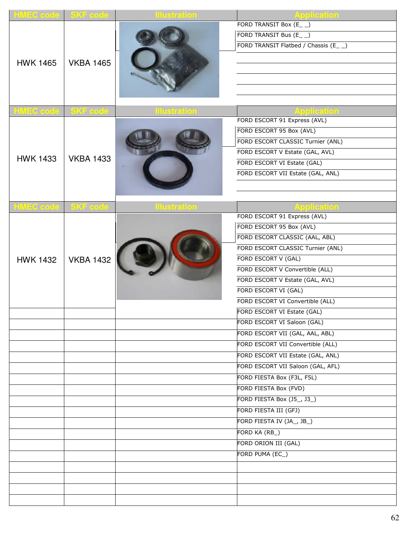| HMEC code SKF code |                  | <u>llustration</u>  | Application                           |
|--------------------|------------------|---------------------|---------------------------------------|
|                    |                  |                     | FORD TRANSIT Box (E_ _)               |
|                    |                  |                     | FORD TRANSIT Bus (E_ _)               |
|                    |                  |                     | FORD TRANSIT Flatbed / Chassis (E_ _) |
|                    |                  |                     |                                       |
| <b>HWK 1465</b>    | <b>VKBA 1465</b> |                     |                                       |
|                    |                  |                     |                                       |
|                    |                  |                     |                                       |
|                    |                  |                     |                                       |
| HMEC code          | SKF code         | <b>Illustration</b> | <b>Application</b>                    |
|                    |                  |                     | FORD ESCORT 91 Express (AVL)          |
|                    |                  |                     | FORD ESCORT 95 Box (AVL)              |
|                    |                  |                     | FORD ESCORT CLASSIC Turnier (ANL)     |
|                    |                  |                     | FORD ESCORT V Estate (GAL, AVL)       |
| <b>HWK 1433</b>    | <b>VKBA 1433</b> |                     | FORD ESCORT VI Estate (GAL)           |
|                    |                  |                     | FORD ESCORT VII Estate (GAL, ANL)     |
|                    |                  |                     |                                       |
|                    |                  |                     |                                       |
| HMEC code SKF code |                  | <b>Illustration</b> | <b>Application</b>                    |
|                    |                  |                     | FORD ESCORT 91 Express (AVL)          |
|                    | <b>VKBA 1432</b> |                     | FORD ESCORT 95 Box (AVL)              |
|                    |                  |                     | FORD ESCORT CLASSIC (AAL, ABL)        |
|                    |                  |                     | FORD ESCORT CLASSIC Turnier (ANL)     |
| <b>HWK 1432</b>    |                  |                     | FORD ESCORT V (GAL)                   |
|                    |                  |                     | FORD ESCORT V Convertible (ALL)       |
|                    |                  |                     | FORD ESCORT V Estate (GAL, AVL)       |
|                    |                  |                     | FORD ESCORT VI (GAL)                  |
|                    |                  |                     | FORD ESCORT VI Convertible (ALL)      |
|                    |                  |                     | FORD ESCORT VI Estate (GAL)           |
|                    |                  |                     | FORD ESCORT VI Saloon (GAL)           |
|                    |                  |                     | FORD ESCORT VII (GAL, AAL, ABL)       |
|                    |                  |                     | FORD ESCORT VII Convertible (ALL)     |
|                    |                  |                     | FORD ESCORT VII Estate (GAL, ANL)     |
|                    |                  |                     | FORD ESCORT VII Saloon (GAL, AFL)     |
|                    |                  |                     | FORD FIESTA Box (F3L, F5L)            |
|                    |                  |                     | FORD FIESTA Box (FVD)                 |
|                    |                  |                     | FORD FIESTA Box (J5_, J3_)            |
|                    |                  |                     | FORD FIESTA III (GFJ)                 |
|                    |                  |                     | FORD FIESTA IV (JA_, JB_)             |
|                    |                  |                     | FORD KA (RB_)                         |
|                    |                  |                     | FORD ORION III (GAL)                  |
|                    |                  |                     |                                       |
|                    |                  |                     | FORD PUMA (EC_)                       |
|                    |                  |                     |                                       |
|                    |                  |                     |                                       |
|                    |                  |                     |                                       |
|                    |                  |                     |                                       |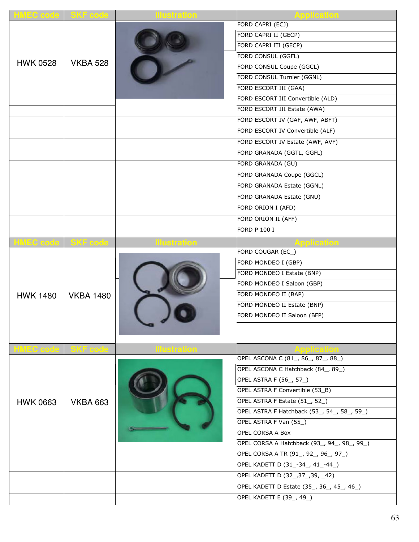| <b>HMEC code SKF code</b> |                  | <b>Illustration</b> | <b>Application</b>                          |
|---------------------------|------------------|---------------------|---------------------------------------------|
|                           |                  |                     | FORD CAPRI (ECJ)                            |
|                           |                  |                     | FORD CAPRI II (GECP)                        |
|                           |                  |                     | FORD CAPRI III (GECP)                       |
|                           |                  |                     | FORD CONSUL (GGFL)                          |
| <b>HWK 0528</b>           | <b>VKBA 528</b>  |                     | FORD CONSUL Coupe (GGCL)                    |
|                           |                  |                     | FORD CONSUL Turnier (GGNL)                  |
|                           |                  |                     | FORD ESCORT III (GAA)                       |
|                           |                  |                     | FORD ESCORT III Convertible (ALD)           |
|                           |                  |                     | FORD ESCORT III Estate (AWA)                |
|                           |                  |                     | FORD ESCORT IV (GAF, AWF, ABFT)             |
|                           |                  |                     | FORD ESCORT IV Convertible (ALF)            |
|                           |                  |                     | FORD ESCORT IV Estate (AWF, AVF)            |
|                           |                  |                     | FORD GRANADA (GGTL, GGFL)                   |
|                           |                  |                     | FORD GRANADA (GU)                           |
|                           |                  |                     | FORD GRANADA Coupe (GGCL)                   |
|                           |                  |                     | FORD GRANADA Estate (GGNL)                  |
|                           |                  |                     | FORD GRANADA Estate (GNU)                   |
|                           |                  |                     | FORD ORION I (AFD)                          |
|                           |                  |                     | FORD ORION II (AFF)                         |
|                           |                  |                     | <b>FORD P 100 I</b>                         |
| <b>HMEC code SKF code</b> |                  | lustration          | <b>Application</b>                          |
|                           |                  |                     | FORD COUGAR (EC_)                           |
|                           |                  |                     | FORD MONDEO I (GBP)                         |
| <b>HWK 1480</b>           | <b>VKBA 1480</b> |                     | FORD MONDEO I Estate (BNP)                  |
|                           |                  |                     | FORD MONDEO I Saloon (GBP)                  |
|                           |                  |                     | FORD MONDEO II (BAP)                        |
|                           |                  |                     | FORD MONDEO II Estate (BNP)                 |
|                           |                  |                     | FORD MONDEO II Saloon (BFP)                 |
|                           |                  |                     |                                             |
|                           |                  |                     |                                             |
| <b>HMEC code SKF code</b> |                  | <b>Illustration</b> |                                             |
|                           |                  |                     | OPEL ASCONA C (81, 86, 87, 88)              |
|                           |                  |                     | OPEL ASCONA C Hatchback (84_, 89_)          |
|                           |                  |                     | <b>OPEL ASTRA F (56_, 57_)</b>              |
|                           |                  |                     | OPEL ASTRA F Convertible (53_B)             |
| <b>HWK 0663</b>           | <b>VKBA 663</b>  |                     | OPEL ASTRA F Estate (51, 52)                |
|                           |                  |                     | OPEL ASTRA F Hatchback (53_, 54_, 58_, 59_) |
|                           |                  |                     | OPEL ASTRA F Van (55_)                      |
|                           |                  |                     | OPEL CORSA A Box                            |
|                           |                  |                     | OPEL CORSA A Hatchback (93_, 94_, 98_, 99_) |
|                           |                  |                     | OPEL CORSA A TR (91, 92, 96, 97)            |
|                           |                  |                     | OPEL KADETT D (31_-34_, 41_-44_)            |
|                           |                  |                     | OPEL KADETT D (32_,37_,39, _42)             |
|                           |                  |                     | OPEL KADETT D Estate (35_, 36_, 45_, 46_)   |
|                           |                  |                     |                                             |
|                           |                  |                     | OPEL KADETT E (39_, 49_)                    |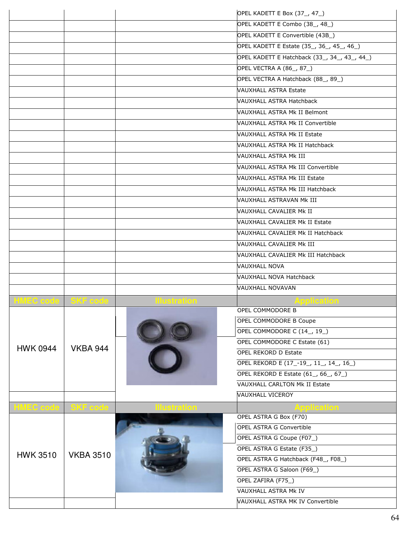|                             |                  |                    | OPEL KADETT E Box (37_, 47_)                                    |
|-----------------------------|------------------|--------------------|-----------------------------------------------------------------|
|                             |                  |                    | OPEL KADETT E Combo (38_, 48_)                                  |
|                             |                  |                    | OPEL KADETT E Convertible (43B_)                                |
|                             |                  |                    | OPEL KADETT E Estate (35, 36, 45, 46)                           |
|                             |                  |                    | OPEL KADETT E Hatchback (33_, 34_, 43_, 44_)                    |
|                             |                  |                    | OPEL VECTRA A (86_, 87_)                                        |
|                             |                  |                    | OPEL VECTRA A Hatchback (88_, 89_)                              |
|                             |                  |                    | <b>VAUXHALL ASTRA Estate</b>                                    |
|                             |                  |                    | <b>VAUXHALL ASTRA Hatchback</b>                                 |
|                             |                  |                    | VAUXHALL ASTRA Mk II Belmont                                    |
|                             |                  |                    | VAUXHALL ASTRA Mk II Convertible                                |
|                             |                  |                    | <b>NAUXHALL ASTRA Mk II Estate</b>                              |
|                             |                  |                    | VAUXHALL ASTRA Mk II Hatchback                                  |
|                             |                  |                    | VAUXHALL ASTRA Mk III                                           |
|                             |                  |                    | VAUXHALL ASTRA Mk III Convertible                               |
|                             |                  |                    | <b>NAUXHALL ASTRA Mk III Estate</b>                             |
|                             |                  |                    | VAUXHALL ASTRA Mk III Hatchback                                 |
|                             |                  |                    | VAUXHALL ASTRAVAN Mk III                                        |
|                             |                  |                    | VAUXHALL CAVALIER Mk II                                         |
|                             |                  |                    | VAUXHALL CAVALIER Mk II Estate                                  |
|                             |                  |                    | VAUXHALL CAVALIER Mk II Hatchback                               |
|                             |                  |                    |                                                                 |
|                             |                  |                    | VAUXHALL CAVALIER Mk III                                        |
|                             |                  |                    | VAUXHALL CAVALIER Mk III Hatchback                              |
|                             |                  |                    | <b>VAUXHALL NOVA</b>                                            |
|                             |                  |                    | <b>VAUXHALL NOVA Hatchback</b>                                  |
|                             |                  |                    | <b>VAUXHALL NOVAVAN</b>                                         |
| HMEC code SKF code          |                  | <b>lustration</b>  | <b>\pplication</b>                                              |
|                             |                  |                    | OPEL COMMODORE B                                                |
|                             |                  |                    | OPEL COMMODORE B Coupe                                          |
|                             | <b>VKBA 944</b>  |                    | OPEL COMMODORE C (14_, 19_)                                     |
| <b>HWK 0944</b>             |                  |                    | OPEL COMMODORE C Estate (61)                                    |
|                             |                  |                    | OPEL REKORD D Estate                                            |
|                             |                  |                    | OPEL REKORD E (17-19, 11, 14, 16)                               |
|                             |                  |                    | OPEL REKORD E Estate (61, 66, 67)                               |
|                             |                  |                    | <b>VAUXHALL CARLTON Mk II Estate</b><br><b>VAUXHALL VICEROY</b> |
|                             |                  |                    |                                                                 |
| <b>HMEC code   SKF code</b> |                  | <u>llustration</u> | <b>Application</b><br>OPEL ASTRA G Box (F70)                    |
|                             |                  |                    | <b>OPEL ASTRA G Convertible</b>                                 |
|                             | <b>VKBA 3510</b> |                    | OPEL ASTRA G Coupe (F07_)                                       |
|                             |                  |                    | OPEL ASTRA G Estate (F35_)                                      |
| <b>HWK 3510</b>             |                  |                    | OPEL ASTRA G Hatchback (F48_, F08_)                             |
|                             |                  |                    | OPEL ASTRA G Saloon (F69_)                                      |
|                             |                  |                    | OPEL ZAFIRA (F75_)                                              |
|                             |                  |                    | <b>VAUXHALL ASTRA Mk IV</b>                                     |
|                             |                  |                    | VAUXHALL ASTRA MK IV Convertible                                |
|                             |                  |                    |                                                                 |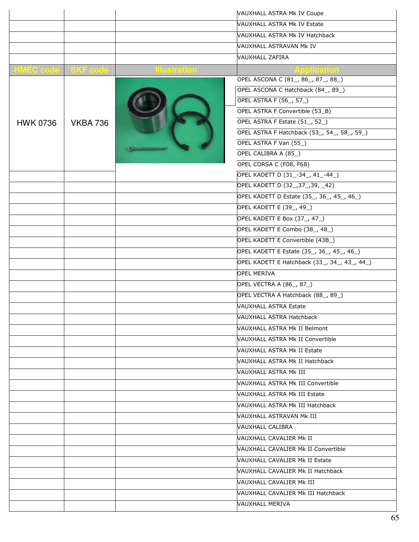|                             |                 |          | VAUXHALL ASTRA Mk IV Coupe                   |
|-----------------------------|-----------------|----------|----------------------------------------------|
|                             |                 |          | <b>VAUXHALL ASTRA Mk IV Estate</b>           |
|                             |                 |          | VAUXHALL ASTRA Mk IV Hatchback               |
|                             |                 |          | <b>VAUXHALL ASTRAVAN MK IV</b>               |
|                             |                 |          | <b>VAUXHALL ZAFIRA</b>                       |
| <b>HMEC code   SKF code</b> |                 |          |                                              |
|                             |                 | ISTRITOI | OPEL ASCONA C (81, 86, 87, 88)               |
|                             |                 |          | OPEL ASCONA C Hatchback (84_, 89_)           |
|                             |                 |          | <b>OPEL ASTRA F (56_, 57_)</b>               |
|                             |                 |          | OPEL ASTRA F Convertible (53_B)              |
| <b>HWK 0736</b>             | <b>VKBA 736</b> |          | OPEL ASTRA F Estate (51, 52)                 |
|                             |                 |          | OPEL ASTRA F Hatchback (53_, 54_, 58_, 59_)  |
|                             |                 |          | OPEL ASTRA F Van (55_)                       |
|                             |                 |          | OPEL CALIBRA A (85_)                         |
|                             |                 |          | OPEL CORSA C (F08, F68)                      |
|                             |                 |          | OPEL KADETT D (31_-34_, 41_-44_)             |
|                             |                 |          | OPEL KADETT D (32_,37_,39, _42)              |
|                             |                 |          | OPEL KADETT D Estate (35_, 36_, 45_, 46_)    |
|                             |                 |          | OPEL KADETT E (39_, 49_)                     |
|                             |                 |          | OPEL KADETT E Box (37_, 47_)                 |
|                             |                 |          | OPEL KADETT E Combo (38_, 48_)               |
|                             |                 |          | OPEL KADETT E Convertible (43B_)             |
|                             |                 |          | OPEL KADETT E Estate (35_, 36_, 45_, 46_)    |
|                             |                 |          | OPEL KADETT E Hatchback (33_, 34_, 43_, 44_) |
|                             |                 |          | <b>OPEL MERIVA</b>                           |
|                             |                 |          | OPEL VECTRA A (86_, 87_)                     |
|                             |                 |          | OPEL VECTRA A Hatchback (88, 89)             |
|                             |                 |          | <b>VAUXHALL ASTRA Estate</b>                 |
|                             |                 |          | <b>VAUXHALL ASTRA Hatchback</b>              |
|                             |                 |          | VAUXHALL ASTRA Mk II Belmont                 |
|                             |                 |          | <b>NAUXHALL ASTRA Mk II Convertible</b>      |
|                             |                 |          | <b>VAUXHALL ASTRA Mk II Estate</b>           |
|                             |                 |          | VAUXHALL ASTRA Mk II Hatchback               |
|                             |                 |          | VAUXHALL ASTRA Mk III                        |
|                             |                 |          | VAUXHALL ASTRA Mk III Convertible            |
|                             |                 |          | VAUXHALL ASTRA Mk III Estate                 |
|                             |                 |          | VAUXHALL ASTRA Mk III Hatchback              |
|                             |                 |          | VAUXHALL ASTRAVAN Mk III                     |
|                             |                 |          | VAUXHALL CALIBRA                             |
|                             |                 |          | VAUXHALL CAVALIER Mk II                      |
|                             |                 |          | <b>NAUXHALL CAVALIER Mk II Convertible</b>   |
|                             |                 |          | VAUXHALL CAVALIER Mk II Estate               |
|                             |                 |          | <b>NAUXHALL CAVALIER Mk II Hatchback</b>     |
|                             |                 |          | VAUXHALL CAVALIER Mk III                     |
|                             |                 |          | VAUXHALL CAVALIER Mk III Hatchback           |
|                             |                 |          | <b>VAUXHALL MERIVA</b>                       |
|                             |                 |          |                                              |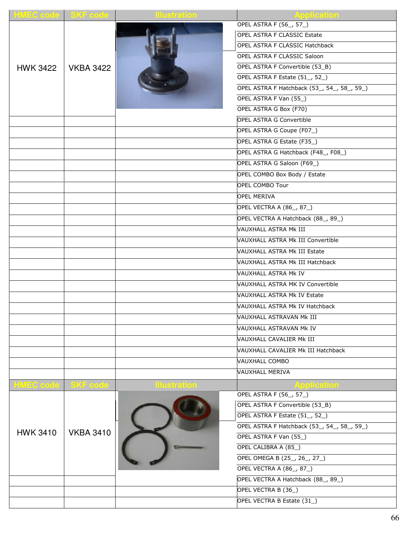| <b>OPEL ASTRA F (56_, 57_)</b><br><b>OPEL ASTRA F CLASSIC Estate</b><br>OPEL ASTRA F CLASSIC Hatchback<br>OPEL ASTRA F CLASSIC Saloon<br>OPEL ASTRA F Convertible (53_B)<br><b>VKBA 3422</b><br><b>HWK 3422</b><br>OPEL ASTRA F Estate (51, 52)<br>OPEL ASTRA F Hatchback (53, 54, 58, 59)<br>OPEL ASTRA F Van (55_)<br>OPEL ASTRA G Box (F70)<br><b>OPEL ASTRA G Convertible</b><br>OPEL ASTRA G Coupe (F07_)<br>OPEL ASTRA G Estate (F35_)<br>OPEL ASTRA G Hatchback (F48_, F08_)<br>OPEL ASTRA G Saloon (F69_)<br>OPEL COMBO Box Body / Estate<br>OPEL COMBO Tour<br><b>OPEL MERIVA</b><br>OPEL VECTRA A (86_, 87_)<br>OPEL VECTRA A Hatchback (88_, 89_)<br>VAUXHALL ASTRA Mk III<br>VAUXHALL ASTRA Mk III Convertible<br>VAUXHALL ASTRA Mk III Estate<br>VAUXHALL ASTRA Mk III Hatchback<br><b>VAUXHALL ASTRA Mk IV</b> |
|------------------------------------------------------------------------------------------------------------------------------------------------------------------------------------------------------------------------------------------------------------------------------------------------------------------------------------------------------------------------------------------------------------------------------------------------------------------------------------------------------------------------------------------------------------------------------------------------------------------------------------------------------------------------------------------------------------------------------------------------------------------------------------------------------------------------------|
|                                                                                                                                                                                                                                                                                                                                                                                                                                                                                                                                                                                                                                                                                                                                                                                                                              |
|                                                                                                                                                                                                                                                                                                                                                                                                                                                                                                                                                                                                                                                                                                                                                                                                                              |
|                                                                                                                                                                                                                                                                                                                                                                                                                                                                                                                                                                                                                                                                                                                                                                                                                              |
|                                                                                                                                                                                                                                                                                                                                                                                                                                                                                                                                                                                                                                                                                                                                                                                                                              |
|                                                                                                                                                                                                                                                                                                                                                                                                                                                                                                                                                                                                                                                                                                                                                                                                                              |
|                                                                                                                                                                                                                                                                                                                                                                                                                                                                                                                                                                                                                                                                                                                                                                                                                              |
|                                                                                                                                                                                                                                                                                                                                                                                                                                                                                                                                                                                                                                                                                                                                                                                                                              |
|                                                                                                                                                                                                                                                                                                                                                                                                                                                                                                                                                                                                                                                                                                                                                                                                                              |
|                                                                                                                                                                                                                                                                                                                                                                                                                                                                                                                                                                                                                                                                                                                                                                                                                              |
|                                                                                                                                                                                                                                                                                                                                                                                                                                                                                                                                                                                                                                                                                                                                                                                                                              |
|                                                                                                                                                                                                                                                                                                                                                                                                                                                                                                                                                                                                                                                                                                                                                                                                                              |
|                                                                                                                                                                                                                                                                                                                                                                                                                                                                                                                                                                                                                                                                                                                                                                                                                              |
|                                                                                                                                                                                                                                                                                                                                                                                                                                                                                                                                                                                                                                                                                                                                                                                                                              |
|                                                                                                                                                                                                                                                                                                                                                                                                                                                                                                                                                                                                                                                                                                                                                                                                                              |
|                                                                                                                                                                                                                                                                                                                                                                                                                                                                                                                                                                                                                                                                                                                                                                                                                              |
|                                                                                                                                                                                                                                                                                                                                                                                                                                                                                                                                                                                                                                                                                                                                                                                                                              |
|                                                                                                                                                                                                                                                                                                                                                                                                                                                                                                                                                                                                                                                                                                                                                                                                                              |
|                                                                                                                                                                                                                                                                                                                                                                                                                                                                                                                                                                                                                                                                                                                                                                                                                              |
|                                                                                                                                                                                                                                                                                                                                                                                                                                                                                                                                                                                                                                                                                                                                                                                                                              |
|                                                                                                                                                                                                                                                                                                                                                                                                                                                                                                                                                                                                                                                                                                                                                                                                                              |
|                                                                                                                                                                                                                                                                                                                                                                                                                                                                                                                                                                                                                                                                                                                                                                                                                              |
|                                                                                                                                                                                                                                                                                                                                                                                                                                                                                                                                                                                                                                                                                                                                                                                                                              |
|                                                                                                                                                                                                                                                                                                                                                                                                                                                                                                                                                                                                                                                                                                                                                                                                                              |
|                                                                                                                                                                                                                                                                                                                                                                                                                                                                                                                                                                                                                                                                                                                                                                                                                              |
|                                                                                                                                                                                                                                                                                                                                                                                                                                                                                                                                                                                                                                                                                                                                                                                                                              |
| VAUXHALL ASTRA MK IV Convertible                                                                                                                                                                                                                                                                                                                                                                                                                                                                                                                                                                                                                                                                                                                                                                                             |
| VAUXHALL ASTRA Mk IV Estate                                                                                                                                                                                                                                                                                                                                                                                                                                                                                                                                                                                                                                                                                                                                                                                                  |
| VAUXHALL ASTRA Mk IV Hatchback                                                                                                                                                                                                                                                                                                                                                                                                                                                                                                                                                                                                                                                                                                                                                                                               |
| VAUXHALL ASTRAVAN Mk III                                                                                                                                                                                                                                                                                                                                                                                                                                                                                                                                                                                                                                                                                                                                                                                                     |
| VAUXHALL ASTRAVAN Mk IV                                                                                                                                                                                                                                                                                                                                                                                                                                                                                                                                                                                                                                                                                                                                                                                                      |
| VAUXHALL CAVALIER Mk III                                                                                                                                                                                                                                                                                                                                                                                                                                                                                                                                                                                                                                                                                                                                                                                                     |
| VAUXHALL CAVALIER Mk III Hatchback                                                                                                                                                                                                                                                                                                                                                                                                                                                                                                                                                                                                                                                                                                                                                                                           |
| VAUXHALL COMBO                                                                                                                                                                                                                                                                                                                                                                                                                                                                                                                                                                                                                                                                                                                                                                                                               |
| <b>VAUXHALL MERIVA</b>                                                                                                                                                                                                                                                                                                                                                                                                                                                                                                                                                                                                                                                                                                                                                                                                       |
| <b>IMEC</b> code<br>SKF code<br>llustration<br>Application                                                                                                                                                                                                                                                                                                                                                                                                                                                                                                                                                                                                                                                                                                                                                                   |
| OPEL ASTRA F (56_, 57_)                                                                                                                                                                                                                                                                                                                                                                                                                                                                                                                                                                                                                                                                                                                                                                                                      |
| OPEL ASTRA F Convertible (53_B)                                                                                                                                                                                                                                                                                                                                                                                                                                                                                                                                                                                                                                                                                                                                                                                              |
| OPEL ASTRA F Estate (51_, 52_)                                                                                                                                                                                                                                                                                                                                                                                                                                                                                                                                                                                                                                                                                                                                                                                               |
| OPEL ASTRA F Hatchback (53_, 54_, 58_, 59_)                                                                                                                                                                                                                                                                                                                                                                                                                                                                                                                                                                                                                                                                                                                                                                                  |
| <b>VKBA 3410</b><br><b>HWK 3410</b><br>OPEL ASTRA F Van (55_)                                                                                                                                                                                                                                                                                                                                                                                                                                                                                                                                                                                                                                                                                                                                                                |
| OPEL CALIBRA A (85_)                                                                                                                                                                                                                                                                                                                                                                                                                                                                                                                                                                                                                                                                                                                                                                                                         |
| OPEL OMEGA B (25_, 26_, 27_)                                                                                                                                                                                                                                                                                                                                                                                                                                                                                                                                                                                                                                                                                                                                                                                                 |
| <b>OPEL VECTRA A (86_, 87_)</b>                                                                                                                                                                                                                                                                                                                                                                                                                                                                                                                                                                                                                                                                                                                                                                                              |
| OPEL VECTRA A Hatchback (88_, 89_)                                                                                                                                                                                                                                                                                                                                                                                                                                                                                                                                                                                                                                                                                                                                                                                           |
| OPEL VECTRA B (36_)                                                                                                                                                                                                                                                                                                                                                                                                                                                                                                                                                                                                                                                                                                                                                                                                          |
| OPEL VECTRA B Estate (31_)                                                                                                                                                                                                                                                                                                                                                                                                                                                                                                                                                                                                                                                                                                                                                                                                   |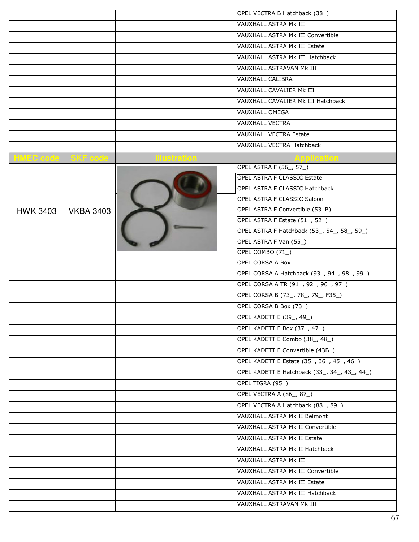|                 |                             |            | OPEL VECTRA B Hatchback (38_)                |
|-----------------|-----------------------------|------------|----------------------------------------------|
|                 |                             |            | <b>VAUXHALL ASTRA Mk III</b>                 |
|                 |                             |            | VAUXHALL ASTRA Mk III Convertible            |
|                 |                             |            | VAUXHALL ASTRA Mk III Estate                 |
|                 |                             |            | VAUXHALL ASTRA Mk III Hatchback              |
|                 |                             |            | VAUXHALL ASTRAVAN Mk III                     |
|                 |                             |            | <b>VAUXHALL CALIBRA</b>                      |
|                 |                             |            | VAUXHALL CAVALIER Mk III                     |
|                 |                             |            | VAUXHALL CAVALIER Mk III Hatchback           |
|                 |                             |            | <b>VAUXHALL OMEGA</b>                        |
|                 |                             |            | <b>VAUXHALL VECTRA</b>                       |
|                 |                             |            | <b>VAUXHALL VECTRA Estate</b>                |
|                 |                             |            | VAUXHALL VECTRA Hatchback                    |
|                 | <b>HMEC code   SKF code</b> | lustration | <b>Application</b>                           |
|                 |                             |            | <b>OPEL ASTRA F (56_, 57_)</b>               |
|                 |                             |            | <b>OPEL ASTRA F CLASSIC Estate</b>           |
|                 |                             |            | <b>OPEL ASTRA F CLASSIC Hatchback</b>        |
|                 |                             |            | OPEL ASTRA F CLASSIC Saloon                  |
| <b>HWK 3403</b> | <b>VKBA 3403</b>            |            | OPEL ASTRA F Convertible (53_B)              |
|                 |                             |            | OPEL ASTRA F Estate (51, 52)                 |
|                 |                             |            | OPEL ASTRA F Hatchback (53_, 54_, 58_, 59_)  |
|                 |                             |            | OPEL ASTRA F Van (55_)                       |
|                 |                             |            | OPEL COMBO (71_)                             |
|                 |                             |            | <b>OPEL CORSA A Box</b>                      |
|                 |                             |            | OPEL CORSA A Hatchback (93_, 94_, 98_, 99_)  |
|                 |                             |            | OPEL CORSA A TR (91, 92, 96, 97)             |
|                 |                             |            | OPEL CORSA B (73_, 78_, 79_, F35_)           |
|                 |                             |            | OPEL CORSA B Box (73_)                       |
|                 |                             |            | OPEL KADETT E (39, 49)                       |
|                 |                             |            | OPEL KADETT E Box (37, 47)                   |
|                 |                             |            | OPEL KADETT E Combo (38_, 48_)               |
|                 |                             |            | OPEL KADETT E Convertible (43B_)             |
|                 |                             |            | OPEL KADETT E Estate (35, 36, 45, 46)        |
|                 |                             |            | OPEL KADETT E Hatchback (33_, 34_, 43_, 44_) |
|                 |                             |            | OPEL TIGRA (95_)                             |
|                 |                             |            | OPEL VECTRA A (86, 87)                       |
|                 |                             |            | OPEL VECTRA A Hatchback (88_, 89_)           |
|                 |                             |            | VAUXHALL ASTRA Mk II Belmont                 |
|                 |                             |            | VAUXHALL ASTRA Mk II Convertible             |
|                 |                             |            | VAUXHALL ASTRA Mk II Estate                  |
|                 |                             |            | VAUXHALL ASTRA Mk II Hatchback               |
|                 |                             |            | VAUXHALL ASTRA Mk III                        |
|                 |                             |            | VAUXHALL ASTRA Mk III Convertible            |
|                 |                             |            | VAUXHALL ASTRA Mk III Estate                 |
|                 |                             |            | VAUXHALL ASTRA Mk III Hatchback              |
|                 |                             |            | VAUXHALL ASTRAVAN Mk III                     |
|                 |                             |            |                                              |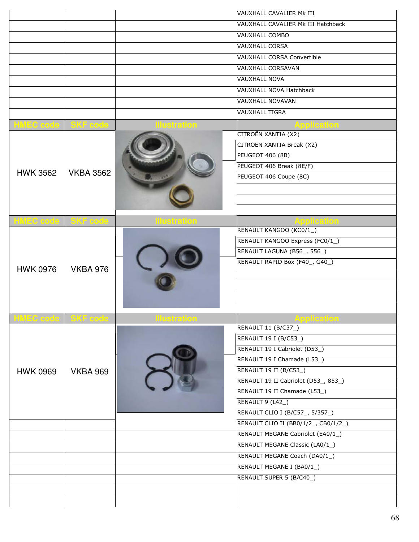|                  |                  |                     | VAUXHALL CAVALIER Mk III             |
|------------------|------------------|---------------------|--------------------------------------|
|                  |                  |                     | VAUXHALL CAVALIER Mk III Hatchback   |
|                  |                  |                     | <b>VAUXHALL COMBO</b>                |
|                  |                  |                     | <b>VAUXHALL CORSA</b>                |
|                  |                  |                     | <b>VAUXHALL CORSA Convertible</b>    |
|                  |                  |                     | <b>VAUXHALL CORSAVAN</b>             |
|                  |                  |                     | <b>VAUXHALL NOVA</b>                 |
|                  |                  |                     | VAUXHALL NOVA Hatchback              |
|                  |                  |                     | VAUXHALL NOVAVAN                     |
|                  |                  |                     | <b>VAUXHALL TIGRA</b>                |
| HMEC code        | SKF code         | ustration           | <b>pplication</b>                    |
|                  |                  |                     | CITROËN XANTIA (X2)                  |
|                  |                  |                     | CITROËN XANTIA Break (X2)            |
|                  |                  |                     | PEUGEOT 406 (8B)                     |
|                  |                  |                     | PEUGEOT 406 Break (8E/F)             |
| <b>HWK 3562</b>  | <b>VKBA 3562</b> |                     | PEUGEOT 406 Coupe (8C)               |
|                  |                  |                     |                                      |
|                  |                  |                     |                                      |
|                  |                  |                     |                                      |
| <b>HMEC code</b> | SKF code         | <b>Hustration</b>   | pplication                           |
|                  |                  |                     | RENAULT KANGOO (KC0/1_)              |
|                  | <b>VKBA 976</b>  |                     | RENAULT KANGOO Express (FC0/1_)      |
|                  |                  |                     | RENAULT LAGUNA (B56_, 556_)          |
|                  |                  |                     | RENAULT RAPID Box (F40_, G40_)       |
| <b>HWK 0976</b>  |                  |                     |                                      |
|                  |                  |                     |                                      |
|                  |                  |                     |                                      |
|                  |                  |                     |                                      |
| <b>HMEC</b> code | SKF code         | <b>Illustration</b> | pplication                           |
|                  |                  |                     | RENAULT 11 (B/C37_)                  |
|                  |                  |                     | RENAULT 19 I (B/C53_)                |
|                  | <b>VKBA 969</b>  |                     | RENAULT 19 I Cabriolet (D53_)        |
|                  |                  |                     | RENAULT 19 I Chamade (L53_)          |
| <b>HWK 0969</b>  |                  |                     | RENAULT 19 II (B/C53_)               |
|                  |                  |                     | RENAULT 19 II Cabriolet (D53_, 853_) |
|                  |                  |                     | RENAULT 19 II Chamade (L53_)         |
|                  |                  |                     | RENAULT 9 (L42_)                     |
|                  |                  |                     | RENAULT CLIO I (B/C57_, 5/357_)      |
|                  |                  |                     | RENAULT CLIO II (BB0/1/2_, CB0/1/2_) |
|                  |                  |                     | RENAULT MEGANE Cabriolet (EA0/1_)    |
|                  |                  |                     | RENAULT MEGANE Classic (LA0/1_)      |
|                  |                  |                     | RENAULT MEGANE Coach (DA0/1_)        |
|                  |                  |                     | RENAULT MEGANE I (BA0/1_)            |
|                  |                  |                     | RENAULT SUPER 5 (B/C40_)             |
|                  |                  |                     |                                      |
|                  |                  |                     |                                      |
|                  |                  |                     |                                      |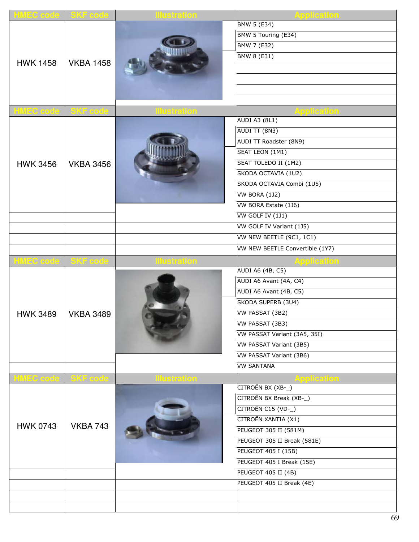| <b>HMEC code SKF code</b> |                  | <b>Ilustration</b> | <b>Application</b>               |
|---------------------------|------------------|--------------------|----------------------------------|
|                           |                  |                    | <b>BMW 5 (E34)</b>               |
|                           |                  |                    | BMW 5 Touring (E34)              |
|                           |                  |                    | <b>BMW 7 (E32)</b>               |
| <b>HWK 1458</b>           | <b>VKBA 1458</b> |                    | <b>BMW 8 (E31)</b>               |
|                           |                  |                    |                                  |
|                           |                  |                    |                                  |
|                           |                  |                    |                                  |
|                           |                  |                    |                                  |
| <b>HMEC code</b>          | SKF code         | <b>Ilustration</b> | Application                      |
|                           |                  |                    | <b>AUDI A3 (8L1)</b>             |
|                           |                  |                    | AUDI TT (8N3)                    |
|                           |                  |                    | AUDI TT Roadster (8N9)           |
|                           |                  |                    | SEAT LEON (1M1)                  |
| <b>HWK 3456</b>           | <b>VKBA 3456</b> |                    | SEAT TOLEDO II (1M2)             |
|                           |                  |                    | SKODA OCTAVIA (1U2)              |
|                           |                  |                    | SKODA OCTAVIA Combi (1U5)        |
|                           |                  |                    | <b>VW BORA (1J2)</b>             |
|                           |                  |                    | VW BORA Estate (1J6)             |
|                           |                  |                    | VW GOLF IV (1J1)                 |
|                           |                  |                    | VW GOLF IV Variant (1J5)         |
|                           |                  |                    | VW NEW BEETLE (9C1, 1C1)         |
|                           |                  |                    | VW NEW BEETLE Convertible (1Y7)  |
| <b>HMEC code</b>          | <b>SKF</b> code  |                    |                                  |
|                           |                  |                    | Application<br>AUDI A6 (4B, C5)  |
|                           |                  |                    | AUDI A6 Avant (4A, C4)           |
|                           |                  |                    | AUDI A6 Avant (4B, C5)           |
| <b>HWK 3489</b>           | <b>VKBA 3489</b> |                    | SKODA SUPERB (3U4)               |
|                           |                  |                    | VW PASSAT (3B2)                  |
|                           |                  |                    | VW PASSAT (3B3)                  |
|                           |                  |                    | VW PASSAT Variant (3A5, 35I)     |
|                           |                  |                    | VW PASSAT Variant (3B5)          |
|                           |                  |                    | VW PASSAT Variant (3B6)          |
|                           |                  |                    | <b>VW SANTANA</b>                |
|                           |                  |                    |                                  |
| <b>HMEC code SKF code</b> |                  | <u>istration</u>   | Application<br>CITROËN BX (XB-_) |
|                           |                  |                    | CITROËN BX Break (XB-_)          |
|                           |                  |                    | CITROËN C15 (VD-_)               |
|                           |                  |                    | CITROËN XANTIA (X1)              |
| <b>HWK 0743</b>           | <b>VKBA 743</b>  |                    | <b>PEUGEOT 305 II (581M)</b>     |
|                           |                  |                    | PEUGEOT 305 II Break (581E)      |
|                           |                  |                    | <b>PEUGEOT 405 I (15B)</b>       |
|                           |                  |                    | PEUGEOT 405 I Break (15E)        |
|                           |                  |                    | PEUGEOT 405 II (4B)              |
|                           |                  |                    |                                  |
|                           |                  |                    | PEUGEOT 405 II Break (4E)        |
|                           |                  |                    |                                  |
|                           |                  |                    |                                  |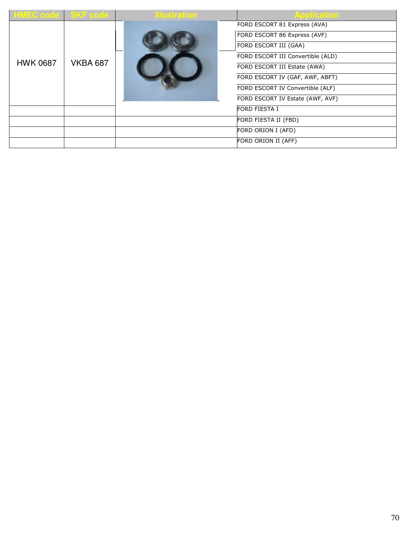| <b>HMEC code SKF code</b> |                 | <b>Illustration</b> | <b>Application</b>                |
|---------------------------|-----------------|---------------------|-----------------------------------|
|                           |                 |                     | FORD ESCORT 81 Express (AVA)      |
| <b>HWK 0687</b>           | <b>VKBA 687</b> |                     | FORD ESCORT 86 Express (AVF)      |
|                           |                 |                     | FORD ESCORT III (GAA)             |
|                           |                 |                     | FORD ESCORT III Convertible (ALD) |
|                           |                 |                     | FORD ESCORT III Estate (AWA)      |
|                           |                 |                     | FORD ESCORT IV (GAF, AWF, ABFT)   |
|                           |                 |                     | FORD ESCORT IV Convertible (ALF)  |
|                           |                 |                     | FORD ESCORT IV Estate (AWF, AVF)  |
|                           |                 |                     | <b>FORD FIESTA I</b>              |
|                           |                 |                     | FORD FIESTA II (FBD)              |
|                           |                 |                     | FORD ORION I (AFD)                |
|                           |                 |                     | FORD ORION II (AFF)               |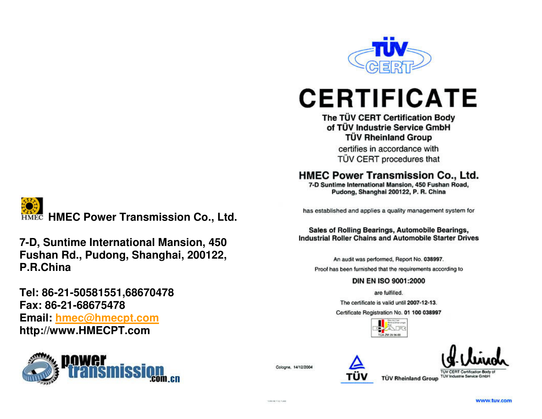

# **CERTIFICATE**

## The TÜV CERT Certification Body of TÜV Industrie Service GmbH **TÜV Rheinland Group**

certifies in accordance with TÜV CERT procedures that

## HMEC Power Transmission Co., Ltd.

7-D Suntime International Mansion, 450 Fushan Road, Pudong, Shanghai 200122, P. R. China

has established and applies a quality management system for

#### Sales of Rolling Bearings, Automobile Bearings, **Industrial Roller Chains and Automobile Starter Drives**

An audit was performed, Report No. 038997. Proof has been furnished that the requirements according to

### DIN EN ISO 9001:2000

are fulfilled.

The certificate is valid until 2007-12-13.

Certificate Registration No. 01 100 038997





**TUV CERT Certification Body of TÜV Rheinland Group TUV Industrie Service Gmbr** 

**HMEC Power Transmission Co., Ltd.** 

**7-D, Suntime International Mansion, 450 Fushan Rd., Pudong, Shanghai, 200122, P.R.China** 

**Tel: 86-21-50581551,68670478 Fax: 86-21-68675478 Email: hmec@hmecpt.comhttp://www.HMECPT.com** 



Cologne, 14/12/2004